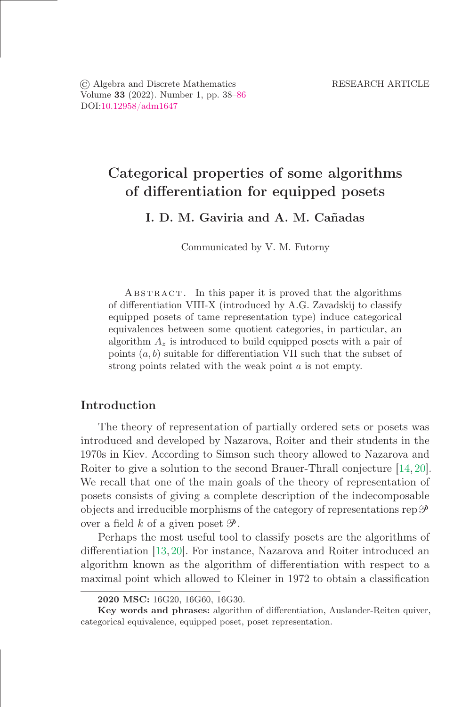© Algebra and Discrete Mathematics RESEARCH ARTICLE Volume 33 (2022). Number 1, pp. 38–86 DOI[:10.12958/adm1647](https://doi.org/10.12958/adm1647)

# Categorical properties of some algorithms of differentiation for equipped posets

I. D. M. Gaviria and A. M. Cañadas

Communicated by V. M. Futorny

ABSTRACT. In this paper it is proved that the algorithms of differentiation VIII-X (introduced by A.G. Zavadskij to classify equipped posets of tame representation type) induce categorical equivalences between some quotient categories, in particular, an algorithm  $A_z$  is introduced to build equipped posets with a pair of points  $(a, b)$  suitable for differentiation VII such that the subset of strong points related with the weak point a is not empty.

# Introduction

The theory of representation of partially ordered sets or posets was introduced and developed by Nazarova, Roiter and their students in the 1970s in Kiev. According to Simson such theory allowed to Nazarova and Roiter to give a solution to the second Brauer-Thrall conjecture [\[14,](#page-47-0) [20\]](#page-48-1). We recall that one of the main goals of the theory of representation of posets consists of giving a complete description of the indecomposable objects and irreducible morphisms of the category of representations  $\text{rep}\,\mathscr{P}$ over a field k of a given poset  $\mathscr{P}$ .

Perhaps the most useful tool to classify posets are the algorithms of differentiation [\[13,](#page-47-1) [20\]](#page-48-1). For instance, Nazarova and Roiter introduced an algorithm known as the algorithm of differentiation with respect to a maximal point which allowed to Kleiner in 1972 to obtain a classification

<sup>2020</sup> MSC: 16G20, 16G60, 16G30.

Key words and phrases: algorithm of differentiation, Auslander-Reiten quiver, categorical equivalence, equipped poset, poset representation.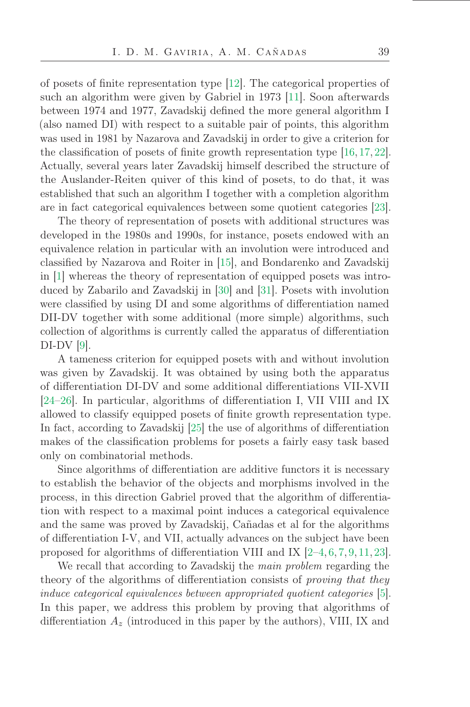of posets of finite representation type  $[12]$ . The categorical properties of such an algorithm were given by Gabriel in 1973 [\[11\]](#page-47-3). Soon afterwards between 1974 and 1977, Zavadskij deőned the more general algorithm I (also named DI) with respect to a suitable pair of points, this algorithm was used in 1981 by Nazarova and Zavadskij in order to give a criterion for the classification of posets of finite growth representation type  $[16, 17, 22]$  $[16, 17, 22]$  $[16, 17, 22]$  $[16, 17, 22]$ . Actually, several years later Zavadskij himself described the structure of the Auslander-Reiten quiver of this kind of posets, to do that, it was established that such an algorithm I together with a completion algorithm are in fact categorical equivalences between some quotient categories [\[23\]](#page-48-3).

The theory of representation of posets with additional structures was developed in the 1980s and 1990s, for instance, posets endowed with an equivalence relation in particular with an involution were introduced and classiőed by Nazarova and Roiter in [\[15\]](#page-47-6), and Bondarenko and Zavadskij in [\[1\]](#page-47-7) whereas the theory of representation of equipped posets was introduced by Zabarilo and Zavadskij in [\[30\]](#page-48-4) and [\[31\]](#page-48-5). Posets with involution were classified by using DI and some algorithms of differentiation named DII-DV together with some additional (more simple) algorithms, such collection of algorithms is currently called the apparatus of differentiation DI-DV [\[9\]](#page-47-8).

A tameness criterion for equipped posets with and without involution was given by Zavadskij. It was obtained by using both the apparatus of differentiation DI-DV and some additional differentiations VII-XVII [\[24](#page-48-6) $-26$ ]. In particular, algorithms of differentiation I, VII VIII and IX allowed to classify equipped posets of őnite growth representation type. In fact, according to Zavadskij [\[25\]](#page-48-8) the use of algorithms of differentiation makes of the classification problems for posets a fairly easy task based only on combinatorial methods.

Since algorithms of differentiation are additive functors it is necessary to establish the behavior of the objects and morphisms involved in the process, in this direction Gabriel proved that the algorithm of differentiation with respect to a maximal point induces a categorical equivalence and the same was proved by Zavadskij, Cañadas et al for the algorithms of differentiation I-V, and VII, actually advances on the subject have been proposed for algorithms of differentiation VIII and IX  $[2-4, 6, 7, 9, 11, 23]$  $[2-4, 6, 7, 9, 11, 23]$  $[2-4, 6, 7, 9, 11, 23]$  $[2-4, 6, 7, 9, 11, 23]$  $[2-4, 6, 7, 9, 11, 23]$  $[2-4, 6, 7, 9, 11, 23]$  $[2-4, 6, 7, 9, 11, 23]$  $[2-4, 6, 7, 9, 11, 23]$  $[2-4, 6, 7, 9, 11, 23]$  $[2-4, 6, 7, 9, 11, 23]$  $[2-4, 6, 7, 9, 11, 23]$  $[2-4, 6, 7, 9, 11, 23]$ .

We recall that according to Zavadskij the main problem regarding the theory of the algorithms of differentiation consists of proving that they induce categorical equivalences between appropriated quotient categories [\[5\]](#page-47-13). In this paper, we address this problem by proving that algorithms of differentiation  $A_z$  (introduced in this paper by the authors), VIII, IX and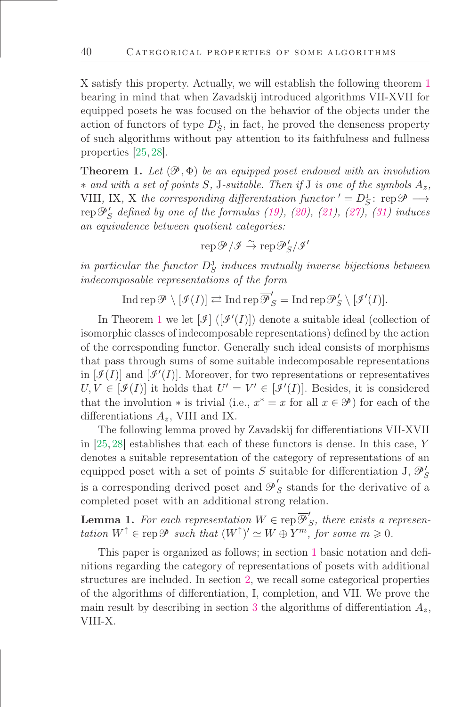X satisfy this property. Actually, we will establish the following theorem [1](#page-2-0) bearing in mind that when Zavadskij introduced algorithms VII-XVII for equipped posets he was focused on the behavior of the objects under the action of functors of type  $D_S^J$ , in fact, he proved the denseness property of such algorithms without pay attention to its faithfulness and fullness properties [\[25,](#page-48-8) [28\]](#page-48-9).

<span id="page-2-0"></span>**Theorem 1.** Let  $(\mathcal{P}, \Phi)$  be an equipped poset endowed with an involution  $*$  and with a set of points S, J-suitable. Then if J is one of the symbols  $A_z$ , VIII, IX, X the corresponding differentiation functor  $' = D_S^{\mathrm{J}}$ : rep $\mathcal{P} \longrightarrow$  $\operatorname{rep}\mathcal{P}'_S$  defined by one of the formulas [\(19\)](#page-21-0), [\(20\)](#page-21-1), [\(21\)](#page-25-0), [\(27\)](#page-32-0), [\(31\)](#page-41-0) induces an equivalence between quotient categories:

 $\operatorname{rep}\nolimits{\mathscr{P}}/{\mathscr{I}} \stackrel{\sim}{\to} \operatorname{rep}\nolimits{\mathscr{P}}'_S/{\mathscr{I}}'$ 

in particular the functor  $D_S^J$  induces mutually inverse bijections between indecomposable representations of the form

 $\operatorname{Ind}\operatorname{rep}\nolimits\mathscr{P}\setminus[\mathscr{I}(I)]\rightleftarrows\operatorname{Ind}\operatorname{rep}\overline{\mathscr{P}}'_S=\operatorname{Ind}\operatorname{rep}\nolimits\mathscr{P}'_S\setminus[\mathscr{I}'(I)].$ 

In Theorem [1](#page-2-0) we let  $[\mathcal{I}]$  ( $[\mathcal{I}'(I)]$ ) denote a suitable ideal (collection of isomorphic classes of indecomposable representations) deőned by the action of the corresponding functor. Generally such ideal consists of morphisms that pass through sums of some suitable indecomposable representations in  $[\mathcal{I}(I)]$  and  $[\mathcal{I}'(I)]$ . Moreover, for two representations or representatives  $U, V \in [\mathcal{I}(I)]$  it holds that  $U' = V' \in [\mathcal{I}'(I)]$ . Besides, it is considered that the involution  $*$  is trivial (i.e.,  $x^* = x$  for all  $x \in \mathcal{P}$ ) for each of the differentiations  $A_z$ , VIII and IX.

The following lemma proved by Zavadskij for differentiations VII-XVII in [\[25,](#page-48-8) [28\]](#page-48-9) establishes that each of these functors is dense. In this case, Y denotes a suitable representation of the category of representations of an equipped poset with a set of points S suitable for differentiation J,  $\mathcal{P}'_S$ is a corresponding derived poset and  $\overline{\mathscr{P}}'$  $S<sub>S</sub>$  stands for the derivative of a completed poset with an additional strong relation.

**Lemma 1.** For each representation  $W \in \text{rep } \overline{\mathcal{P}}'$  $S$ , there exists a representation  $W^{\uparrow} \in \text{rep}\,\mathscr{P}$  such that  $(W^{\uparrow})' \simeq W \oplus Y^m$ , for some  $m \geqslant 0$ .

This paper is organized as follows; in section [1](#page-3-0) basic notation and deőnitions regarding the category of representations of posets with additional structures are included. In section [2,](#page-13-0) we recall some categorical properties of the algorithms of differentiation, I, completion, and VII. We prove the main result by describing in section [3](#page-18-0) the algorithms of differentiation  $A_z$ , VIII-X.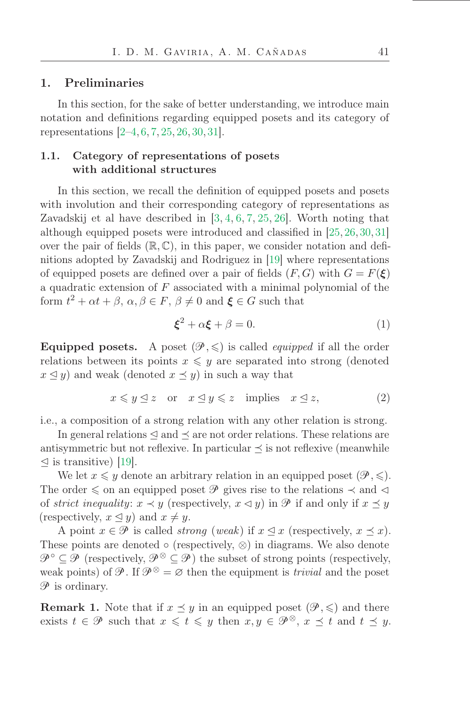### <span id="page-3-0"></span>1. Preliminaries

In this section, for the sake of better understanding, we introduce main notation and deőnitions regarding equipped posets and its category of representations  $[2-4, 6, 7, 25, 26, 30, 31]$  $[2-4, 6, 7, 25, 26, 30, 31]$  $[2-4, 6, 7, 25, 26, 30, 31]$  $[2-4, 6, 7, 25, 26, 30, 31]$  $[2-4, 6, 7, 25, 26, 30, 31]$  $[2-4, 6, 7, 25, 26, 30, 31]$  $[2-4, 6, 7, 25, 26, 30, 31]$  $[2-4, 6, 7, 25, 26, 30, 31]$  $[2-4, 6, 7, 25, 26, 30, 31]$  $[2-4, 6, 7, 25, 26, 30, 31]$  $[2-4, 6, 7, 25, 26, 30, 31]$  $[2-4, 6, 7, 25, 26, 30, 31]$  $[2-4, 6, 7, 25, 26, 30, 31]$  $[2-4, 6, 7, 25, 26, 30, 31]$ .

# 1.1. Category of representations of posets with additional structures

In this section, we recall the definition of equipped posets and posets with involution and their corresponding category of representations as Zavadskij et al have described in [\[3,](#page-47-14) [4,](#page-47-10) [6,](#page-47-11) [7,](#page-47-12) [25,](#page-48-8) [26\]](#page-48-7). Worth noting that although equipped posets were introduced and classified in  $[25, 26, 30, 31]$  $[25, 26, 30, 31]$  $[25, 26, 30, 31]$  $[25, 26, 30, 31]$  $[25, 26, 30, 31]$  $[25, 26, 30, 31]$ over the pair of fields  $(\mathbb{R}, \mathbb{C})$ , in this paper, we consider notation and definitions adopted by Zavadskij and Rodriguez in [\[19\]](#page-48-10) where representations of equipped posets are defined over a pair of fields  $(F, G)$  with  $G = F(\xi)$ a quadratic extension of  $F$  associated with a minimal polynomial of the form  $t^2 + \alpha t + \beta$ ,  $\alpha, \beta \in F$ ,  $\beta \neq 0$  and  $\xi \in G$  such that

<span id="page-3-1"></span>
$$
\boldsymbol{\xi}^2 + \alpha \boldsymbol{\xi} + \beta = 0. \tag{1}
$$

**Equipped posets.** A poset  $(\mathcal{P}, \leqslant)$  is called *equipped* if all the order relations between its points  $x \leq y$  are separated into strong (denoted  $x \leq y$ ) and weak (denoted  $x \leq y$ ) in such a way that

$$
x \leq y \leq z \quad \text{or} \quad x \leq y \leq z \quad \text{implies} \quad x \leq z,\tag{2}
$$

i.e., a composition of a strong relation with any other relation is strong.

In general relations  $\leq$  and  $\leq$  are not order relations. These relations are antisymmetric but not reflexive. In particular  $\preceq$  is not reflexive (meanwhile  $\leq$  is transitive) [\[19\]](#page-48-10).

We let  $x \leq y$  denote an arbitrary relation in an equipped poset  $(\mathcal{P}, \leqslant)$ . The order  $\leq$  on an equipped poset  $\mathscr P$  gives rise to the relations  $\prec$  and  $\lhd$ of strict inequality:  $x \prec y$  (respectively,  $x \prec y$ ) in  $\mathscr P$  if and only if  $x \preceq y$ (respectively,  $x \leq y$ ) and  $x \neq y$ .

A point  $x \in \mathcal{P}$  is called *strong* (weak) if  $x \leq x$  (respectively,  $x \leq x$ ). These points are denoted  $\circ$  (respectively,  $\otimes$ ) in diagrams. We also denote  $\mathscr{P} \subseteq \mathscr{P}$  (respectively,  $\mathscr{P} \subseteq \mathscr{P}$ ) the subset of strong points (respectively, weak points) of  $\mathcal{P}$ . If  $\mathcal{P}^{\otimes} = \varnothing$  then the equipment is *trivial* and the poset  $\mathscr P$  is ordinary.

**Remark 1.** Note that if  $x \leq y$  in an equipped poset  $(\mathcal{P}, \leq)$  and there exists  $t \in \mathcal{P}$  such that  $x \leq t \leq y$  then  $x, y \in \mathcal{P}^{\otimes}$ ,  $x \preceq t$  and  $t \preceq y$ .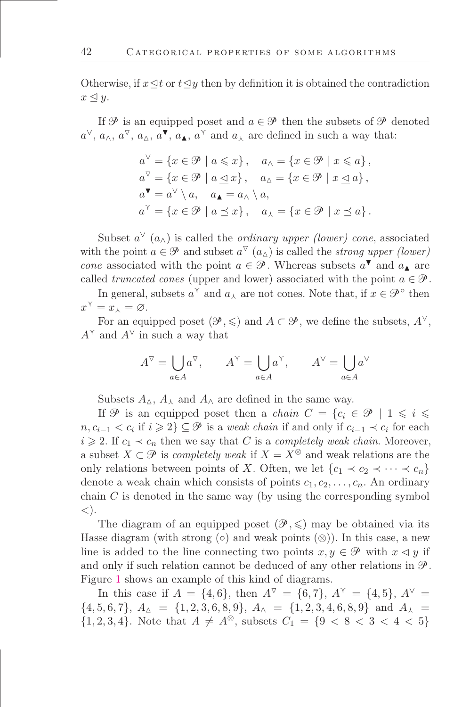Otherwise, if  $x \leq t$  or  $t \leq y$  then by definition it is obtained the contradiction  $x \leq y$ .

If  $\mathcal P$  is an equipped poset and  $a \in \mathcal P$  then the subsets of  $\mathcal P$  denoted  $a^{\vee}, a_{\wedge}, a^{\nabla}, a_{\triangle}, a^{\nabla}, a_{\blacktriangle}, a^{\vee}$  and  $a_{\wedge}$  are defined in such a way that:

$$
a^{\vee} = \{x \in \mathcal{P} \mid a \leq x\}, \quad a_{\wedge} = \{x \in \mathcal{P} \mid x \leq a\},
$$
  
\n
$$
a^{\nabla} = \{x \in \mathcal{P} \mid a \leq x\}, \quad a_{\wedge} = \{x \in \mathcal{P} \mid x \leq a\},
$$
  
\n
$$
a^{\blacktriangledown} = a^{\vee} \setminus a, \quad a_{\blacktriangle} = a_{\wedge} \setminus a,
$$
  
\n
$$
a^{\curlyeq} = \{x \in \mathcal{P} \mid a \leq x\}, \quad a_{\wedge} = \{x \in \mathcal{P} \mid x \leq a\}.
$$

Subset  $a^{\vee}(a_{\wedge})$  is called the *ordinary upper (lower)* cone, associated with the point  $a \in \mathcal{P}$  and subset  $a^{\nabla}(a_{\Delta})$  is called the *strong upper (lower)* cone associated with the point  $a \in \mathcal{P}$ . Whereas subsets  $a^{\blacktriangledown}$  and  $a_{\blacktriangle}$  are called truncated cones (upper and lower) associated with the point  $a \in \mathcal{P}$ .

In general, subsets  $a^{\gamma}$  and  $a_{\lambda}$  are not cones. Note that, if  $x \in \mathcal{P}^{\circ}$  then  $x^{\gamma} = x_{\lambda} = \varnothing.$ 

For an equipped poset  $(\mathscr{P}, \leq)$  and  $A \subset \mathscr{P}$ , we define the subsets,  $A^{\nabla}$ ,  $A^{\vee}$  and  $A^{\vee}$  in such a way that

$$
A^{\triangledown} = \bigcup_{a \in A} a^{\triangledown}, \qquad A^{\triangledown} = \bigcup_{a \in A} a^{\triangledown}, \qquad A^{\triangledown} = \bigcup_{a \in A} a^{\triangledown}
$$

Subsets  $A_{\Delta}$ ,  $A_{\lambda}$  and  $A_{\Lambda}$  are defined in the same way.

If  $\mathscr P$  is an equipped poset then a *chain*  $C = \{c_i \in \mathscr P \mid 1 \leq i \leq \mathscr P\}$  $n, c_{i-1} < c_i$  if  $i \geq 2$ } ⊆  $\mathcal{P}$  is a weak chain if and only if  $c_{i-1} \prec c_i$  for each  $i \geqslant 2$ . If  $c_1 \prec c_n$  then we say that C is a completely weak chain. Moreover, a subset  $X \subset \mathcal{P}$  is *completely weak* if  $X = X^{\otimes}$  and weak relations are the only relations between points of X. Often, we let  ${c_1 \prec c_2 \prec \cdots \prec c_n}$ denote a weak chain which consists of points  $c_1, c_2, \ldots, c_n$ . An ordinary chain  $C$  is denoted in the same way (by using the corresponding symbol  $\langle$ ).

The diagram of an equipped poset  $(\mathcal{P}, \leqslant)$  may be obtained via its Hasse diagram (with strong  $(∘)$  and weak points  $(⊗)$ ). In this case, a new line is added to the line connecting two points  $x, y \in \mathcal{P}$  with  $x \triangleleft y$  if and only if such relation cannot be deduced of any other relations in  $\mathscr{P}$ . Figure [1](#page-5-0) shows an example of this kind of diagrams.

In this case if  $A = \{4, 6\}$ , then  $A^{\nabla} = \{6, 7\}$ ,  $A^{\nabla} = \{4, 5\}$ ,  $A^{\nabla} =$  ${4, 5, 6, 7}, A_{\Delta} = \{1, 2, 3, 6, 8, 9\}, A_{\Delta} = \{1, 2, 3, 4, 6, 8, 9\}$  and  $A_{\Delta} =$  $\{1, 2, 3, 4\}$ . Note that  $A \neq A^{\otimes}$ , subsets  $C_1 = \{9 < 8 < 3 < 4 < 5\}$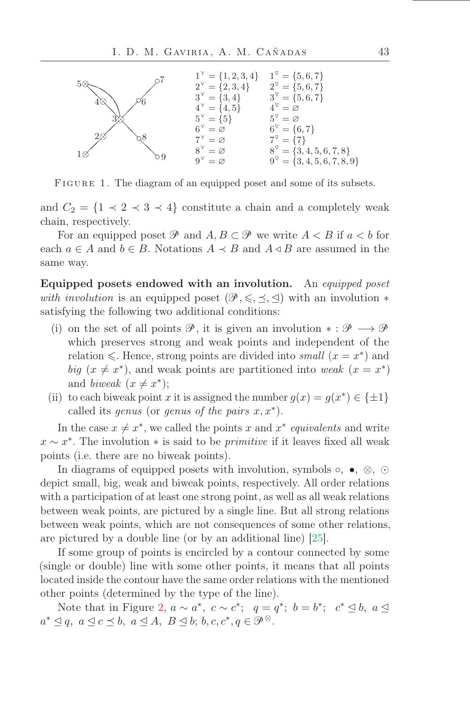

<span id="page-5-0"></span>FIGURE 1. The diagram of an equipped poset and some of its subsets.

and  $C_2 = \{1 \prec 2 \prec 3 \prec 4\}$  constitute a chain and a completely weak chain, respectively.

For an equipped poset  $\mathcal{P}$  and  $A, B \subset \mathcal{P}$  we write  $A \subset B$  if  $a \subset b$  for each  $a \in A$  and  $b \in B$ . Notations  $A \prec B$  and  $A \triangleleft B$  are assumed in the same way.

Equipped posets endowed with an involution. An equipped poset with involution is an equipped poset  $(\mathscr{P}, \leq, \preceq, \preceq)$  with an involution  $*$ satisfying the following two additional conditions:

- (i) on the set of all points  $\mathscr{P}$ , it is given an involution  $* : \mathscr{P} \longrightarrow \mathscr{P}$ which preserves strong and weak points and independent of the relation  $\leq$ . Hence, strong points are divided into small  $(x = x^*)$  and big  $(x \neq x^*)$ , and weak points are partitioned into weak  $(x = x^*)$ and biweak  $(x \neq x^*)$ ;
- (ii) to each biweak point x it is assigned the number  $g(x) = g(x^*) \in \{\pm 1\}$ called its genus (or genus of the pairs  $x, x^*$ ).

In the case  $x \neq x^*$ , we called the points x and  $x^*$  equivalents and write  $x \sim x^*$ . The involution  $*$  is said to be *primitive* if it leaves fixed all weak points (i.e. there are no biweak points).

In diagrams of equipped posets with involution, symbols  $\circ$ ,  $\bullet$ ,  $\otimes$ ,  $\odot$ depict small, big, weak and biweak points, respectively. All order relations with a participation of at least one strong point, as well as all weak relations between weak points, are pictured by a single line. But all strong relations between weak points, which are not consequences of some other relations, are pictured by a double line (or by an additional line) [\[25\]](#page-48-8).

If some group of points is encircled by a contour connected by some (single or double) line with some other points, it means that all points located inside the contour have the same order relations with the mentioned other points (determined by the type of the line).

Note that in Figure [2,](#page-6-0)  $a \sim a^*$ ,  $c \sim c^*$ ;  $q = q^*$ ;  $b = b^*$ ;  $c^* \leq b$ ,  $a \leq$  $a^* \trianglelefteq q, a \trianglelefteq c \preceq b, a \trianglelefteq A, B \trianglelefteq b; b, c, c^*, q \in \mathcal{P}^\otimes.$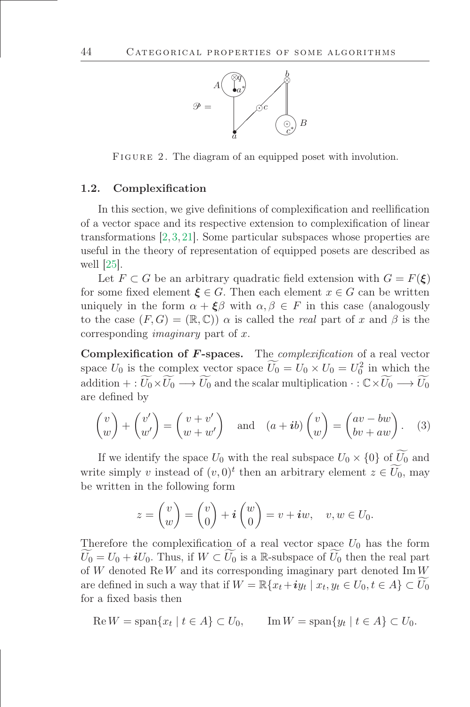

<span id="page-6-0"></span>FIGURE 2. The diagram of an equipped poset with involution.

#### 1.2. Complexification

In this section, we give definitions of complexification and reellification of a vector space and its respective extension to complexiőcation of linear transformations [\[2,](#page-47-9) [3,](#page-47-14) [21\]](#page-48-11). Some particular subspaces whose properties are useful in the theory of representation of equipped posets are described as well [\[25\]](#page-48-8).

Let  $F \subset G$  be an arbitrary quadratic field extension with  $G = F(\xi)$ for some fixed element  $\xi \in G$ . Then each element  $x \in G$  can be written uniquely in the form  $\alpha + \xi \beta$  with  $\alpha, \beta \in F$  in this case (analogously to the case  $(F, G) = (\mathbb{R}, \mathbb{C})$  a is called the real part of x and  $\beta$  is the corresponding imaginary part of x.

Complexification of  $F$ -spaces. The *complexification* of a real vector space  $U_0$  is the complex vector space  $\overline{U_0} = U_0 \times U_0 = U_0^2$  in which the addition + :  $\widetilde{U_0} \times \widetilde{U_0} \longrightarrow \widetilde{U_0}$  and the scalar multiplication  $\cdot : \mathbb{C} \times \widetilde{U_0} \longrightarrow \widetilde{U_0}$ are deőned by

$$
\begin{pmatrix} v \\ w \end{pmatrix} + \begin{pmatrix} v' \\ w' \end{pmatrix} = \begin{pmatrix} v + v' \\ w + w' \end{pmatrix} \text{ and } (a + ib) \begin{pmatrix} v \\ w \end{pmatrix} = \begin{pmatrix} av - bw \\ bv + aw \end{pmatrix}. \quad (3)
$$

If we identify the space  $U_0$  with the real subspace  $U_0 \times \{0\}$  of  $\widetilde{U_0}$  and write simply v instead of  $(v, 0)^t$  then an arbitrary element  $z \in U_0$ , may be written in the following form

$$
z = \begin{pmatrix} v \\ w \end{pmatrix} = \begin{pmatrix} v \\ 0 \end{pmatrix} + \mathbf{i} \begin{pmatrix} w \\ 0 \end{pmatrix} = v + \mathbf{i}w, \quad v, w \in U_0.
$$

Therefore the complexification of a real vector space  $U_0$  has the form  $\widetilde{U_0} = U_0 + iU_0$ . Thus, if  $W \subset \widetilde{U_0}$  is a R-subspace of  $\widetilde{U_0}$  then the real part of W denoted  $\text{Re }W$  and its corresponding imaginary part denoted  $\text{Im }W$ are defined in such a way that if  $W = \mathbb{R}\{x_t + iy_t \mid x_t, y_t \in U_0, t \in A\} \subset U_0$ for a fixed basis then

$$
\operatorname{Re} W = \operatorname{span}\{x_t \mid t \in A\} \subset U_0, \qquad \operatorname{Im} W = \operatorname{span}\{y_t \mid t \in A\} \subset U_0.
$$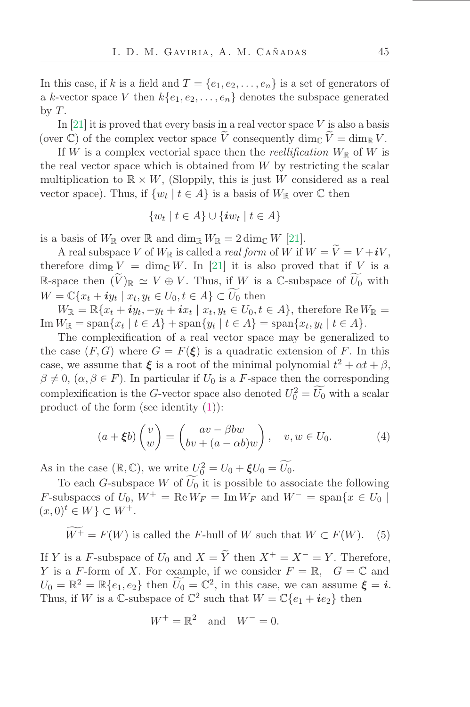In this case, if k is a field and  $T = \{e_1, e_2, \ldots, e_n\}$  is a set of generators of a k-vector space V then  $k\{e_1, e_2, \ldots, e_n\}$  denotes the subspace generated by  $T$ .

In [\[21\]](#page-48-11) it is proved that every basis in a real vector space  $V$  is also a basis (over C) of the complex vector space  $\tilde{V}$  consequently dim<sub>C</sub>  $\tilde{V} = \dim_{\mathbb{R}} V$ .

If W is a complex vectorial space then the reellification  $W_{\mathbb{R}}$  of W is the real vector space which is obtained from  $W$  by restricting the scalar multiplication to  $\mathbb{R} \times W$ , (Sloppily, this is just W considered as a real vector space). Thus, if  $\{w_t \mid t \in A\}$  is a basis of  $W_{\mathbb{R}}$  over  $\mathbb C$  then

$$
\{w_t \mid t \in A\} \cup \{\boldsymbol{i}w_t \mid t \in A\}
$$

is a basis of  $W_{\mathbb{R}}$  over  $\mathbb{R}$  and  $\dim_{\mathbb{R}} W_{\mathbb{R}} = 2 \dim_{\mathbb{C}} W$  [\[21\]](#page-48-11).

A real subspace V of  $W_{\mathbb{R}}$  is called a *real form* of  $\hat{W}$  if  $W = \tilde{V} = V + iV$ , therefore dim<sub>R</sub>  $V = \dim_{\mathbb{C}} W$ . In [\[21\]](#page-48-11) it is also proved that if V is a R-space then  $(\widetilde{V})_{\mathbb{R}} \simeq V \oplus V$ . Thus, if W is a C-subspace of  $\widetilde{U_0}$  with  $W = \mathbb{C}\lbrace x_t + iy_t \mid x_t, y_t \in U_0, t \in A \rbrace \subset U_0$  then

 $W_{\mathbb{R}} = \mathbb{R}\{x_t + iy_t, -y_t + ix_t \mid x_t, y_t \in U_0, t \in A\}$ , therefore  $\text{Re } W_{\mathbb{R}} =$  $\text{Im}\,W_{\mathbb{R}} = \text{span}\{x_t \mid t \in A\} + \text{span}\{y_t \mid t \in A\} = \text{span}\{x_t, y_t \mid t \in A\}.$ 

The complexification of a real vector space may be generalized to the case  $(F, G)$  where  $G = F(\xi)$  is a quadratic extension of F. In this case, we assume that  $\xi$  is a root of the minimal polynomial  $t^2 + \alpha t + \beta$ ,  $\beta \neq 0$ ,  $(\alpha, \beta \in F)$ . In particular if  $U_0$  is a F-space then the corresponding complexification is the G-vector space also denoted  $U_0^2 = U_0$  with a scalar product of the form (see identity  $(1)$ ):

$$
(a + \xi b) \begin{pmatrix} v \\ w \end{pmatrix} = \begin{pmatrix} av - \beta bw \\ bv + (a - \alpha b) w \end{pmatrix}, \quad v, w \in U_0.
$$
 (4)

As in the case  $(\mathbb{R}, \mathbb{C})$ , we write  $U_0^2 = U_0 + \xi U_0 = U_0$ .

To each G-subspace W of  $\widetilde{U_0}$  it is possible to associate the following F-subspaces of  $U_0$ ,  $W^+ = \text{Re } W_F = \text{Im } W_F$  and  $W^- = \text{span}\{x \in U_0 \mid$  $(x, 0)<sup>t</sup> \in W$   $\subset W<sup>+</sup>$ .

<span id="page-7-0"></span>
$$
W^+ = F(W)
$$
 is called the *F*-hull of *W* such that  $W \subset F(W)$ . (5)

If Y is a F-subspace of  $U_0$  and  $X = \widetilde{Y}$  then  $X^+ = X^- = Y$ . Therefore, Y is a F-form of X. For example, if we consider  $F = \mathbb{R}$ ,  $G = \mathbb{C}$  and  $U_0 = \mathbb{R}^2 = \mathbb{R}\{e_1, e_2\}$  then  $U_0 = \mathbb{C}^2$ , in this case, we can assume  $\xi = i$ . Thus, if W is a C-subspace of  $\mathbb{C}^2$  such that  $W = \mathbb{C}\{e_1 + ie_2\}$  then

$$
W^+ = \mathbb{R}^2 \quad \text{and} \quad W^- = 0.
$$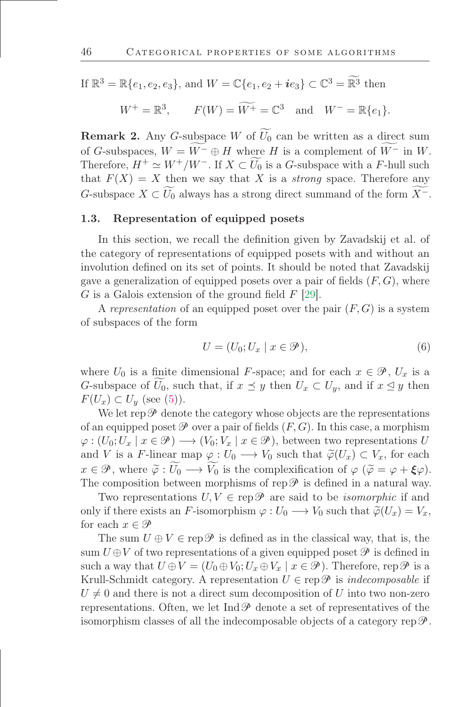If 
$$
\mathbb{R}^3 = \mathbb{R}\{e_1, e_2, e_3\}
$$
, and  $W = \mathbb{C}\{e_1, e_2 + ie_3\} \subset \mathbb{C}^3 = \widetilde{\mathbb{R}^3}$  then

$$
W^+ = \mathbb{R}^3, \qquad F(W) = \widetilde{W^+} = \mathbb{C}^3 \quad \text{and} \quad W^- = \mathbb{R}\{e_1\}.
$$

**Remark 2.** Any G-subspace W of  $\widetilde{U_0}$  can be written as a direct sum of G-subspaces,  $W = \widetilde{W}^- \oplus H$  where H is a complement of  $\widetilde{W}^-$  in W. Therefore,  $H^+ \simeq W^+/W^-$ . If  $X \subset \widetilde{U_0}$  is a G-subspace with a F-hull such that  $F(X) = X$  then we say that X is a *strong* space. Therefore any G-subspace  $X \subset U_0$  always has a strong direct summand of the form  $X^-$ .

#### 1.3. Representation of equipped posets

In this section, we recall the definition given by Zavadskij et al. of the category of representations of equipped posets with and without an involution deőned on its set of points. It should be noted that Zavadskij gave a generalization of equipped posets over a pair of fields  $(F, G)$ , where G is a Galois extension of the ground field  $F$  [\[29\]](#page-48-12).

A representation of an equipped poset over the pair  $(F, G)$  is a system of subspaces of the form

$$
U = (U_0; U_x \mid x \in \mathcal{P}), \tag{6}
$$

where  $U_0$  is a finite dimensional F-space; and for each  $x \in \mathcal{P}$ ,  $U_x$  is a G-subspace of  $U_0$ , such that, if  $x \preceq y$  then  $U_x \subset U_y$ , and if  $x \preceq y$  then  $F(U_x) \subset U_y$  (see [\(5\)](#page-7-0)).

We let rep  $\mathscr P$  denote the category whose objects are the representations of an equipped poset  $\mathscr P$  over a pair of fields  $(F, G)$ . In this case, a morphism  $\varphi: (U_0; U_x \mid x \in \mathcal{P}) \longrightarrow (V_0; V_x \mid x \in \mathcal{P})$ , between two representations U and V is a F-linear map  $\varphi: U_0 \longrightarrow V_0$  such that  $\widetilde{\varphi}(U_x) \subset V_x$ , for each  $x \in \mathcal{P}$ , where  $\widetilde{\varphi}: \widetilde{U_0} \longrightarrow \widetilde{V_0}$  is the complexification of  $\varphi$  ( $\widetilde{\varphi} = \varphi + \xi \varphi$ ). The composition between morphisms of rep  $\mathscr P$  is defined in a natural way.

Two representations  $U, V \in \text{rep}\,\mathscr{P}$  are said to be *isomorphic* if and only if there exists an F-isomorphism  $\varphi: U_0 \longrightarrow V_0$  such that  $\widetilde{\varphi}(U_x) = V_x$ , for each  $x \in \mathcal{P}$ 

The sum  $U \oplus V \in \text{rep}\,\mathscr{P}$  is defined as in the classical way, that is, the sum  $U \oplus V$  of two representations of a given equipped poset  $\mathscr P$  is defined in such a way that  $U \oplus V = (U_0 \oplus V_0; U_x \oplus V_x | x \in \mathcal{P})$ . Therefore, rep  $\mathcal P$  is a Krull-Schmidt category. A representation  $U \in \text{rep}\mathscr{P}$  is *indecomposable* if  $U \neq 0$  and there is not a direct sum decomposition of U into two non-zero representations. Often, we let  $\text{Ind}\mathcal{P}$  denote a set of representatives of the isomorphism classes of all the indecomposable objects of a category rep $\mathscr{P}$ .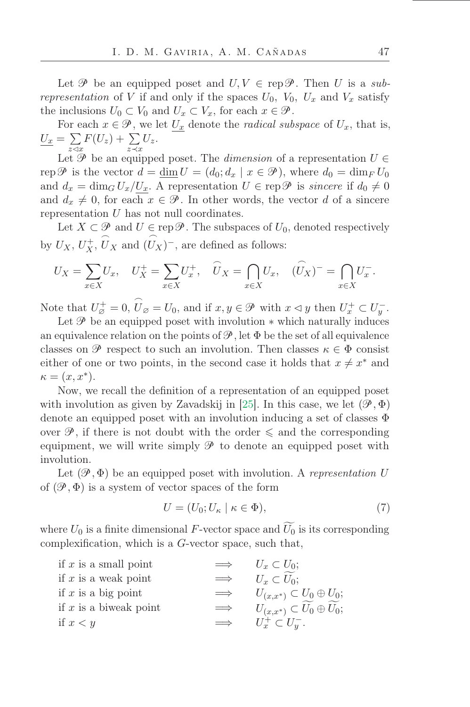Let  $\mathscr P$  be an equipped poset and  $U, V \in \text{rep}\mathscr P$ . Then U is a subrepresentation of V if and only if the spaces  $U_0$ ,  $V_0$ ,  $U_x$  and  $V_x$  satisfy the inclusions  $U_0 \subset V_0$  and  $U_x \subset V_x$ , for each  $x \in \mathcal{P}$ .

For each  $x \in \mathcal{P}$ , we let  $U_x$  denote the *radical subspace* of  $U_x$ , that is,  $U_x = \sum$  $\sum_{z\prec x} F(U_z) + \sum_{z\prec x} U_z.$ 

Let  $\mathcal P$  be an equipped poset. The *dimension* of a representation  $U \in$ rep  $\mathscr P$  is the vector  $d = \underline{\dim} U = (d_0; d_x \mid x \in \mathscr P)$ , where  $d_0 = \dim_F U_0$ and  $d_x = \dim_G U_x/U_x$ . A representation  $U \in \text{rep}\,\mathscr{P}$  is sincere if  $d_0 \neq 0$ and  $d_x \neq 0$ , for each  $x \in \mathcal{P}$ . In other words, the vector d of a sincere representation U has not null coordinates.

Let  $X \subset \mathcal{P}$  and  $U \in \text{rep}\,\mathcal{P}$ . The subspaces of  $U_0$ , denoted respectively by  $U_X, U_X^+, \widehat{U}_X$  and  $\frown$  $(U_X)^-$ , are defined as follows:

$$
U_X = \sum_{x \in X} U_x, \quad U_X^+ = \sum_{x \in X} U_x^+, \quad \widehat{U}_X = \bigcap_{x \in X} U_x, \quad (\widehat{U}_X)^- = \bigcap_{x \in X} U_x^-.
$$

Note that  $U_{\varnothing}^+ = 0$ ,  $\widehat{U}_{\varnothing} = U_0$ , and if  $x, y \in \mathcal{P}$  with  $x \triangleleft y$  then  $U_x^+ \subset U_y^-$ .

Let  $\mathscr P$  be an equipped poset with involution  $*$  which naturally induces an equivalence relation on the points of  $\mathcal{P}$ , let  $\Phi$  be the set of all equivalence classes on  $\mathscr P$  respect to such an involution. Then classes  $\kappa \in \Phi$  consist either of one or two points, in the second case it holds that  $x \neq x^*$  and  $\kappa = (x, x^*).$ 

Now, we recall the deőnition of a representation of an equipped poset with involution as given by Zavadskij in [\[25\]](#page-48-8). In this case, we let  $(\mathscr{P}, \Phi)$ denote an equipped poset with an involution inducing a set of classes Φ over  $\mathscr{P}$ , if there is not doubt with the order  $\leq$  and the corresponding equipment, we will write simply  $\mathscr P$  to denote an equipped poset with involution.

Let  $(\mathscr{P}, \Phi)$  be an equipped poset with involution. A representation U of  $(\mathscr{P}, \Phi)$  is a system of vector spaces of the form

$$
U = (U_0; U_\kappa \mid \kappa \in \Phi),\tag{7}
$$

where  $U_0$  is a finite dimensional F-vector space and  $\widetilde{U_0}$  is its corresponding complexification, which is a  $G$ -vector space, such that,

| if $x$ is a small point  | $\implies$ | $U_x \subset U_0;$                    |
|--------------------------|------------|---------------------------------------|
| if $x$ is a weak point   | $\implies$ | $U_x \subset U_0$ ;                   |
| if x is a big point      | $\implies$ | $U_{(x,x^*)} \subset U_0 \oplus U_0;$ |
| if $x$ is a biweak point | $\implies$ | $U_{(x,x^*)} \subset U_0 \oplus U_0;$ |
| if $x < y$               | $\implies$ | $U_x^+ \subset U_y^-$ .               |
|                          |            |                                       |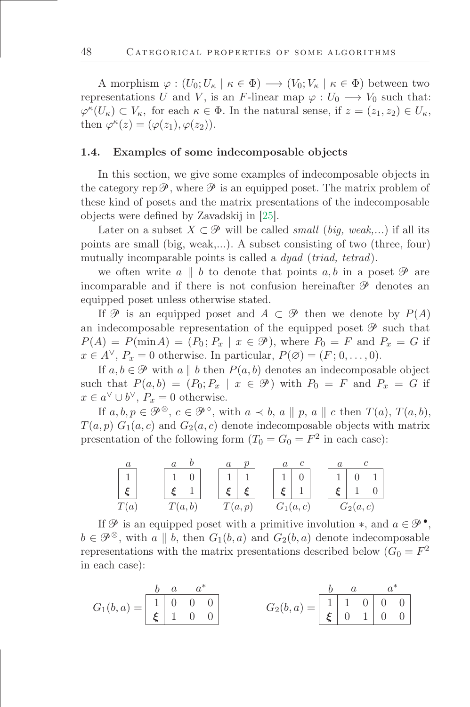A morphism  $\varphi : (U_0; U_\kappa \mid \kappa \in \Phi) \longrightarrow (V_0; V_\kappa \mid \kappa \in \Phi)$  between two representations U and V, is an F-linear map  $\varphi: U_0 \longrightarrow V_0$  such that:  $\varphi^{\kappa}(U_{\kappa}) \subset V_{\kappa}$ , for each  $\kappa \in \Phi$ . In the natural sense, if  $z = (z_1, z_2) \in U_{\kappa}$ , then  $\varphi^{\kappa}(z) = (\varphi(z_1), \varphi(z_2)).$ 

#### 1.4. Examples of some indecomposable objects

In this section, we give some examples of indecomposable objects in the category rep  $\mathscr P$ , where  $\mathscr P$  is an equipped poset. The matrix problem of these kind of posets and the matrix presentations of the indecomposable objects were deőned by Zavadskij in [\[25\]](#page-48-8).

Later on a subset  $X \subset \mathcal{P}$  will be called small (big, weak,...) if all its points are small (big, weak,...). A subset consisting of two (three, four) mutually incomparable points is called a *dyad* (*triad*, *tetrad*).

we often write  $a \parallel b$  to denote that points  $a, b$  in a poset  $\mathscr P$  are incomparable and if there is not confusion hereinafter  $\mathscr P$  denotes an equipped poset unless otherwise stated.

If  $\mathcal P$  is an equipped poset and  $A \subset \mathcal P$  then we denote by  $P(A)$ an indecomposable representation of the equipped poset  $\mathscr P$  such that  $P(A) = P(\min A) = (P_0; P_x \mid x \in \mathcal{P})$ , where  $P_0 = F$  and  $P_x = G$  if  $x \in A^{\vee}$ ,  $P_x = 0$  otherwise. In particular,  $P(\emptyset) = (F; 0, \ldots, 0)$ .

If  $a, b \in \mathcal{P}$  with a || b then  $P(a, b)$  denotes an indecomposable object such that  $P(a, b) = (P_0; P_x \mid x \in \mathcal{P})$  with  $P_0 = F$  and  $P_x = G$  if  $x \in a^{\vee} \cup b^{\vee}, P_x = 0$  otherwise.

If  $a, b, p \in \mathcal{P}^{\otimes}$ ,  $c \in \mathcal{P}^{\circ}$ , with  $a \prec b$ ,  $a \parallel p$ ,  $a \parallel c$  then  $T(a)$ ,  $T(a, b)$ ,  $T(a, p) G_1(a, c)$  and  $G_2(a, c)$  denote indecomposable objects with matrix presentation of the following form  $(T_0 = G_0 = F^2$  in each case):

$$
\begin{array}{c|c}\n a & a & b & a & p \\
\hline\n 1 & 0 & 1 & 1 \\
 \xi & 1 & \xi & \xi \\
\hline\n T(a, b) & T(a, p) & G_1(a, c) & G_2(a, c)\n\end{array}
$$

If  $\mathscr P$  is an equipped poset with a primitive involution  $\ast$ , and  $a \in \mathscr P$ <sup> $\bullet$ </sup>,  $b \in \mathcal{P}^{\otimes}$ , with a  $|| b$ , then  $G_1(b, a)$  and  $G_2(b, a)$  denote indecomposable representations with the matrix presentations described below  $(G_0 = F^2)$ in each case):

$$
G_1(b,a) = \begin{bmatrix} b & a & a^* \\ 1 & 0 & 0 \\ \xi & 1 & 0 & 0 \end{bmatrix} \qquad G_2(b,a) = \begin{bmatrix} b & a & a^* \\ 1 & 1 & 0 & 0 \\ \xi & 0 & 1 & 0 & 0 \end{bmatrix}
$$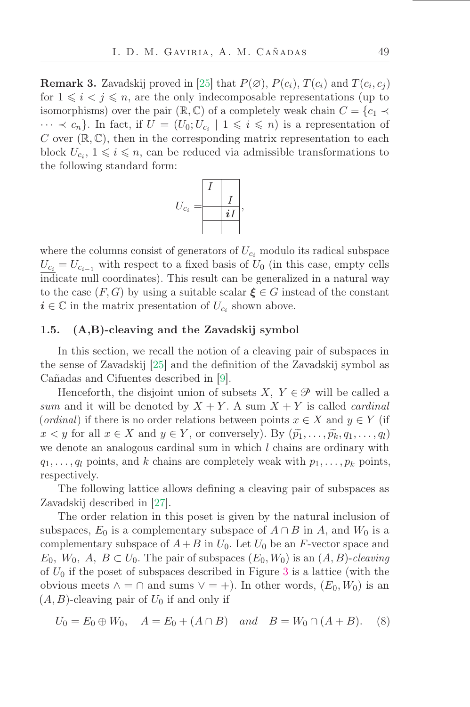**Remark 3.** Zavadskij proved in [\[25\]](#page-48-8) that  $P(\emptyset)$ ,  $P(c_i)$ ,  $T(c_i)$  and  $T(c_i, c_j)$ for  $1 \leq i \leq j \leq n$ , are the only indecomposable representations (up to isomorphisms) over the pair ( $\mathbb{R}, \mathbb{C}$ ) of a completely weak chain  $C = \{c_1 \prec$  $\cdots \prec c_n$ . In fact, if  $U = (U_0; U_{c_i} \mid 1 \leq i \leq n)$  is a representation of C over  $(\mathbb{R}, \mathbb{C})$ , then in the corresponding matrix representation to each block  $U_{c_i}$ ,  $1 \leq i \leq n$ , can be reduced via admissible transformations to the following standard form:



where the columns consist of generators of  $U_{c_i}$  modulo its radical subspace  $U_{c_i} = U_{c_{i-1}}$  with respect to a fixed basis of  $U_0$  (in this case, empty cells indicate null coordinates). This result can be generalized in a natural way to the case  $(F, G)$  by using a suitable scalar  $\xi \in G$  instead of the constant  $i \in \mathbb{C}$  in the matrix presentation of  $U_{c_i}$  shown above.

### 1.5. (A,B)-cleaving and the Zavadskij symbol

In this section, we recall the notion of a cleaving pair of subspaces in the sense of Zavadskij [\[25\]](#page-48-8) and the deőnition of the Zavadskij symbol as Cañadas and Cifuentes described in [\[9\]](#page-47-8).

Henceforth, the disjoint union of subsets  $X, Y \in \mathcal{P}$  will be called a sum and it will be denoted by  $X + Y$ . A sum  $X + Y$  is called *cardinal* (ordinal) if there is no order relations between points  $x \in X$  and  $y \in Y$  (if  $x < y$  for all  $x \in X$  and  $y \in Y$ , or conversely). By  $(\widetilde{p}_1, \ldots, \widetilde{p}_k, q_1, \ldots, q_l)$ we denote an analogous cardinal sum in which  $l$  chains are ordinary with  $q_1, \ldots, q_l$  points, and k chains are completely weak with  $p_1, \ldots, p_k$  points, respectively.

The following lattice allows defining a cleaving pair of subspaces as Zavadskij described in [\[27\]](#page-48-13).

The order relation in this poset is given by the natural inclusion of subspaces,  $E_0$  is a complementary subspace of  $A \cap B$  in A, and  $W_0$  is a complementary subspace of  $A+B$  in  $U_0$ . Let  $U_0$  be an F-vector space and  $E_0$ ,  $W_0$ ,  $A, B \subset U_0$ . The pair of subspaces  $(E_0, W_0)$  is an  $(A, B)$ -cleaving of  $U_0$  if the poset of subspaces described in Figure [3](#page-12-0) is a lattice (with the obvious meets  $\wedge = \cap$  and sums  $\vee = +$ ). In other words,  $(E_0, W_0)$  is an  $(A, B)$ -cleaving pair of  $U_0$  if and only if

$$
U_0 = E_0 \oplus W_0, \quad A = E_0 + (A \cap B) \quad and \quad B = W_0 \cap (A + B). \tag{8}
$$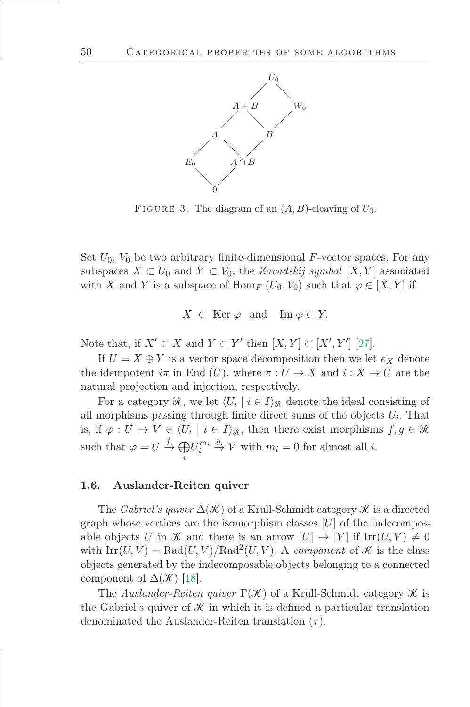

<span id="page-12-0"></span>FIGURE 3. The diagram of an  $(A, B)$ -cleaving of  $U_0$ .

Set  $U_0$ ,  $V_0$  be two arbitrary finite-dimensional F-vector spaces. For any subspaces  $X \subset U_0$  and  $Y \subset V_0$ , the Zavadskij symbol  $[X, Y]$  associated with X and Y is a subspace of Hom<sub>F</sub>  $(U_0, V_0)$  such that  $\varphi \in [X, Y]$  if

$$
X \subset \text{Ker } \varphi \text{ and } \text{Im } \varphi \subset Y.
$$

Note that, if  $X' \subset X$  and  $Y \subset Y'$  then  $[X, Y] \subset [X', Y']$  [\[27\]](#page-48-13).

If  $U = X \oplus Y$  is a vector space decomposition then we let  $e_X$  denote the idempotent  $i\pi$  in End  $(U)$ , where  $\pi: U \to X$  and  $i: X \to U$  are the natural projection and injection, respectively.

For a category  $\mathcal{R}$ , we let  $\langle U_i | i \in I \rangle_{\mathcal{R}}$  denote the ideal consisting of all morphisms passing through finite direct sums of the objects  $U_i$ . That is, if  $\varphi: U \to V \in \langle U_i \mid i \in I \rangle_{\mathcal{R}}$ , then there exist morphisms  $f, g \in \mathcal{R}$ such that  $\varphi = U \stackrel{f}{\rightarrow} \bigoplus$ i  $U_i^{m_i}$  $\stackrel{g}{\rightarrow} V$  with  $m_i = 0$  for almost all *i*.

### 1.6. Auslander-Reiten quiver

The Gabriel's quiver  $\Delta(\mathcal{K})$  of a Krull-Schmidt category  $\mathcal K$  is a directed graph whose vertices are the isomorphism classes  $[U]$  of the indecomposable objects U in  $\mathcal X$  and there is an arrow  $[U] \to [V]$  if  $\text{Irr}(U, V) \neq 0$ with  $\text{Irr}(U, V) = \text{Rad}(U, V) / \text{Rad}^2(U, V)$ . A component of X is the class objects generated by the indecomposable objects belonging to a connected component of  $\Delta(\mathcal{K})$  [\[18\]](#page-48-14).

The Auslander-Reiten quiver  $\Gamma(\mathcal{K})$  of a Krull-Schmidt category  $\mathcal K$  is the Gabriel's quiver of  $\mathcal K$  in which it is defined a particular translation denominated the Auslander-Reiten translation  $(\tau)$ .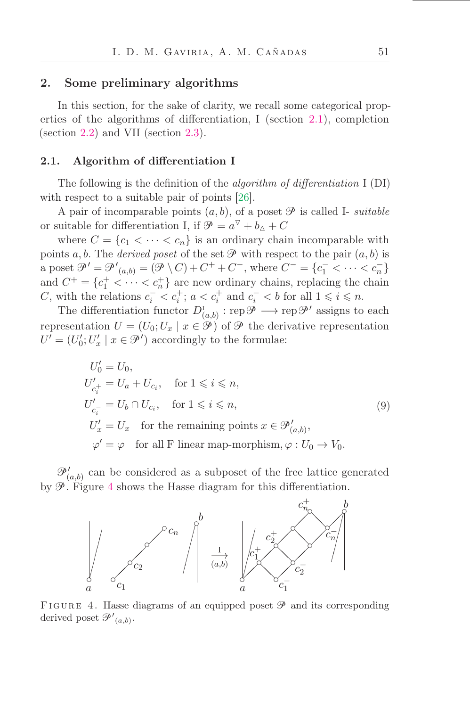### <span id="page-13-0"></span>2. Some preliminary algorithms

In this section, for the sake of clarity, we recall some categorical properties of the algorithms of differentiation, I (section [2.1\)](#page-13-1), completion (section [2.2\)](#page-14-0) and VII (section [2.3\)](#page-16-0).

#### <span id="page-13-1"></span>2.1. Algorithm of differentiation I

The following is the definition of the *algorithm of differentiation* I (DI) with respect to a suitable pair of points [\[26\]](#page-48-7).

A pair of incomparable points  $(a, b)$ , of a poset  $\mathscr P$  is called I- *suitable* or suitable for differentiation I, if  $\mathcal{P} = a^{\nabla} + b_{\Delta} + C$ 

where  $C = \{c_1 < \cdots < c_n\}$  is an ordinary chain incomparable with points a, b. The derived poset of the set  $\mathcal P$  with respect to the pair  $(a, b)$  is a poset  $\mathcal{P}' = \mathcal{P}'_{(a,b)} = (\mathcal{P} \setminus C) + C^+ + C^-$ , where  $C^- = \{c_1^- < \cdots < c_n^\}$ and  $C^+ = \{c_1^+ < \cdots < c_n^+\}$  are new ordinary chains, replacing the chain C, with the relations  $c_i^- < c_i^+$ ;  $a < c_i^+$  and  $c_i^- < b$  for all  $1 \leq i \leq n$ .

The differentiation functor  $D^{\text{I}}_{(a,b)} : \text{rep}\mathscr{P} \longrightarrow \text{rep}\mathscr{P}'$  assigns to each representation  $U = (U_0; U_x | x \in \mathcal{P})$  of  $\mathcal{P}$  the derivative representation  $U' = (U'_0; U'_x \mid x \in \mathcal{P}')$  accordingly to the formulae:

<span id="page-13-3"></span>
$$
U'_{0} = U_{0},
$$
  
\n
$$
U'_{c_{i}^{+}} = U_{a} + U_{c_{i}}, \text{ for } 1 \leq i \leq n,
$$
  
\n
$$
U'_{c_{i}^{-}} = U_{b} \cap U_{c_{i}}, \text{ for } 1 \leq i \leq n,
$$
  
\n
$$
U'_{x} = U_{x} \text{ for the remaining points } x \in \mathcal{P}'_{(a,b)},
$$
  
\n
$$
\varphi' = \varphi \text{ for all F linear map-morphism}, \varphi : U_{0} \to V_{0}.
$$
  
\n(9)

 $\mathcal{P}'_{(a,b)}$  can be considered as a subposet of the free lattice generated by  $\mathscr{P}$ . Figure [4](#page-13-2) shows the Hasse diagram for this differentiation.



<span id="page-13-2"></span>FIGURE 4. Hasse diagrams of an equipped poset  $\mathcal P$  and its corresponding derived poset  $\mathscr{P}'_{(a,b)}$ .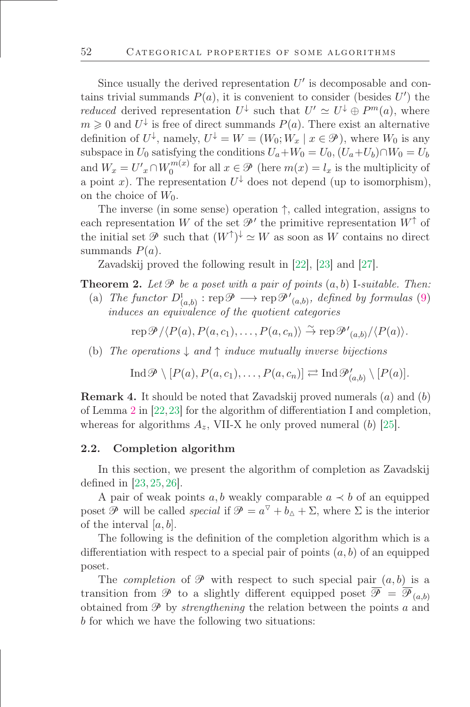Since usually the derived representation  $U'$  is decomposable and contains trivial summands  $P(a)$ , it is convenient to consider (besides  $U'$ ) the *reduced* derived representation  $U^{\downarrow}$  such that  $U' \simeq U^{\downarrow} \oplus P^m(a)$ , where  $m \geqslant 0$  and  $U^{\downarrow}$  is free of direct summands  $P(a)$ . There exist an alternative definition of  $U^{\downarrow}$ , namely,  $U^{\downarrow} = W = (W_0; W_x \mid x \in \mathcal{P})$ , where  $W_0$  is any subspace in  $U_0$  satisfying the conditions  $U_a+W_0=U_0$ ,  $(U_a+U_b)\cap W_0=U_b$ and  $W_x = U'_x \cap W_0^{m(x)}$  $\binom{m(x)}{0}$  for all  $x \in \mathcal{P}$  (here  $m(x) = l_x$  is the multiplicity of a point x). The representation  $U^{\downarrow}$  does not depend (up to isomorphism), on the choice of  $W_0$ .

The inverse (in some sense) operation ↑, called integration, assigns to each representation W of the set  $\mathcal{P}'$  the primitive representation  $W^{\uparrow}$  of the initial set  $\mathscr P$  such that  $(W^{\uparrow})^{\downarrow} \simeq W$  as soon as W contains no direct summands  $P(a)$ .

Zavadskij proved the following result in [\[22\]](#page-48-2), [\[23\]](#page-48-3) and [\[27\]](#page-48-13).

<span id="page-14-1"></span>**Theorem 2.** Let  $\mathcal{P}$  be a poset with a pair of points  $(a, b)$  I-suitable. Then:

(a) The functor  $D^{\mathrm{I}}_{(a,b)} : \mathrm{rep} \mathscr{P} \longrightarrow \mathrm{rep} \mathscr{P'}_{(a,b)},$  defined by formulas [\(9\)](#page-13-3) induces an equivalence of the quotient categories

rep  $\mathscr{P}/\langle P(a), P(a, c_1), \ldots, P(a, c_n) \rangle \stackrel{\sim}{\rightarrow} \text{rep } \mathscr{P'}_{(a,b)}/\langle P(a) \rangle$ .

(b) The operations  $\downarrow$  and  $\uparrow$  induce mutually inverse bijections

Ind  $\mathscr{P} \setminus [P(a), P(a, c_1), \ldots, P(a, c_n)] \rightleftarrows \text{Ind} \mathscr{P}'_{(a,b)} \setminus [P(a)].$ 

**Remark 4.** It should be noted that Zavadskij proved numerals  $(a)$  and  $(b)$ of Lemma [2](#page-14-1) in [\[22,](#page-48-2)[23\]](#page-48-3) for the algorithm of differentiation I and completion, whereas for algorithms  $A_z$ , VII-X he only proved numeral (b) [\[25\]](#page-48-8).

### <span id="page-14-0"></span>2.2. Completion algorithm

In this section, we present the algorithm of completion as Zavadskij defined in  $[23, 25, 26]$  $[23, 25, 26]$  $[23, 25, 26]$  $[23, 25, 26]$ .

A pair of weak points a, b weakly comparable  $a \prec b$  of an equipped poset  $\mathscr P$  will be called *special* if  $\mathscr P = a^{\nabla} + b_{\Delta} + \Sigma$ , where  $\Sigma$  is the interior of the interval  $[a, b]$ .

The following is the definition of the completion algorithm which is a differentiation with respect to a special pair of points  $(a, b)$  of an equipped poset.

The *completion* of  $\mathcal P$  with respect to such special pair  $(a, b)$  is a transition from  $\mathscr P$  to a slightly different equipped poset  $\overline{\mathscr P} = \overline{\mathscr P}_{(a,b)}$ obtained from  $\mathcal P$  by *strengthening* the relation between the points a and b for which we have the following two situations: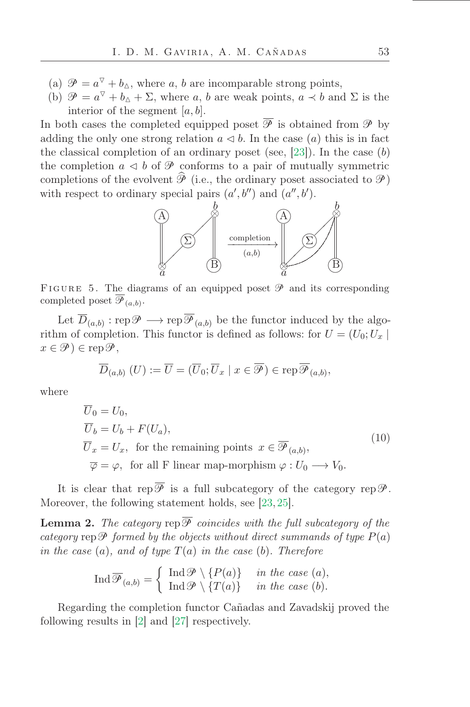- (a)  $\mathcal{P} = a^{\nabla} + b_{\Delta}$ , where a, b are incomparable strong points,
- (b)  $\mathcal{P} = a^{\nabla} + b_{\Delta} + \Sigma$ , where a, b are weak points,  $a \prec b$  and  $\Sigma$  is the interior of the segment  $[a, b]$ .

In both cases the completed equipped poset  $\overline{\mathscr{P}}$  is obtained from  $\mathscr{P}$  by adding the only one strong relation  $a \triangleleft b$ . In the case  $(a)$  this is in fact the classical completion of an ordinary poset (see,  $[23]$ ). In the case  $(b)$ the completion  $a \triangleleft b$  of  $\mathcal P$  conforms to a pair of mutually symmetric completions of the evolvent  $\widehat{\mathcal{P}}$  (i.e., the ordinary poset associated to  $\mathcal{P}$ ) with respect to ordinary special pairs  $(a', b'')$  and  $(a'', b')$ .



FIGURE 5. The diagrams of an equipped poset  $\mathcal P$  and its corresponding completed poset  $\mathscr{P}_{(a,b)}$ .

Let  $D_{(a,b)}: \text{rep}\mathscr{P} \longrightarrow \text{rep}\mathscr{P}_{(a,b)}$  be the functor induced by the algorithm of completion. This functor is defined as follows: for  $U = (U_0; U_x)$  $x \in \mathscr{P}$ )  $\in \operatorname{rep} \mathscr{P}$ ,

$$
\overline{D}_{(a,b)}(U) := \overline{U} = (\overline{U}_0; \overline{U}_x \mid x \in \overline{\mathcal{P}}) \in \operatorname{rep} \overline{\mathcal{P}}_{(a,b)},
$$

where

$$
\overline{U}_0 = U_0,
$$
\n
$$
\overline{U}_b = U_b + F(U_a),
$$
\n
$$
\overline{U}_x = U_x, \text{ for the remaining points } x \in \overline{\mathcal{P}}_{(a,b)},
$$
\n
$$
\overline{\varphi} = \varphi, \text{ for all F linear map-morphism } \varphi : U_0 \longrightarrow V_0.
$$
\n(10)

It is clear that rep  $\overline{\mathscr{P}}$  is a full subcategory of the category rep  $\mathscr{P}$ . Moreover, the following statement holds, see [\[23,](#page-48-3) [25\]](#page-48-8).

<span id="page-15-0"></span>**Lemma 2.** The category rep  $\mathcal P$  coincides with the full subcategory of the category rep  $\mathcal P$  formed by the objects without direct summands of type  $P(a)$ in the case (a), and of type  $T(a)$  in the case (b). Therefore

$$
\operatorname{Ind}\overline{\mathcal{P}}_{(a,b)} = \left\{ \begin{array}{ll} \operatorname{Ind}\mathcal{P} \setminus \{P(a)\} & \text{in the case } (a), \\ \operatorname{Ind}\mathcal{P} \setminus \{T(a)\} & \text{in the case } (b). \end{array} \right.
$$

Regarding the completion functor Cañadas and Zavadskij proved the following results in [\[2\]](#page-47-9) and [\[27\]](#page-48-13) respectively.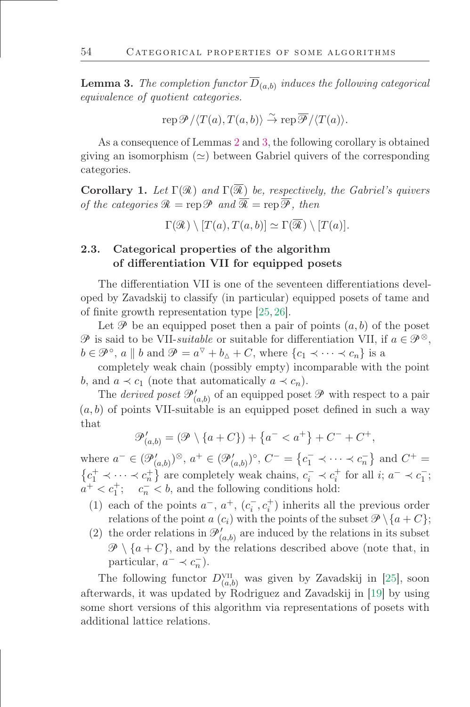<span id="page-16-1"></span>**Lemma 3.** The completion functor  $D_{(a,b)}$  induces the following categorical equivalence of quotient categories.

$$
\operatorname{rep}\overline{\mathscr{P}}/\langle T(a),T(a,b)\rangle \stackrel{\sim}{\to} \operatorname{rep}\overline{\mathscr{P}}/\langle T(a)\rangle.
$$

As a consequence of Lemmas [2](#page-15-0) and [3,](#page-16-1) the following corollary is obtained giving an isomorphism  $(\simeq)$  between Gabriel quivers of the corresponding categories.

**Corollary 1.** Let  $\Gamma(\mathcal{R})$  and  $\Gamma(\overline{\mathcal{R}})$  be, respectively, the Gabriel's quivers of the categories  $\mathcal{R} = \text{rep}\,\mathcal{P}$  and  $\overline{\mathcal{R}} = \text{rep}\,\overline{\mathcal{P}}$ , then

 $\Gamma(\mathcal{R}) \setminus [T(a), T(a, b)] \simeq \Gamma(\overline{\mathcal{R}}) \setminus [T(a)].$ 

# <span id="page-16-0"></span>2.3. Categorical properties of the algorithm of differentiation VII for equipped posets

The differentiation VII is one of the seventeen differentiations developed by Zavadskij to classify (in particular) equipped posets of tame and of finite growth representation type  $[25, 26]$  $[25, 26]$ .

Let  $\mathscr P$  be an equipped poset then a pair of points  $(a, b)$  of the poset  $\mathscr P$  is said to be VII-*suitable* or suitable for differentiation VII, if  $a \in \mathscr P^{\otimes}$ ,  $b \in \mathcal{P}^{\circ}$ ,  $a \parallel b$  and  $\mathcal{P} = a^{\nabla} + b_{\Delta} + C$ , where  $\{c_1 \prec \cdots \prec c_n\}$  is a

completely weak chain (possibly empty) incomparable with the point b, and  $a \prec c_1$  (note that automatically  $a \prec c_n$ ).

The *derived poset*  $\mathcal{P}'_{(a,b)}$  of an equipped poset  $\mathcal{P}$  with respect to a pair  $(a, b)$  of points VII-suitable is an equipped poset defined in such a way that

$$
\mathcal{P}'_{(a,b)} = (\mathcal{P} \setminus \{a+C\}) + \{a^- < a^+\} + C^- + C^+,
$$

where  $a^- \in (\mathcal{P}'_{(a,b)})^{\otimes}, a^+ \in (\mathcal{P}'_{(a,b)})^{\circ}, C^- = \{c_1^- \prec \cdots \prec c_n^-\}$  and  $C^+ =$  $\{c_1^+ \prec \cdots \prec c_n^+\}$  are completely weak chains,  $c_i^- \prec c_i^+$  for all  $i; a^- \prec c_1^-$ ;  $a^+ < c_1^+$ ;  $c_n^- < b$ , and the following conditions hold:

- (1) each of the points  $a^-$ ,  $a^+$ ,  $(c^-_i, c^+_i)$  inherits all the previous order relations of the point a  $(c_i)$  with the points of the subset  $\mathcal{P}\setminus\{a+C\};$
- (2) the order relations in  $\mathcal{P}'_{(a,b)}$  are induced by the relations in its subset  $\mathscr{P} \setminus \{a+C\}$ , and by the relations described above (note that, in particular,  $a^- \prec c_n^-$ ).

The following functor  $D_{(a,b)}^{\text{VII}}$  was given by Zavadskij in [\[25\]](#page-48-8), soon afterwards, it was updated by Rodriguez and Zavadskij in [\[19\]](#page-48-10) by using some short versions of this algorithm via representations of posets with additional lattice relations.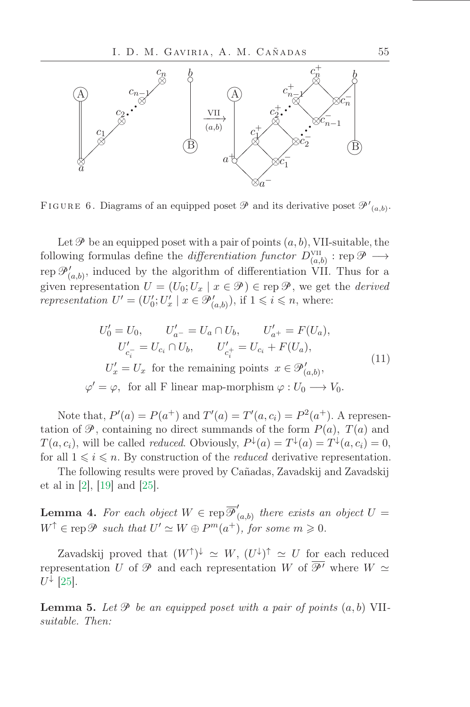

FIGURE 6. Diagrams of an equipped poset  $\mathscr P$  and its derivative poset  $\mathscr P'_{(a,b)}$ .

Let  $\mathscr P$  be an equipped poset with a pair of points  $(a, b)$ , VII-suitable, the following formulas define the *differentiation functor*  $D_{(a,b)}^{\text{VII}}$  : rep  $\mathscr{P} \longrightarrow$ rep  $\mathcal{P}'_{(a,b)}$ , induced by the algorithm of differentiation VII. Thus for a given representation  $U = (U_0; U_x \mid x \in \mathcal{P}) \in \text{rep } \mathcal{P}$ , we get the *derived* representation  $U' = (U'_0; U'_x \mid x \in \mathcal{P}'_{(a,b)})$ , if  $1 \leq i \leq n$ , where:

<span id="page-17-0"></span>
$$
U'_0 = U_0, \qquad U'_{a^-} = U_a \cap U_b, \qquad U'_{a^+} = F(U_a),
$$
  
\n
$$
U'_{c_i^-} = U_{c_i} \cap U_b, \qquad U'_{c_i^+} = U_{c_i} + F(U_a),
$$
  
\n
$$
U'_x = U_x \text{ for the remaining points } x \in \mathcal{P}'_{(a,b)},
$$
  
\n
$$
\varphi' = \varphi, \text{ for all F linear map-morphism } \varphi : U_0 \longrightarrow V_0.
$$
\n(11)

Note that,  $P'(a) = P(a^{+})$  and  $T'(a) = T'(a, c_i) = P^2(a^{+})$ . A representation of  $\mathcal{P}$ , containing no direct summands of the form  $P(a)$ ,  $T(a)$  and  $T(a, c_i)$ , will be called *reduced*. Obviously,  $P^{\downarrow}(a) = T^{\downarrow}(a) = T^{\downarrow}(a, c_i) = 0$ , for all  $1 \leq i \leq n$ . By construction of the *reduced* derivative representation.

The following results were proved by Cañadas, Zavadskij and Zavadskij et al in [\[2\]](#page-47-9), [\[19\]](#page-48-10) and [\[25\]](#page-48-8).

<span id="page-17-2"></span>**Lemma 4.** For each object  $W \in \text{rep } \overline{\mathcal{P}}'$  $\tilde{f}_{(a,b)}$  there exists an object  $U =$  $W^{\uparrow} \in \text{rep}\,\mathscr{P}$  such that  $U' \simeq W \oplus P^m(a^+),$  for some  $m \geqslant 0$ .

Zavadskij proved that  $(W^{\uparrow})^{\downarrow} \simeq W$ ,  $(U^{\downarrow})^{\uparrow} \simeq U$  for each reduced representation U of  $\mathcal P$  and each representation W of  $\overline{\mathcal P'}$  where  $W \simeq$  $U^{\downarrow}$  [\[25\]](#page-48-8).

<span id="page-17-1"></span>**Lemma 5.** Let  $\mathcal{P}$  be an equipped poset with a pair of points  $(a, b)$  VIIsuitable. Then: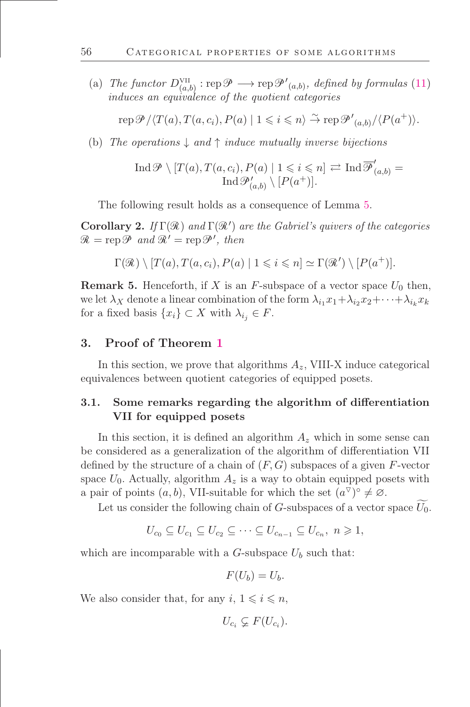(a) The functor  $D_{(a,b)}^{\text{VII}}$ :  $\text{rep}\mathscr{P} \longrightarrow \text{rep}\mathscr{P}'_{(a,b)}$ , defined by formulas [\(11\)](#page-17-0) induces an equivalence of the quotient categories

rep  $\mathcal{P}/\langle T(a), T(a, c_i), P(a) | 1 \leq i \leq n \rangle \stackrel{\sim}{\to} \text{rep } \mathcal{P'}_{(a, b)}/\langle P(a^+) \rangle.$ 

(b) The operations  $\downarrow$  and  $\uparrow$  induce mutually inverse bijections

$$
\operatorname{Ind}\nolimits \mathscr{P} \setminus [T(a), T(a, c_i), P(a) \mid 1 \leq i \leq n] \rightleftarrows \operatorname{Ind}\nolimits \overline{\mathscr{P}}'_{(a,b)} =
$$
  

$$
\operatorname{Ind}\nolimits \mathscr{P}'_{(a,b)} \setminus [P(a^+)].
$$

The following result holds as a consequence of Lemma [5.](#page-17-1)

**Corollary 2.** If  $\Gamma(\mathcal{R})$  and  $\Gamma(\mathcal{R}')$  are the Gabriel's quivers of the categories  $\mathcal{R} = \text{rep}\,\mathcal{P}$  and  $\mathcal{R}' = \text{rep}\,\mathcal{P}'$ , then

$$
\Gamma(\mathcal{R}) \setminus [T(a), T(a, c_i), P(a) | 1 \leq i \leq n] \simeq \Gamma(\mathcal{R}') \setminus [P(a^+)].
$$

**Remark 5.** Henceforth, if X is an F-subspace of a vector space  $U_0$  then, we let  $\lambda_X$  denote a linear combination of the form  $\lambda_{i_1} x_1 + \lambda_{i_2} x_2 + \cdots + \lambda_{i_k} x_k$ for a fixed basis  $\{x_i\} \subset X$  with  $\lambda_{i_j} \in F$ .

## <span id="page-18-0"></span>3. Proof of Theorem [1](#page-2-0)

In this section, we prove that algorithms  $A_z$ , VIII-X induce categorical equivalences between quotient categories of equipped posets.

# 3.1. Some remarks regarding the algorithm of differentiation VII for equipped posets

In this section, it is defined an algorithm  $A_z$  which in some sense can be considered as a generalization of the algorithm of differentiation VII defined by the structure of a chain of  $(F, G)$  subspaces of a given F-vector space  $U_0$ . Actually, algorithm  $A_z$  is a way to obtain equipped posets with a pair of points  $(a, b)$ , VII-suitable for which the set  $(a^{\triangledown})^{\circ} \neq \emptyset$ .

Let us consider the following chain of G-subspaces of a vector space  $U_0$ .

$$
U_{c_0} \subseteq U_{c_1} \subseteq U_{c_2} \subseteq \cdots \subseteq U_{c_{n-1}} \subseteq U_{c_n}, n \geq 1,
$$

which are incomparable with a  $G$ -subspace  $U_b$  such that:

$$
F(U_b)=U_b.
$$

We also consider that, for any  $i, 1 \leq i \leq n$ ,

 $U_{c_i} \subsetneq F(U_{c_i}).$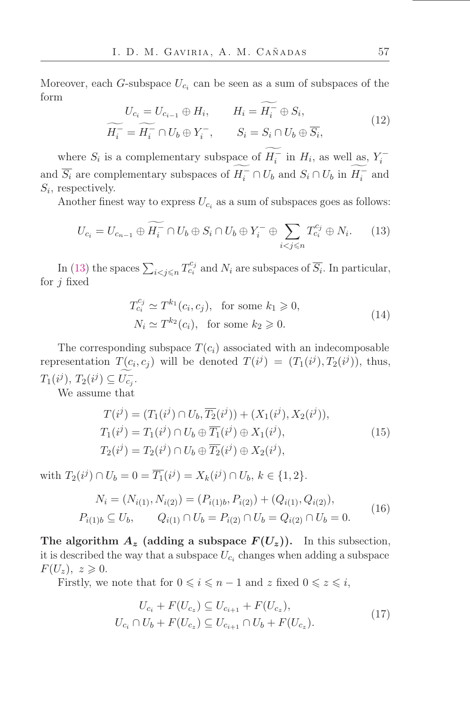Moreover, each *G*-subspace  $U_{c_i}$  can be seen as a sum of subspaces of the form

$$
U_{c_i} = U_{c_{i-1}} \oplus H_i, \qquad H_i = H_i^- \oplus S_i,
$$
  

$$
\widetilde{H_i^-} = \widetilde{H_i^-} \cap U_b \oplus Y_i^-, \qquad S_i = S_i \cap U_b \oplus \overline{S_i},
$$
  
(12)

where  $S_i$  is a complementary subspace of  $H_i^-$  in  $H_i$ , as well as,  $Y_i^$ and  $\overline{S_i}$  are complementary subspaces of  $H_i^- \cap U_b$  and  $S_i \cap U_b$  in  $H_i^-$  and  $S_i$ , respectively.

Another finest way to express  $U_{c_i}$  as a sum of subspaces goes as follows:

<span id="page-19-0"></span>
$$
U_{c_i} = U_{c_{n-1}} \oplus \widetilde{H_i} \cap U_b \oplus S_i \cap U_b \oplus Y_i^- \oplus \sum_{i < j \le n} T_{c_i}^{c_j} \oplus N_i. \tag{13}
$$

In [\(13\)](#page-19-0) the spaces  $\sum_{i < j \leq n} T_{c_i}^{c_j}$  and  $N_i$  are subspaces of  $\overline{S_i}$ . In particular, for  $j$  fixed

$$
T_{c_i}^{c_j} \simeq T^{k_1}(c_i, c_j), \text{ for some } k_1 \geqslant 0,
$$
  

$$
N_i \simeq T^{k_2}(c_i), \text{ for some } k_2 \geqslant 0.
$$
 (14)

The corresponding subspace  $T(c_i)$  associated with an indecomposable representation  $T(c_i, c_j)$  will be denoted  $T(i^j) = (T_1(i^j), T_2(i^j))$ , thus,  $T_1(i^j), T_2(i^j) \subseteq U_{c_j}^{-}.$ 

<span id="page-19-1"></span>We assume that

$$
T(i^j) = (T_1(i^j) \cap U_b, \overline{T_2}(i^j)) + (X_1(i^j), X_2(i^j)),
$$
  
\n
$$
T_1(i^j) = T_1(i^j) \cap U_b \oplus \overline{T_1}(i^j) \oplus X_1(i^j),
$$
  
\n
$$
T_2(i^j) = T_2(i^j) \cap U_b \oplus \overline{T_2}(i^j) \oplus X_2(i^j),
$$
\n(15)

with  $T_2(i^j) \cap U_b = 0 = \overline{T_1}(i^j) = X_k(i^j) \cap U_b, k \in \{1, 2\}.$ 

$$
N_i = (N_{i(1)}, N_{i(2)}) = (P_{i(1)b}, P_{i(2)}) + (Q_{i(1)}, Q_{i(2)}),
$$
  
\n
$$
P_{i(1)b} \subseteq U_b, \qquad Q_{i(1)} \cap U_b = P_{i(2)} \cap U_b = Q_{i(2)} \cap U_b = 0.
$$
 (16)

The algorithm  $A_z$  (adding a subspace  $F(U_z)$ ). In this subsection, it is described the way that a subspace  $U_{c_i}$  changes when adding a subspace  $F(U_z), z \geqslant 0.$ 

Firstly, we note that for  $0 \leq i \leq n-1$  and z fixed  $0 \leq z \leq i$ ,

$$
U_{c_i} + F(U_{c_z}) \subseteq U_{c_{i+1}} + F(U_{c_z}),
$$
  
\n
$$
U_{c_i} \cap U_b + F(U_{c_z}) \subseteq U_{c_{i+1}} \cap U_b + F(U_{c_z}).
$$
\n(17)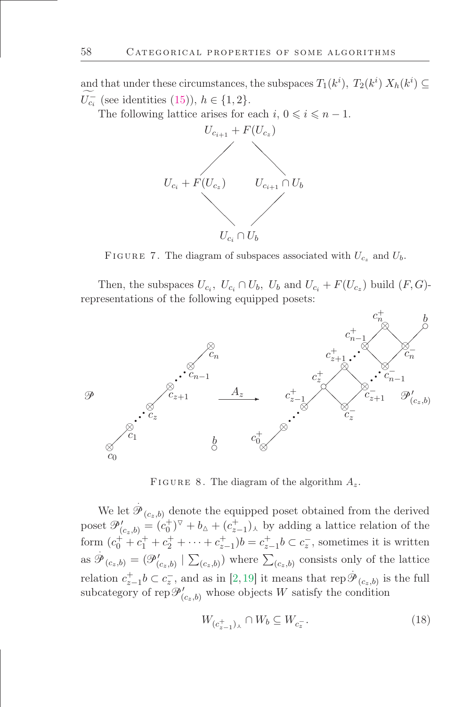and that under these circumstances, the subspaces  $T_1(k^i)$ ,  $T_2(k^i) X_h(k^i) \subseteq$  $U_{c_i}^-$  (see identities [\(15\)](#page-19-1)),  $h \in \{1, 2\}.$ 

The following lattice arises for each  $i, 0 \leq i \leq n - 1$ .



FIGURE 7. The diagram of subspaces associated with  $U_{c_z}$  and  $U_b$ .

Then, the subspaces  $U_{c_i}$ ,  $U_{c_i} \cap U_b$ ,  $U_b$  and  $U_{c_i} + F(U_{c_i})$  build  $(F, G)$ representations of the following equipped posets:



FIGURE 8. The diagram of the algorithm  $A_z$ .

We let  $\hat{\mathcal{P}}_{(c_z,b)}$  denote the equipped poset obtained from the derived poset  $\mathcal{P}'_{(c_2,b)} = (c_0^+)^{\vee} + b_{\Delta} + (c_{z-1}^+)_\lambda$  by adding a lattice relation of the form  $(c_0^+ + c_1^+ + c_2^+ + \cdots + c_{z-1}^+)b = c_{z-1}^+b \subset c_z^-$ , sometimes it is written as  $\mathscr{P}_{(c_z,b)} = (\mathscr{P}'_{(c_z,b)}) \sum_{(c_z,b)}$  where  $\sum_{(c_z,b)}$  consists only of the lattice relation  $c_{z-1}^+b\subset c_z^-$ , and as in [\[2,](#page-47-9)[19\]](#page-48-10) it means that rep $\mathscr{P}_{(c_z,b)}$  is the full subcategory of  $\text{rep}\,\mathscr{P}'_{(c_z,b)}$  whose objects W satisfy the condition

$$
W_{(c_{z-1}^+)_{\lambda}} \cap W_b \subseteq W_{c_z^-}.\tag{18}
$$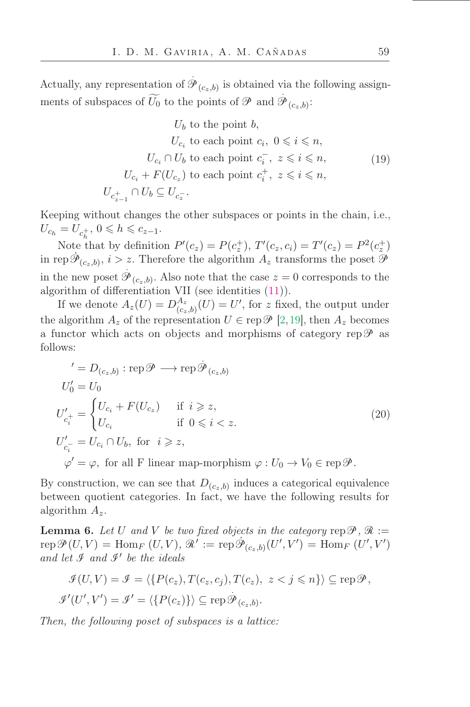Actually, any representation of  $\overrightarrow{\mathcal{G}}$  $\mathscr{P}_{(c_z,b)}$  is obtained via the following assignments of subspaces of  $\widetilde{U_0}$  to the points of  $\mathscr P$  and  $\widetilde{\mathscr D}$  $^{\mathscr{P}}{}_{(c_{z},b)}$ :

$$
U_b \text{ to the point } b,
$$
  
\n
$$
U_{c_i} \text{ to each point } c_i, \ 0 \leq i \leq n,
$$
  
\n
$$
U_{c_i} \cap U_b \text{ to each point } c_i^-, \ z \leq i \leq n,
$$
  
\n
$$
U_{c_i} + F(U_{c_z}) \text{ to each point } c_i^+, \ z \leq i \leq n,
$$
  
\n
$$
U_{c_{z-1}^+} \cap U_b \subseteq U_{c_z^-}.
$$
  
\n(19)

<span id="page-21-0"></span>Keeping without changes the other subspaces or points in the chain, i.e.,  $U_{c_h} = U_{c_h^+}$ ,  $0 \leq h \leq c_{z-1}$ .

Note that by definition  $P'(c_z) = P(c_z^+)$ ,  $T'(c_z, c_i) = T'(c_z) = P^2(c_z^+)$ in rep $\dot{\mathcal{P}}_{(c_z,b)}, i > z$ . Therefore the algorithm  $A_z$  transforms the poset  $\tilde{\mathcal{P}}$ in the new poset  $\overline{9}$  $\mathscr{P}_{(c_z,b)}$ . Also note that the case  $z=0$  corresponds to the algorithm of differentiation VII (see identities [\(11\)](#page-17-0)).

If we denote  $A_z(U) = D_{(c)}^{A_z}$  $\binom{A_z}{(c_z,b)}(U) = U'$ , for z fixed, the output under the algorithm  $A_z$  of the representation  $U \in \text{rep } \mathscr{P}$  [\[2,](#page-47-9)[19\]](#page-48-10), then  $A_z$  becomes a functor which acts on objects and morphisms of category rep  $\mathscr P$  as follows:

<span id="page-21-1"></span>
$$
{}^{'} = D_{(c_z, b)} : \text{rep } \mathcal{P} \longrightarrow \text{rep } \mathcal{P}_{(c_z, b)}
$$
  
\n
$$
U'_0 = U_0
$$
  
\n
$$
U'_{c_i^+} = \begin{cases} U_{c_i} + F(U_{c_z}) & \text{if } i \geq z, \\ U_{c_i} & \text{if } 0 \leq i < z. \end{cases}
$$
  
\n
$$
U'_{c_i^-} = U_{c_i} \cap U_b, \text{ for } i \geq z,
$$
  
\n
$$
\varphi' = \varphi, \text{ for all F linear map-morphism } \varphi : U_0 \to V_0 \in \text{rep } \mathcal{P}.
$$

By construction, we can see that  $D_{(c_z,b)}$  induces a categorical equivalence between quotient categories. In fact, we have the following results for algorithm  $A_z$ .

<span id="page-21-2"></span>**Lemma 6.** Let U and V be two fixed objects in the category rep  $\mathcal{P}, \mathcal{R} :=$ rep $\mathcal{P}(U, V) = \text{Hom}_{F}(U, V), \mathcal{R}' := \text{rep}\,\dot{\mathcal{P}}_{(c_{z}, b)}(U', V') = \text{Hom}_{F}(U', V')$ and let  $\mathcal I$  and  $\mathcal I'$  be the ideals

$$
\mathcal{J}(U,V) = \mathcal{J} = \langle \{P(c_z), T(c_z, c_j), T(c_z), z < j \leq n\} \rangle \subseteq \text{rep}\,\mathcal{P},
$$
  

$$
\mathcal{J}'(U',V') = \mathcal{J}' = \langle \{P(c_z)\} \rangle \subseteq \text{rep}\,\mathcal{P}_{(c_z,b)}.
$$

Then, the following poset of subspaces is a lattice: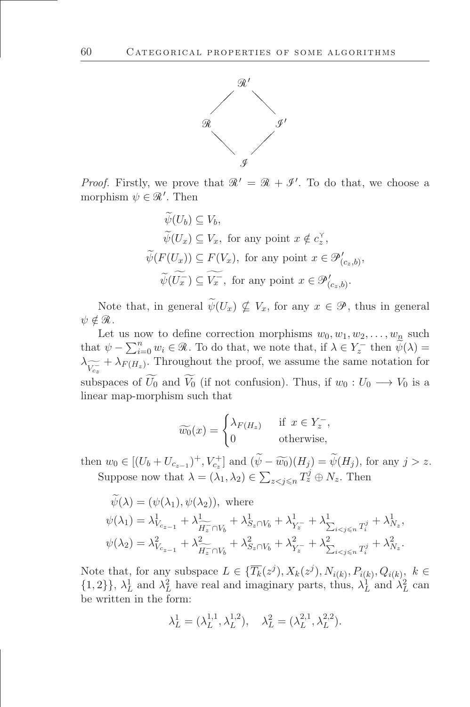

*Proof.* Firstly, we prove that  $\mathcal{R}' = \mathcal{R} + \mathcal{I}'$ . To do that, we choose a morphism  $\psi \in \mathcal{R}'$ . Then

$$
\widetilde{\psi}(U_b) \subseteq V_b,
$$
  
\n
$$
\widetilde{\psi}(U_x) \subseteq V_x, \text{ for any point } x \notin c_x^{\gamma},
$$
  
\n
$$
\widetilde{\psi}(F(U_x)) \subseteq F(V_x), \text{ for any point } x \in \mathcal{P}'_{(c_x, b)},
$$
  
\n
$$
\widetilde{\psi}(U_x^-) \subseteq \widetilde{V_x^-}, \text{ for any point } x \in \mathcal{P}'_{(c_x, b)}.
$$

Note that, in general  $\widetilde{\psi}(U_x) \nsubseteq V_x$ , for any  $x \in \mathcal{P}$ , thus in general  $\psi \notin \mathcal{R}$ .

Let us now to define correction morphisms  $w_0, w_1, w_2, \ldots, w_n$  such that  $\psi - \sum_{i=0}^{n} w_i \in \mathcal{R}$ . To do that, we note that, if  $\lambda \in Y_z^-$  then  $\widetilde{\psi}(\lambda) =$  $\lambda_{\widetilde{V_{c_z}}} + \lambda_{F(H_z)}$ . Throughout the proof, we assume the same notation for cz subspaces of  $U_0$  and  $V_0$  (if not confusion). Thus, if  $w_0 : U_0 \longrightarrow V_0$  is a linear map-morphism such that

$$
\widetilde{w_0}(x) = \begin{cases} \lambda_{F(H_z)} & \text{if } x \in Y_z^-, \\ 0 & \text{otherwise,} \end{cases}
$$

then  $w_0 \in [(U_b + U_{c_{z-1}})^+, V_{c_z}^+]$  and  $(\tilde{\psi} - \tilde{w_0})(H_j) = \tilde{\psi}(H_j)$ , for any  $j > z$ . Suppose now that  $\lambda = (\lambda_1, \lambda_2) \in \sum_{z \leq j \leq n} T_z^j \oplus N_z$ . Then

$$
\widetilde{\psi}(\lambda) = (\psi(\lambda_1), \psi(\lambda_2)), \text{ where}
$$
\n
$$
\psi(\lambda_1) = \lambda_{V_{c_{z-1}}}^1 + \lambda_{\widetilde{H_z} \cap V_b}^1 + \lambda_{S_z \cap V_b}^1 + \lambda_{Y_z}^1 + \lambda_{\sum_{i < j \le n} T_i^j}^1 + \lambda_{N_z}^1,
$$
\n
$$
\psi(\lambda_2) = \lambda_{V_{c_{z-1}}}^2 + \lambda_{\widetilde{H_z} \cap V_b}^2 + \lambda_{S_z \cap V_b}^2 + \lambda_{Y_z}^2 + \lambda_{\sum_{i < j \le n} T_i^j}^2 + \lambda_{N_z}^2.
$$

Note that, for any subspace  $L \in {\overline{T_k}(z^j), X_k(z^j), N_{i(k)}, P_{i(k)}, Q_{i(k)}, k \in$  $\{1,2\}\}\,$ ,  $\lambda_L^1$  and  $\lambda_L^2$  have real and imaginary parts, thus,  $\lambda_L^1$  and  $\lambda_L^2$  can be written in the form:

$$
\lambda_L^1 = (\lambda_L^{1,1}, \lambda_L^{1,2}), \quad \lambda_L^2 = (\lambda_L^{2,1}, \lambda_L^{2,2}).
$$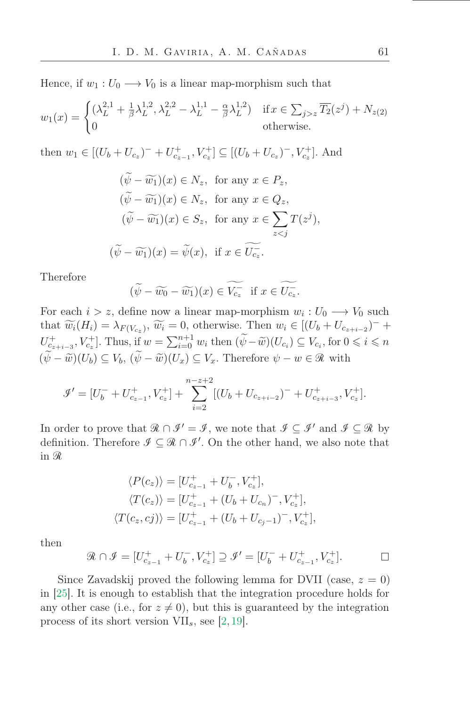Hence, if  $w_1 : U_0 \longrightarrow V_0$  is a linear map-morphism such that

$$
w_1(x) = \begin{cases} (\lambda_L^{2,1} + \frac{1}{\beta}\lambda_L^{1,2}, \lambda_L^{2,2} - \lambda_L^{1,1} - \frac{\alpha}{\beta}\lambda_L^{1,2}) & \text{if } x \in \sum_{j > z} \overline{T_2}(z^j) + N_{z(2)} \\ 0 & \text{otherwise.} \end{cases}
$$

then  $w_1 \in [(U_b + U_{c_z})^- + U_{c_{z-1}}^+, V_{c_z}^+] \subseteq [(U_b + U_{c_z})^-, V_{c_z}^+]$ . And

$$
(\psi - \widetilde{w_1})(x) \in N_z, \text{ for any } x \in P_z,
$$
  
\n
$$
(\widetilde{\psi} - \widetilde{w_1})(x) \in N_z, \text{ for any } x \in Q_z,
$$
  
\n
$$
(\widetilde{\psi} - \widetilde{w_1})(x) \in S_z, \text{ for any } x \in \sum_{z < j} T(z^j),
$$
  
\n
$$
(\widetilde{\psi} - \widetilde{w_1})(x) = \widetilde{\psi}(x), \text{ if } x \in \widetilde{U_{c_z}}.
$$

Therefore

$$
(\widetilde{\psi} - \widetilde{w_0} - \widetilde{w_1})(x) \in \widetilde{V_{c_z}} \text{ if } x \in \widetilde{U_{c_z}}.
$$

For each  $i > z$ , define now a linear map-morphism  $w_i : U_0 \longrightarrow V_0$  such that  $\widetilde{w_i}(H_i) = \lambda_{F(V_{c_z})}, \widetilde{w_i} = 0$ , otherwise. Then  $w_i \in [(U_b + U_{c_{z+i-2}})^- +$  $U_{c_{z+i-3}}^+$ ,  $V_{c_z}^+$ ]. Thus, if  $w = \sum_{i=0}^{n+1} w_i$  then  $(\widetilde{\psi} - \widetilde{w})(U_{c_i}) \subseteq V_{c_i}$ , for  $0 \leq i \leq n$  $(\widetilde{\psi}-\widetilde{w})(U_b) \subseteq V_b$ ,  $(\widetilde{\psi}-\widetilde{w})(U_x) \subseteq V_x$ . Therefore  $\psi - w \in \mathcal{R}$  with

$$
\mathcal{I}' = [U_b^- + U_{c_{z-1}}^+, V_{c_z}^+] + \sum_{i=2}^{n-z+2} [(U_b + U_{c_{z+i-2}})^- + U_{c_{z+i-3}}^+, V_{c_z}^+].
$$

In order to prove that  $\mathcal{R} \cap \mathcal{I}' = \mathcal{I}$ , we note that  $\mathcal{I} \subseteq \mathcal{I}'$  and  $\mathcal{I} \subseteq \mathcal{R}$  by definition. Therefore  $\mathcal{I} \subseteq \mathcal{R} \cap \mathcal{I}'$ . On the other hand, we also note that in R

$$
\langle P(c_z) \rangle = [U_{c_{z-1}}^+ + U_b^-, V_{c_z}^+],
$$
  
\n
$$
\langle T(c_z) \rangle = [U_{c_{z-1}}^+ + (U_b + U_{c_n})^-, V_{c_z}^+],
$$
  
\n
$$
\langle T(c_z, c_j) \rangle = [U_{c_{z-1}}^+ + (U_b + U_{c_j-1})^-, V_{c_z}^+],
$$

then

$$
\mathcal{R} \cap \mathcal{I} = [U_{c_{z-1}}^+ + U_b^-, V_{c_z}^+] \supseteq \mathcal{I}' = [U_b^- + U_{c_{z-1}}^+, V_{c_z}^+]. \square
$$

Since Zavadskij proved the following lemma for DVII (case,  $z = 0$ ) in [\[25\]](#page-48-8). It is enough to establish that the integration procedure holds for any other case (i.e., for  $z \neq 0$ ), but this is guaranteed by the integration process of its short version  $VII_s$ , see [\[2,](#page-47-9) [19\]](#page-48-10).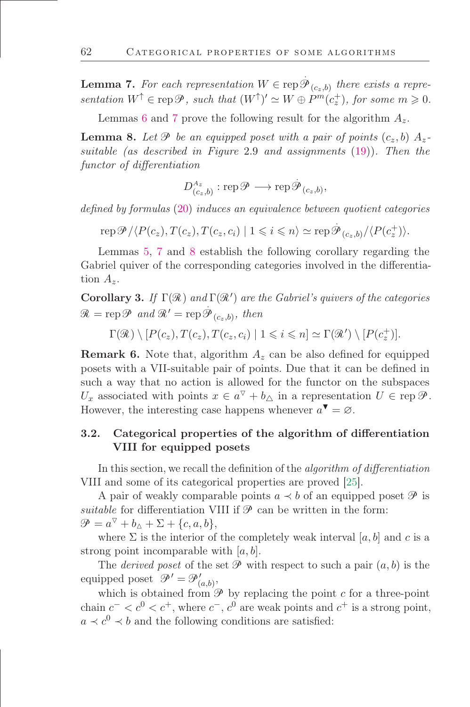<span id="page-24-0"></span>**Lemma 7.** For each representation  $W \in \text{rep} \, \hat{\mathcal{B}}$  $\mathscr{P}_{(c_{z},b)}$  there exists a representation  $W^{\uparrow} \in \text{rep}\,\mathscr{P}$ , such that  $(W^{\uparrow})' \simeq W \oplus P^m(c_z^+)$ , for some  $m \geq 0$ .

Lemmas [6](#page-21-2) and [7](#page-24-0) prove the following result for the algorithm  $A_z$ .

<span id="page-24-1"></span>**Lemma 8.** Let  $\mathcal{P}$  be an equipped poset with a pair of points  $(c_z, b)$   $A_z$ . suitable (as described in Figure 2.9 and assignments [\(19\)](#page-21-0)). Then the functor of differentiation

> $D^{A_z}_{(c_z,b)}: \operatorname{rep}\nolimits \mathscr{P} \longrightarrow \operatorname{rep}\nolimits \tilde{\mathscr{G}}$  ${\mathscr P}_{(c_ z, b)},$

defined by formulas [\(20\)](#page-21-1) induces an equivalence between quotient categories

 $\text{rep}\,\mathscr{P}/\langle P(c_z), T(c_z), T(c_z, c_i) \mid 1 \leqslant i \leqslant n \rangle \simeq \text{rep}\,\mathscr{P}_{(c_z, b)}/\langle P(c_z^+) \rangle.$ 

Lemmas [5,](#page-17-1) [7](#page-24-0) and [8](#page-24-1) establish the following corollary regarding the Gabriel quiver of the corresponding categories involved in the differentiation  $A_{\alpha}$ .

**Corollary 3.** If  $\Gamma(\mathcal{R})$  and  $\Gamma(\mathcal{R}')$  are the Gabriel's quivers of the categories  $\mathcal{R} = \text{rep}\,\mathcal{P} \text{ and } \mathcal{R}' = \text{rep}\,\mathcal{P}$  $\mathscr{P}_{(c_z,b)}$ , then

 $\Gamma(\mathcal{R}) \setminus [P(c_z), T(c_z), T(c_z, c_i) | 1 \leqslant i \leqslant n] \simeq \Gamma(\mathcal{R}') \setminus [P(c_z^+)].$ 

**Remark 6.** Note that, algorithm  $A<sub>z</sub>$  can be also defined for equipped posets with a VII-suitable pair of points. Due that it can be deőned in such a way that no action is allowed for the functor on the subspaces  $U_x$  associated with points  $x \in a^{\nabla} + b_{\Delta}$  in a representation  $U \in \text{rep } \mathscr{P}$ . However, the interesting case happens whenever  $a^{\blacktriangledown} = \varnothing$ .

# 3.2. Categorical properties of the algorithm of differentiation VIII for equipped posets

In this section, we recall the definition of the *algorithm of differentiation* VIII and some of its categorical properties are proved [\[25\]](#page-48-8).

A pair of weakly comparable points  $a \prec b$  of an equipped poset  $\mathscr P$  is suitable for differentiation VIII if  $\mathscr P$  can be written in the form:  $\mathscr{P} = a^{\triangledown} + b_{\triangle} + \Sigma + \{c, a, b\},\$ 

where  $\Sigma$  is the interior of the completely weak interval [a, b] and c is a strong point incomparable with  $[a, b]$ .

The *derived poset* of the set  $\mathcal P$  with respect to such a pair  $(a, b)$  is the equipped poset  $\mathscr{P}' = \mathscr{P}'_{(a,b)}$ ,

which is obtained from  $\mathscr P$  by replacing the point c for a three-point chain  $c^- < c^0 < c^+$ , where  $c^-$ ,  $c^0$  are weak points and  $c^+$  is a strong point,  $a \prec c^0 \prec b$  and the following conditions are satisfied: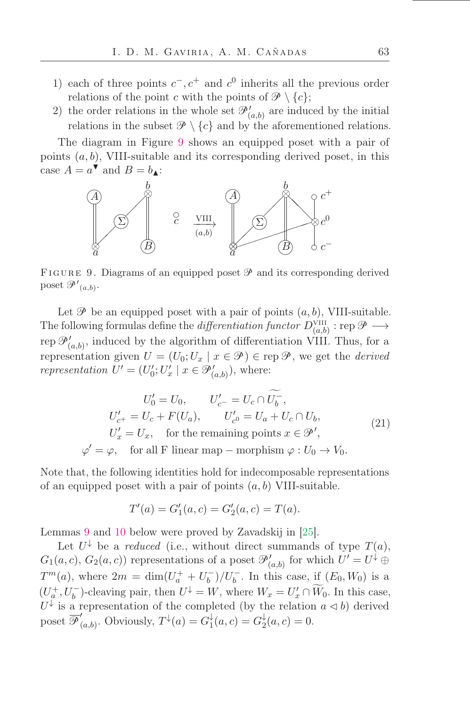- 1) each of three points  $c^-, c^+$  and  $c^0$  inherits all the previous order relations of the point c with the points of  $\mathscr{P} \setminus \{c\};$
- 2) the order relations in the whole set  $\mathcal{P}'_{(a,b)}$  are induced by the initial relations in the subset  $\mathcal{P} \setminus \{c\}$  and by the aforementioned relations.

The diagram in Figure [9](#page-25-1) shows an equipped poset with a pair of points  $(a, b)$ , VIII-suitable and its corresponding derived poset, in this case  $A = a^{\nabla}$  and  $B = b_{\blacktriangle}$ :



<span id="page-25-1"></span>FIGURE 9. Diagrams of an equipped poset  $\mathscr P$  and its corresponding derived poset  $\mathscr{P'}_{(a,b)}$ .

Let  $\mathscr P$  be an equipped poset with a pair of points  $(a, b)$ , VIII-suitable. The following formulas define the *differentiation functor*  $D_{(a,b)}^{\text{VIII}}$  : rep  $\mathscr{P} \longrightarrow$ rep  $\mathcal{P}'_{(a,b)}$ , induced by the algorithm of differentiation VIII. Thus, for a representation given  $U = (U_0; U_x \mid x \in \mathcal{P}) \in \text{rep } \mathcal{P}$ , we get the *derived* representation  $U' = (U'_0; U'_x \mid x \in \mathcal{P}'_{(a,b)})$ , where:

<span id="page-25-0"></span>
$$
U'_0 = U_0, \qquad U'_{c^-} = U_c \cap U_b^-,
$$
  
\n
$$
U'_{c^+} = U_c + F(U_a), \qquad U'_{c^0} = U_a + U_c \cap U_b,
$$
  
\n
$$
U'_x = U_x, \quad \text{for the remaining points } x \in \mathcal{P}',
$$
  
\n
$$
\varphi' = \varphi, \quad \text{for all F linear map} - \text{morphism } \varphi : U_0 \to V_0.
$$
\n(21)

Note that, the following identities hold for indecomposable representations of an equipped poset with a pair of points  $(a, b)$  VIII-suitable.

$$
T'(a) = G'_1(a, c) = G'_2(a, c) = T(a).
$$

Lemmas [9](#page-26-0) and [10](#page-26-1) below were proved by Zavadskij in [\[25\]](#page-48-8).

Let  $U^{\downarrow}$  be a *reduced* (i.e., without direct summands of type  $T(a)$ ,  $G_1(a, c), G_2(a, c)$  representations of a poset  $\mathcal{P}'_{(a, b)}$  for which  $U' = U^{\downarrow} \oplus$  $T^m(a)$ , where  $2m = \dim(U_a^+ + U_b^-)/U_b^-$ . In this case, if  $(E_0, W_0)$  is a  $(U_q^+, U_b^-)$ -cleaving pair, then  $U^{\downarrow} = W$ , where  $W_x = U'_x \cap \widetilde{W}_0$ . In this case,  $U^{\downarrow}$  is a representation of the completed (by the relation  $a \triangleleft b$ ) derived poset  $\overline{\mathscr{P}}_0'$  $C_{(a,b)}$ . Obviously,  $T^{\downarrow}(a) = G_1^{\downarrow}$  $G_1^{\downarrow}(a,c) = G_2^{\downarrow}$  $a_2^{\dagger}(a, c) = 0.$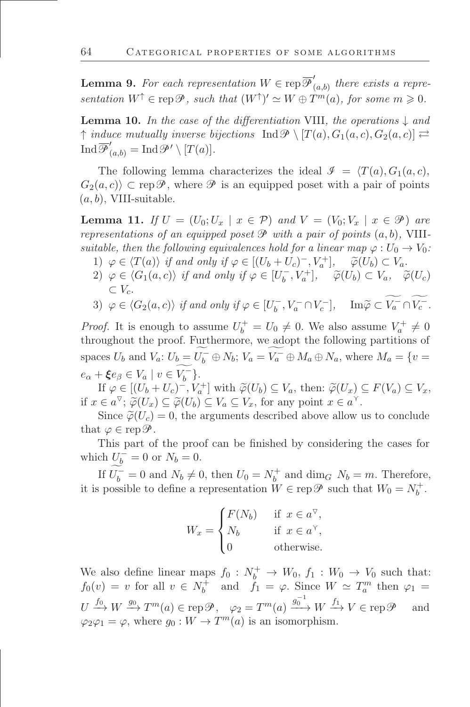<span id="page-26-0"></span>**Lemma 9.** For each representation  $W \in \text{rep } \overline{\mathcal{P}}'$  $(a,b)$  there exists a representation  $W^{\uparrow} \in \text{rep}\,\mathscr{P}$ , such that  $(W^{\uparrow})' \simeq W \oplus T^m(a)$ , for some  $m \geq 0$ .

<span id="page-26-1"></span>**Lemma 10.** In the case of the differentiation VIII, the operations  $\downarrow$  and  $\uparrow$  induce mutually inverse bijections  $\text{Ind}\mathcal{P}\setminus [T(a), G_1(a, c), G_2(a, c)] \rightleftarrows$ Ind  $\overline{\mathscr{P}}'_{(a,b)} = \text{Ind}\mathscr{P}' \setminus [T(a)].$ 

The following lemma characterizes the ideal  $\mathcal{I} = \langle T(a), G_1(a, c),$  $G_2(a, c)$   $\subset$  rep $\mathscr P$ , where  $\mathscr P$  is an equipped poset with a pair of points  $(a, b)$ , VIII-suitable.

<span id="page-26-2"></span>**Lemma 11.** If  $U = (U_0; U_x \mid x \in \mathcal{P})$  and  $V = (V_0; V_x \mid x \in \mathcal{P})$  are representations of an equipped poset  $\mathcal P$  with a pair of points  $(a, b)$ , VIIIsuitable, then the following equivalences hold for a linear map  $\varphi : U_0 \to V_0$ :

- 1)  $\varphi \in \langle T(a) \rangle$  if and only if  $\varphi \in [(U_b + U_c)^-, V_a^+]$ ,  $\widetilde{\varphi}(U_b) \subset V_a$ .
- 2)  $\varphi \in \langle G_1(a,c) \rangle$  if and only if  $\varphi \in [U_b^-, V_a^+]$ ,  $\widetilde{\varphi}(U_b) \subset V_a$ ,  $\widetilde{\varphi}(U_c)$  $\subset V_c$ .

3) 
$$
\varphi \in \langle G_2(a,c) \rangle
$$
 if and only if  $\varphi \in [U_b^-, V_a^- \cap V_c^-]$ ,  $\text{Im}\widetilde{\varphi} \subset V_a^- \cap V_c^-$ .

*Proof.* It is enough to assume  $U_b^+ = U_0 \neq 0$ . We also assume  $V_a^+ \neq 0$ throughout the proof. Furthermore, we adopt the following partitions of spaces  $U_b$  and  $V_a: U_b = U_b^- \oplus N_b$ ;  $V_a = V_a^- \oplus M_a \oplus N_a$ , where  $M_a = \{v =$  $e_{\alpha} + \xi e_{\beta} \in V_a \mid v \in V_b^-$ .

If  $\varphi \in [(U_b + U_c)^-, V_a^+]$  with  $\widetilde{\varphi}(U_b) \subseteq V_a$ , then:  $\widetilde{\varphi}(U_x) \subseteq F(V_a) \subseteq V_x$ , if  $x \in a^{\nabla}$ ;  $\widetilde{\varphi}(U_x) \subseteq \widetilde{\varphi}(U_b) \subseteq V_a \subseteq V_x$ , for any point  $x \in a^{\nabla}$ .

Since  $\tilde{\varphi}(U_c) = 0$ , the arguments described above allow us to conclude that  $\varphi \in \operatorname{rep} \mathscr{P}$ .

This part of the proof can be finished by considering the cases for which  $U_b^- = 0$  or  $N_b = 0$ .

If  $U_b^- = 0$  and  $N_b \neq 0$ , then  $U_0 = N_b^+$  and  $\dim_G N_b = m$ . Therefore, it is possible to define a representation  $W \in \text{rep } \mathscr{P}$  such that  $W_0 = N_b^+$ .

$$
W_x = \begin{cases} F(N_b) & \text{if } x \in a^{\nabla}, \\ N_b & \text{if } x \in a^{\nabla}, \\ 0 & \text{otherwise.} \end{cases}
$$

We also define linear maps  $f_0: N_b^+ \to W_0, f_1: W_0 \to V_0$  such that:  $f_0(v) = v$  for all  $v \in N_b^+$  and  $f_1 = \varphi$ . Since  $W \simeq T_a^m$  then  $\varphi_1 =$  $U \xrightarrow{f_0} W \xrightarrow{g_0} T^m(a) \in \text{rep}\,\mathscr{P}, \quad \varphi_2 = T^m(a) \xrightarrow{g_0^{-1}} W \xrightarrow{f_1} V \in \text{rep}\,\mathscr{P} \quad \text{ and}$  $\varphi_2 \varphi_1 = \varphi$ , where  $g_0 : W \to T^m(a)$  is an isomorphism.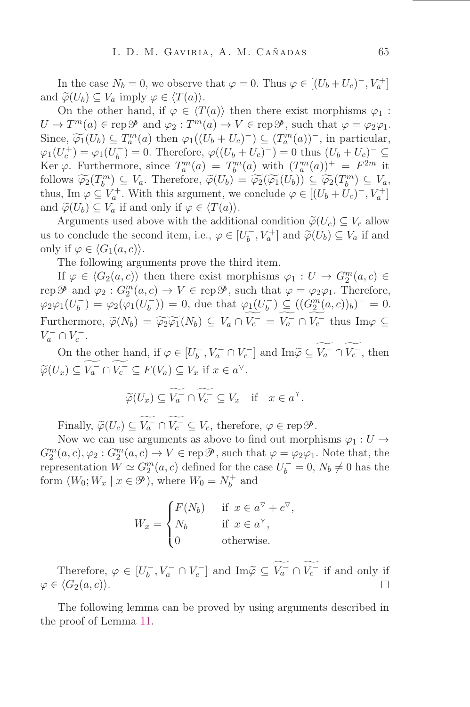In the case  $N_b = 0$ , we observe that  $\varphi = 0$ . Thus  $\varphi \in [(U_b + U_c)^{-}, V_a^{+}]$ and  $\widetilde{\varphi}(U_b) \subseteq V_a$  imply  $\varphi \in \langle T(a) \rangle$ .

On the other hand, if  $\varphi \in \langle T(a) \rangle$  then there exist morphisms  $\varphi_1$ :  $U \to T^m(a) \in \text{rep}\,\mathscr{P}$  and  $\varphi_2: T^m(a) \to V \in \text{rep}\,\mathscr{P}$ , such that  $\varphi = \varphi_2\varphi_1$ . Since,  $\widetilde{\varphi_1}(U_b) \subseteq T_a^m(a)$  then  $\varphi_1((U_b + U_c)^-) \subseteq (T_a^m(a))^-$ , in particular,  $\varphi_1(U_c^+) = \varphi_1(U_b^-) = 0.$  Therefore,  $\varphi((U_b + U_c)^-) = 0$  thus  $(U_b + U_c)^- \subseteq$ Ker  $\varphi$ . Furthermore, since  $T_a^m(a) = T_b^m(a)$  with  $(T_a^m(a))^+ = F^{2m}$  it follows  $\widetilde{\varphi_2}(T^m) \subseteq V_a$ . Therefore,  $\widetilde{\varphi}(U_b) = \widetilde{\varphi_2}(\widetilde{\varphi_1}(U_b)) \subseteq \widetilde{\varphi_2}(T^m) \subseteq V_a$ ,<br>thus lie  $\varphi \in V_a^+$ . With this comment we see that  $\varphi \in V_a^+$ . thus, Im  $\varphi \subseteq V_a^+$ . With this argument, we conclude  $\varphi \in [(U_b + U_c)^-, V_a^+]$ and  $\widetilde{\varphi}(U_b) \subseteq V_a$  if and only if  $\varphi \in \langle T(a) \rangle$ .

Arguments used above with the additional condition  $\widetilde{\varphi}(U_c) \subseteq V_c$  allow us to conclude the second item, i.e.,  $\varphi \in [U_b^-, V_a^+]$  and  $\widetilde{\varphi}(U_b) \subseteq V_a$  if and only if  $\varphi \in \langle G_1(a,c) \rangle$ .

The following arguments prove the third item.

If  $\varphi \in \langle G_2(a,c) \rangle$  then there exist morphisms  $\varphi_1: U \to G_2^m(a,c) \in$ rep  $\mathscr P$  and  $\varphi_2: G_2^m(a,c) \to V \in \operatorname{rep} \mathscr P$ , such that  $\varphi = \varphi_2 \varphi_1$ . Therefore,  $\varphi_2\varphi_1(U_b^-) = \varphi_2(\varphi_1(U_b^-)) = 0$ , due that  $\varphi_1(U_b^-) \subseteq ((G_2^m(a, c))_b)^- = 0$ . Furthermore,  $\widetilde{\varphi}(N_b) = \widetilde{\varphi_2}\widetilde{\varphi_1}(N_b) \subseteq V_a \cap V_c^- = V_a^- \cap V_c^-$  thus  $\text{Im}\varphi \subseteq V_a^- \cap V_c^ V_a^- \cap V_c^-$ .

On the other hand, if  $\varphi \in [U_b^-, V_a^- \cap V_c^-]$  and  $\text{Im} \widetilde{\varphi} \subseteq V_a^- \cap V_c^-$ , then  $\widetilde{\varphi}(U_x) \subseteq V_a^- \cap V_c^- \subseteq F(V_a) \subseteq V_x$  if  $x \in a^{\triangledown}$ .

$$
\widetilde{\varphi}(U_x) \subseteq \widetilde{V_a} \cap \widetilde{V_c} \subseteq V_x \quad \text{if} \quad x \in a^{\gamma}.
$$

Finally,  $\widetilde{\varphi}(U_c) \subseteq V_a^- \cap V_c^- \subseteq V_c$ , therefore,  $\varphi \in \operatorname{rep} \mathcal{P}$ .

Now we can use arguments as above to find out morphisms  $\varphi_1 : U \to$  $G_2^m(a, c), \varphi_2: G_2^m(a, c) \to V \in \text{rep}\,\mathscr{P}, \text{ such that } \varphi = \varphi_2\varphi_1.$  Note that, the representation  $W \simeq G_2^m(a, c)$  defined for the case  $U_b^- = 0$ ,  $N_b \neq 0$  has the form  $(W_0; W_x | x \in \mathcal{P})$ , where  $W_0 = N_b^+$  and

$$
W_x = \begin{cases} F(N_b) & \text{if } x \in a^{\nabla} + c^{\nabla}, \\ N_b & \text{if } x \in a^{\nabla}, \\ 0 & \text{otherwise.} \end{cases}
$$

Therefore,  $\varphi \in [U_b^-, V_a^- \cap V_c^-]$  and  $\text{Im} \widetilde{\varphi} \subseteq V_a^- \cap V_c^-$  if and only if  $\varphi \in \langle G_2(a,c) \rangle$ .  $\Box$ 

The following lemma can be proved by using arguments described in the proof of Lemma [11.](#page-26-2)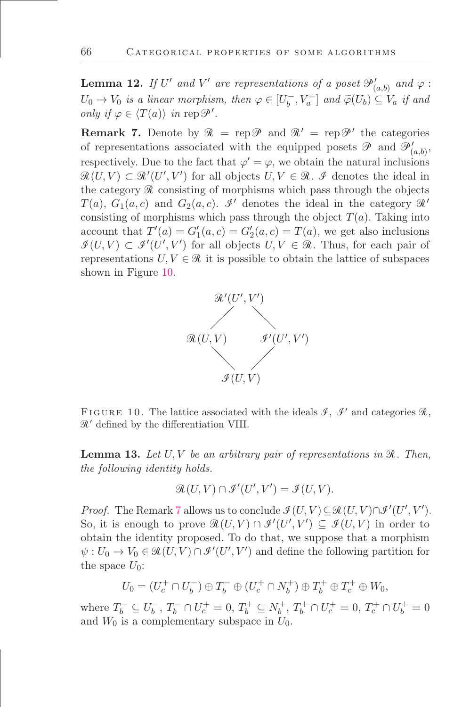<span id="page-28-2"></span>**Lemma 12.** If U' and V' are representations of a poset  $\mathcal{P}'_{(a,b)}$  and  $\varphi$ :  $U_0 \to V_0$  is a linear morphism, then  $\varphi \in [U_b^-, V_a^+]$  and  $\widetilde{\varphi}(U_b) \subseteq V_a$  if and only if  $\varphi \in \langle T(a) \rangle$  in rep  $\mathcal{P}'$ .

<span id="page-28-1"></span>**Remark 7.** Denote by  $\mathcal{R} = \text{rep}\mathcal{P}$  and  $\mathcal{R}' = \text{rep}\mathcal{P}'$  the categories of representations associated with the equipped posets  $\mathscr P$  and  $\mathscr P'_{(a,b)}$ , respectively. Due to the fact that  $\varphi' = \varphi$ , we obtain the natural inclusions  $\mathcal{R}(U,V) \subset \mathcal{R}'(U',V')$  for all objects  $U, V \in \mathcal{R}$ . I denotes the ideal in the category  $\Re$  consisting of morphisms which pass through the objects  $T(a)$ ,  $G_1(a, c)$  and  $G_2(a, c)$ . I' denotes the ideal in the category  $\mathcal{R}'$ consisting of morphisms which pass through the object  $T(a)$ . Taking into account that  $T'(a) = G'_1(a, c) = G'_2(a, c) = T(a)$ , we get also inclusions  $\mathcal{I}(U,V) \subset \mathcal{I}'(U',V')$  for all objects  $U, V \in \mathcal{R}$ . Thus, for each pair of representations  $U, V \in \mathcal{R}$  it is possible to obtain the lattice of subspaces shown in Figure [10.](#page-28-0)



<span id="page-28-0"></span>FIGURE 10. The lattice associated with the ideals  $\mathcal{I}, \mathcal{I}'$  and categories  $\mathcal{R},$  $\mathcal{R}'$  defined by the differentiation VIII.

<span id="page-28-3"></span>**Lemma 13.** Let  $U, V$  be an arbitrary pair of representations in  $\mathcal{R}$ . Then, the following identity holds.

$$
\mathcal{R}(U,V) \cap \mathcal{I}'(U',V') = \mathcal{I}(U,V).
$$

*Proof.* The Remark [7](#page-28-1) allows us to conclude  $\mathcal{I}(U, V) \subseteq \mathcal{R}(U, V) \cap \mathcal{I}'(U', V')$ . So, it is enough to prove  $\mathcal{R}(U, V) \cap \mathcal{I}'(U', V') \subseteq \mathcal{I}(U, V)$  in order to obtain the identity proposed. To do that, we suppose that a morphism  $\psi: U_0 \to V_0 \in \mathcal{R}(U, V) \cap \mathcal{I}'(U', V')$  and define the following partition for the space  $U_0$ :

$$
U_0 = (U_c^+ \cap U_b^-) \oplus T_b^- \oplus (U_c^+ \cap N_b^+) \oplus T_b^+ \oplus T_c^+ \oplus W_0,
$$

where  $T_b^- \subseteq U_b^-$ ,  $T_b^- \cap U_c^+ = 0$ ,  $T_b^+ \subseteq N_b^+$ ,  $T_b^+ \cap U_c^+ = 0$ ,  $T_c^+ \cap U_b^+ = 0$ and  $W_0$  is a complementary subspace in  $U_0$ .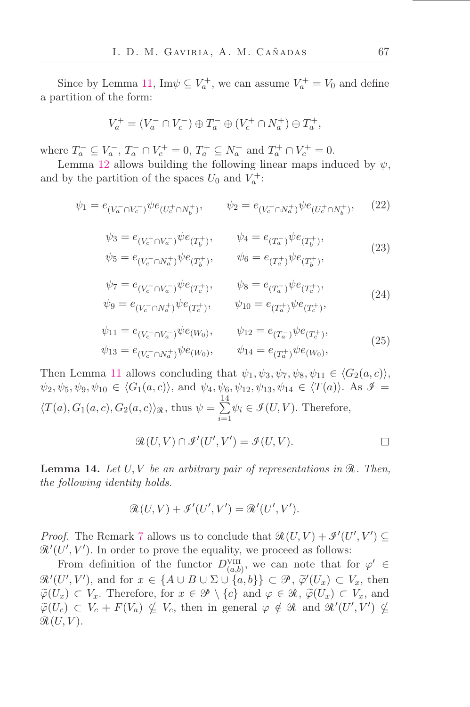Since by Lemma [11,](#page-26-2)  $\text{Im}\psi \subseteq V_a^+$ , we can assume  $V_a^+ = V_0$  and define a partition of the form:

$$
V_a^+ = (V_a^- \cap V_c^-) \oplus T_a^- \oplus (V_c^+ \cap N_a^+) \oplus T_a^+,
$$

where  $T_a^- \subseteq V_a^-$ ,  $T_a^- \cap V_c^+ = 0$ ,  $T_a^+ \subseteq N_a^+$  and  $T_a^+ \cap V_c^+ = 0$ .

Lemma [12](#page-28-2) allows building the following linear maps induced by  $\psi$ , and by the partition of the spaces  $U_0$  and  $V_a^+$ :

$$
\psi_1 = e_{(V_a^- \cap V_c^-)} \psi e_{(U_c^+ \cap N_b^+)}, \qquad \psi_2 = e_{(V_c^- \cap N_a^+)} \psi e_{(U_c^+ \cap N_b^+)}, \qquad (22)
$$

$$
\psi_3 = e_{(V_c^- \cap V_a^-)} \psi e_{(T_b^+)}, \qquad \psi_4 = e_{(T_a^-)} \psi e_{(T_b^+)},
$$
  
\n
$$
\psi_5 = e_{(V_c^- \cap N_a^+)} \psi e_{(T_b^+)}, \qquad \psi_6 = e_{(T_a^+)} \psi e_{(T_b^+)},
$$
\n(23)

$$
\psi_7 = e_{(V_c^- \cap V_a^-)} \psi e_{(T_c^+)}, \qquad \psi_8 = e_{(T_a^-)} \psi e_{(T_c^+)},
$$
  
\n
$$
\psi_9 = e_{(V_c^- \cap N_a^+)} \psi e_{(T_c^+)}, \qquad \psi_{10} = e_{(T_a^+)} \psi e_{(T_c^+)},
$$
\n(24)

$$
\psi_{11} = e_{(V_c^- \cap V_a^-)} \psi e_{(W_0)}, \qquad \psi_{12} = e_{(T_a^-)} \psi e_{(T_c^+)},
$$
  
\n
$$
\psi_{13} = e_{(V_c^- \cap N_a^+)} \psi e_{(W_0)}, \qquad \psi_{14} = e_{(T_a^+)} \psi e_{(W_0)},
$$
\n(25)

Then Lemma [11](#page-26-2) allows concluding that  $\psi_1, \psi_3, \psi_7, \psi_8, \psi_{11} \in \langle G_2(a, c) \rangle$ ,  $\psi_2, \psi_5, \psi_9, \psi_{10} \in \langle G_1(a, c) \rangle$ , and  $\psi_4, \psi_6, \psi_{12}, \psi_{13}, \psi_{14} \in \langle T(a) \rangle$ . As  $\mathcal{I} =$  $\langle T(a), G_1(a, c), G_2(a, c) \rangle_{\mathcal{R}}$ , thus  $\psi = \sum^{14}$  $i=1$  $\psi_i \in \mathcal{I}(U, V)$ . Therefore,

$$
\mathcal{R}(U,V) \cap \mathcal{I}'(U',V') = \mathcal{I}(U,V).
$$

<span id="page-29-0"></span>**Lemma 14.** Let  $U, V$  be an arbitrary pair of representations in  $\mathcal{R}$ . Then, the following identity holds.

$$
\mathcal{R}(U,V) + \mathcal{I}'(U',V') = \mathcal{R}'(U',V').
$$

*Proof.* The Remark [7](#page-28-1) allows us to conclude that  $\mathcal{R}(U, V) + \mathcal{I}'(U', V') \subseteq$  $\mathcal{R}'(U', V')$ . In order to prove the equality, we proceed as follows:

From definition of the functor  $D_{(a,b)}^{\text{VIII}}$ , we can note that for  $\varphi' \in$  $\mathcal{R}'(U', V')$ , and for  $x \in \{A \cup B \cup \Sigma \cup \{a, b\}\} \subset \mathcal{P}, \tilde{\varphi}'(U_x) \subset V_x$ , then  $\widetilde{\varphi}(U_x) \subset V_x$ . Therefore, for  $x \in \mathcal{P} \setminus \{c\}$  and  $\varphi \in \mathcal{R}$ ,  $\widetilde{\varphi}(U_x) \subset V_x$ , and  $\widetilde{\varphi}(U_c) \subset V_c + F(V_a) \nsubseteq V_c$ , then in general  $\varphi \notin \mathcal{R}$  and  $\mathcal{R}'(U', V') \nsubseteq$  $\mathcal{R}(U, V)$ .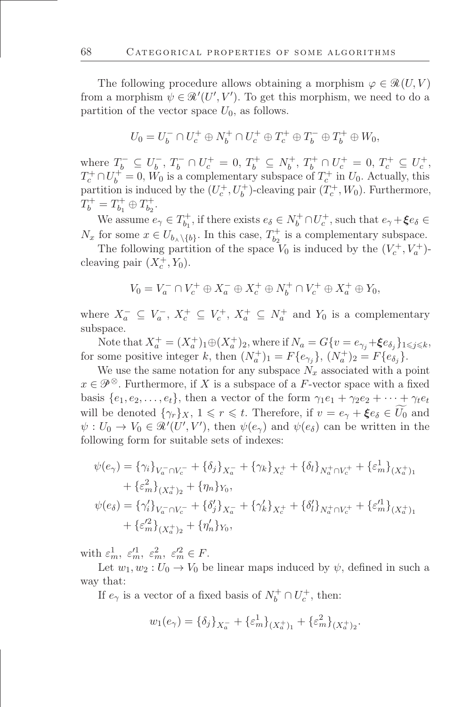The following procedure allows obtaining a morphism  $\varphi \in \mathcal{R}(U, V)$ from a morphism  $\psi \in \mathcal{R}'(U', V')$ . To get this morphism, we need to do a partition of the vector space  $U_0$ , as follows.

$$
U_0 = U_b^- \cap U_c^+ \oplus N_b^+ \cap U_c^+ \oplus T_c^+ \oplus T_b^- \oplus T_b^+ \oplus W_0,
$$

where  $T_b^- \subseteq U_b^-$ ,  $T_b^- \cap U_c^+ = 0$ ,  $T_b^+ \subseteq N_b^+$ ,  $T_b^+ \cap U_c^+ = 0$ ,  $T_c^+ \subseteq U_c^+$ ,  $T_c^+ \cap U_b^+ = 0$ ,  $W_0$  is a complementary subspace of  $T_c^+$  in  $U_0$ . Actually, this partition is induced by the  $(U_c^+, U_b^+)$ -cleaving pair  $(T_c^+, W_0)$ . Furthermore,  $T_b^+ = T_{b_1}^+ \oplus T_{b_2}^+$ .

We assume  $e_{\gamma} \in T_{b_1}^+$ , if there exists  $e_{\delta} \in N_b^+ \cap U_c^+$ , such that  $e_{\gamma} + \xi e_{\delta} \in$  $N_x$  for some  $x \in U_{b_{\lambda} \setminus \{b\}}$ . In this case,  $T_{b_2}^+$  is a complementary subspace.

The following partition of the space  $V_0$  is induced by the  $(V_c^+, V_a^+)$ cleaving pair  $(X_c^+, Y_0)$ .

$$
V_0 = V_a^- \cap V_c^+ \oplus X_a^- \oplus X_c^+ \oplus N_b^+ \cap V_c^+ \oplus X_a^+ \oplus Y_0,
$$

where  $X_a^- \subseteq V_a^-$ ,  $X_c^+ \subseteq V_c^+$ ,  $X_a^+ \subseteq N_a^+$  and  $Y_0$  is a complementary subspace.

Note that  $X_a^+ = (X_a^+)_1 \oplus (X_a^+)_2$ , where if  $N_a = G\{v = e_{\gamma_j} + \xi e_{\delta_j}\}_{1 \leq j \leq k}$ , for some positive integer k, then  $(N_a^+)_1 = F\{e_{\gamma_j}\},\ (N_a^+)_2 = F\{e_{\delta_j}\}.$ 

We use the same notation for any subspace  $N_x$  associated with a point  $x \in \mathcal{P}^{\otimes}$ . Furthermore, if X is a subspace of a F-vector space with a fixed basis  $\{e_1, e_2, \ldots, e_t\}$ , then a vector of the form  $\gamma_1 e_1 + \gamma_2 e_2 + \cdots + \gamma_t e_t$ will be denoted  $\{\gamma_r\}_X$ ,  $1 \leq r \leq t$ . Therefore, if  $v = e_\gamma + \xi e_\delta \in U_0$  and  $\psi: U_0 \to V_0 \in \mathcal{R}'(U', V'),$  then  $\psi(e_{\gamma})$  and  $\psi(e_{\delta})$  can be written in the following form for suitable sets of indexes:

$$
\psi(e_{\gamma}) = \{\gamma_i\}_{V_a^- \cap V_c^-} + \{\delta_j\}_{X_a^-} + \{\gamma_k\}_{X_c^+} + \{\delta_l\}_{N_a^+ \cap V_c^+} + \{\varepsilon_m^1\}_{(X_a^+)_1} \n+ \{\varepsilon_m^2\}_{(X_a^+)_2} + \{\eta_n\}_{Y_0}, \n\psi(e_{\delta}) = \{\gamma_i'\}_{V_a^- \cap V_c^-} + \{\delta_j'\}_{X_a^-} + \{\gamma_k'\}_{X_c^+} + \{\delta_l'\}_{N_a^+ \cap V_c^+} + \{\varepsilon_m'^1\}_{(X_a^+)_1} \n+ \{\varepsilon_m'^2\}_{(X_a^+)_2} + \{\eta_n'\}_{Y_0},
$$

with  $\varepsilon_m^1$ ,  $\varepsilon_m^{\prime 1}$ ,  $\varepsilon_m^2$ ,  $\varepsilon_m^{\prime 2} \in F$ .

Let  $w_1, w_2 : U_0 \to V_0$  be linear maps induced by  $\psi$ , defined in such a way that:

If  $e_\gamma$  is a vector of a fixed basis of  $N_b^+ \cap U_c^+$ , then:

$$
w_1(e_\gamma) = \{\delta_j\}_{X_a^-} + \{\varepsilon_m^1\}_{(X_a^+)_1} + \{\varepsilon_m^2\}_{(X_a^+)_2}.
$$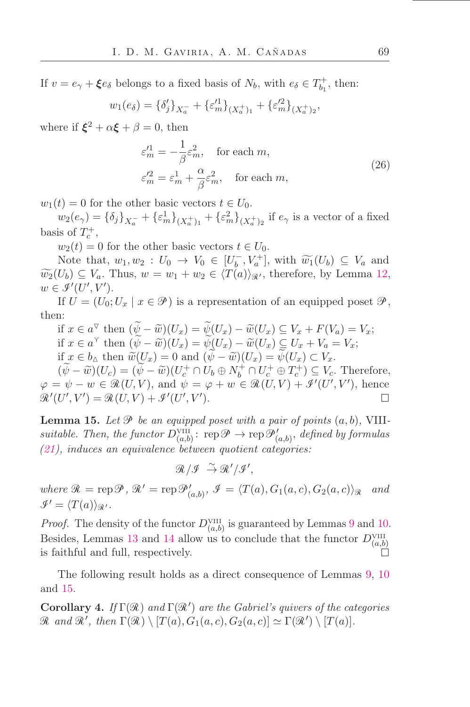If  $v = e_{\gamma} + \xi e_{\delta}$  belongs to a fixed basis of  $N_b$ , with  $e_{\delta} \in T_{b_1}^+$ , then:

$$
w_1(e_\delta) = {\delta'_j}_{X_a^-} + {\varepsilon'_m}_{X_a^+}_{Y_a^+} + {\varepsilon'_m}_{X_a^+}_{Y_a^+}
$$

where if  $\xi^2 + \alpha \xi + \beta = 0$ , then

$$
\varepsilon_m^{\prime 1} = -\frac{1}{\beta} \varepsilon_m^2, \quad \text{for each } m,
$$
  
\n
$$
\varepsilon_m^{\prime 2} = \varepsilon_m^1 + \frac{\alpha}{\beta} \varepsilon_m^2, \quad \text{for each } m,
$$
\n(26)

 $w_1(t) = 0$  for the other basic vectors  $t \in U_0$ .

 $w_2(e_\gamma) = \{\delta_j\}_{X_a^-} + \{\varepsilon_m^1\}_{(X_a^+)_1} + \{\varepsilon_m^2\}_{(X_a^+)_2}$  if  $e_\gamma$  is a vector of a fixed basis of  $T_c^+$ ,

 $w_2(t) = 0$  for the other basic vectors  $t \in U_0$ .

Note that,  $w_1, w_2 : U_0 \to V_0 \in [U_b^-, V_a^+]$ , with  $\widetilde{w_1}(U_b) \subseteq V_a$  and  $\widetilde{w_2}(U_b) \subseteq V_a$ . Thus,  $w = w_1 + w_2 \in \langle T(a) \rangle_{\mathcal{R}}$ , therefore, by Lemma [12,](#page-28-2)  $w \in \mathcal{I}'(U', V').$ 

If  $U = (U_0; U_x \mid x \in \mathcal{P})$  is a representation of an equipped poset  $\mathcal{P}$ , then:

if 
$$
x \in a^{\nabla}
$$
 then  $(\widetilde{\psi} - \widetilde{w})(U_x) = \widetilde{\psi}(U_x) - \widetilde{w}(U_x) \subseteq V_x + F(V_a) = V_x;$   
if  $x \in a^{\nabla}$  then  $(\widetilde{\psi} - \widetilde{w})(U_x) = \widetilde{\psi}(U_x) - \widetilde{w}(U_x) \subseteq U_x + V_a = V_x;$   
if  $x \in b_{\Delta}$  then  $\widetilde{w}(U_x) = 0$  and  $(\widetilde{\psi} - \widetilde{w})(U_x) = \widetilde{\psi}(U_x) \subset V_x.$ 

 $(\tilde{\psi} - \tilde{w})(U_c) = (\tilde{\psi} - \tilde{w})(U_c^+ \cap U_b \oplus N_b^+ \cap U_c^+ \oplus T_c^+) \subseteq V_c$ . Therefore,  $\varphi = \psi - w \in \mathcal{R}(U, V)$ , and  $\psi = \varphi + w \in \mathcal{R}(U, V) + \mathcal{I}'(U', V')$ , hence  $\mathcal{R}'(U',V') = \mathcal{R}(U,V) + \mathcal{I}'(U',V').$  $\Box$ 

<span id="page-31-0"></span>**Lemma 15.** Let  $\mathcal{P}$  be an equipped poset with a pair of points  $(a, b)$ , VIIIsuitable. Then, the functor  $D_{(a,b)}^{\text{VIII}}$ :  $\text{rep}\mathscr{P} \to \text{rep}\mathscr{P}'_{(a,b)}$ , defined by formulas [\(21\)](#page-25-0), induces an equivalence between quotient categories:

 $\mathcal{R}/\mathcal{I} \stackrel{\sim}{\rightarrow} \mathcal{R}'/\mathcal{I}',$ 

where  $\mathcal{R} = \text{rep}\,\mathcal{P},\,\mathcal{R}' = \text{rep}\,\mathcal{P}'_{(a,b)},\,\mathcal{I} = \langle T(a),G_1(a,c),G_2(a,c)\rangle_{\mathcal{R}}$  and  $\mathscr{I}' = \langle T(a) \rangle_{\mathscr{R}}$ .

*Proof.* The density of the functor  $D_{(a,b)}^{\text{VIII}}$  is guaranteed by Lemmas [9](#page-26-0) and [10.](#page-26-1) Besides, Lemmas [13](#page-28-3) and [14](#page-29-0) allow us to conclude that the functor  $D_{(a,b)}^{\text{VIII}}$ is faithful and full, respectively.

The following result holds as a direct consequence of Lemmas [9,](#page-26-0) [10](#page-26-1) and [15.](#page-31-0)

**Corollary 4.** If  $\Gamma(\mathcal{R})$  and  $\Gamma(\mathcal{R}')$  are the Gabriel's quivers of the categories  $\mathcal R$  and  $\mathcal R'$ , then  $\Gamma(\mathcal R) \setminus [T(a), G_1(a, c), G_2(a, c)] \simeq \Gamma(\mathcal R') \setminus [T(a)].$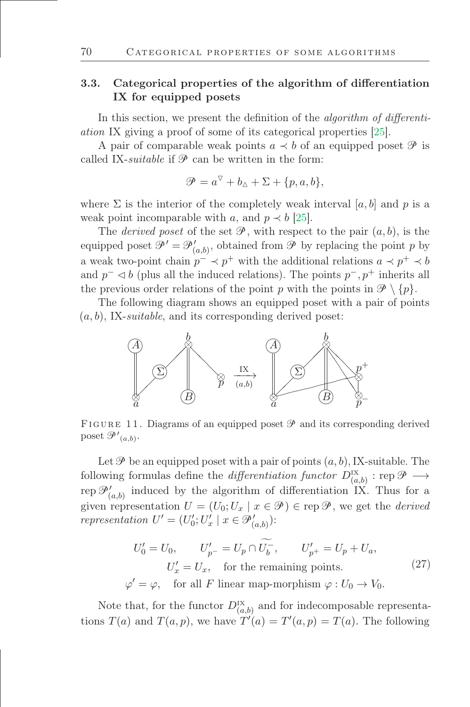# 3.3. Categorical properties of the algorithm of differentiation IX for equipped posets

In this section, we present the definition of the *algorithm* of differentiation IX giving a proof of some of its categorical properties [\[25\]](#page-48-8).

A pair of comparable weak points  $a \prec b$  of an equipped poset  $\mathscr P$  is called IX-suitable if  $\mathcal P$  can be written in the form:

$$
\mathcal{P} = a^{\triangledown} + b_{\triangle} + \Sigma + \{p, a, b\},\
$$

where  $\Sigma$  is the interior of the completely weak interval [a, b] and p is a weak point incomparable with a, and  $p \prec b$  [\[25\]](#page-48-8).

The *derived poset* of the set  $\mathcal{P}$ , with respect to the pair  $(a, b)$ , is the equipped poset  $\mathcal{P}' = \mathcal{P}'_{(a,b)}$ , obtained from  $\mathcal{P}$  by replacing the point p by a weak two-point chain  $p^- \prec p^+$  with the additional relations  $a \prec p^+ \prec b$ and  $p^- \triangleleft b$  (plus all the induced relations). The points  $p^-, p^+$  inherits all the previous order relations of the point p with the points in  $\mathcal{P} \setminus \{p\}.$ 

The following diagram shows an equipped poset with a pair of points  $(a, b)$ , IX-suitable, and its corresponding derived poset:



FIGURE 11. Diagrams of an equipped poset  $\mathscr P$  and its corresponding derived poset  $\mathscr{P}'_{(a,b)}$ .

Let  $\mathscr P$  be an equipped poset with a pair of points  $(a, b)$ , IX-suitable. The following formulas define the *differentiation functor*  $D^{\text{IX}}_{(a,b)}$  : rep  $\mathscr{P} \longrightarrow$ rep  $\mathcal{P}'_{(a,b)}$  induced by the algorithm of differentiation IX. Thus for a given representation  $U = (U_0; U_x \mid x \in \mathcal{P}) \in \text{rep } \mathcal{P}$ , we get the *derived* representation  $U' = (U'_0; U'_x \mid x \in \mathcal{P}'_{(a,b)})$ :

<span id="page-32-0"></span>
$$
U'_0 = U_0, \qquad U'_{p^-} = U_p \cap \widetilde{U_b^-}, \qquad U'_{p^+} = U_p + U_a,
$$
  

$$
U'_x = U_x, \quad \text{for the remaining points.}
$$
  

$$
\varphi' = \varphi, \quad \text{for all } F \text{ linear map-morphism } \varphi : U_0 \to V_0.
$$
 (27)

Note that, for the functor  $D_{(a,b)}^{\text{IX}}$  and for indecomposable representations  $T(a)$  and  $T(a, p)$ , we have  $T'(a) = T'(a, p) = T(a)$ . The following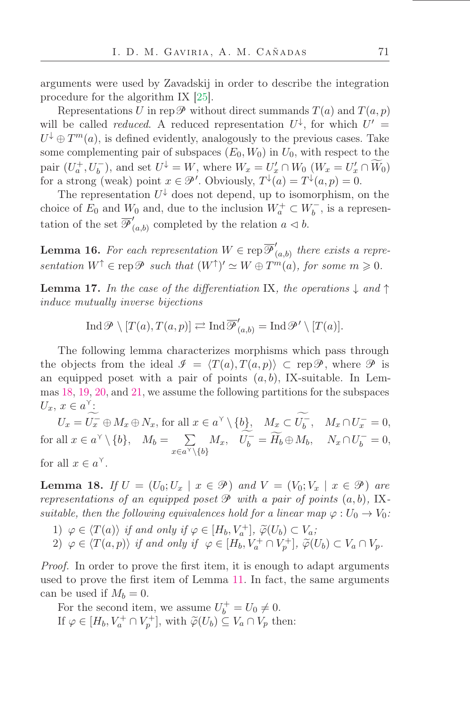arguments were used by Zavadskij in order to describe the integration procedure for the algorithm IX [\[25\]](#page-48-8).

Representations U in rep $\mathscr P$  without direct summands  $T(a)$  and  $T(a, p)$ will be called *reduced*. A reduced representation  $U^{\downarrow}$ , for which  $U' =$  $U^{\downarrow} \oplus T^{m}(a)$ , is defined evidently, analogously to the previous cases. Take some complementing pair of subspaces  $(E_0, W_0)$  in  $U_0$ , with respect to the pair  $(U_a^+, U_b^-)$ , and set  $U^{\downarrow} = W$ , where  $W_x = U'_x \cap W_0$   $(W_x = U'_x \cap \widetilde{W}_0)$ for a strong (weak) point  $x \in \mathcal{P}'$ . Obviously,  $T^{\downarrow}(a) = T^{\downarrow}(a, p) = 0$ .

The representation  $U^{\downarrow}$  does not depend, up to isomorphism, on the choice of  $E_0$  and  $W_0$  and, due to the inclusion  $W_a^+ \subset W_b^-$ , is a representation of the set  $\overline{\mathscr{P}}_0'$  $(a,b)$  completed by the relation  $a \triangleleft b$ .

<span id="page-33-1"></span>**Lemma 16.** For each representation  $W \in \text{rep } \overline{\mathcal{P}}'$  $(a,b)$  there exists a representation  $W^{\uparrow} \in \text{rep}\,\mathscr{P}$  such that  $(W^{\uparrow})' \simeq W \oplus T^m(a)$ , for some  $m \geq 0$ .

<span id="page-33-2"></span>**Lemma 17.** In the case of the differentiation IX, the operations  $\downarrow$  and  $\uparrow$ induce mutually inverse bijections

$$
\operatorname{Ind}\nolimits \mathscr{P} \setminus [T(a), T(a,p)] \rightleftarrows \operatorname{Ind}\nolimits \overline{\mathscr{P}}'_{(a,b)} = \operatorname{Ind}\nolimits \mathscr{P}' \setminus [T(a)].
$$

The following lemma characterizes morphisms which pass through the objects from the ideal  $\mathcal{I} = \langle T(a), T(a, p) \rangle \subset \text{rep}\mathcal{P}$ , where  $\mathcal{P}$  is an equipped poset with a pair of points  $(a, b)$ , IX-suitable. In Lemmas [18,](#page-33-0) [19,](#page-35-0) [20,](#page-35-1) and [21,](#page-36-0) we assume the following partitions for the subspaces  $U_x, x \in a^{\gamma}$ :

 $U_x = U_x^- \oplus M_x \oplus N_x$ , for all  $x \in a^{\gamma} \setminus \{b\}$ ,  $M_x \subset U_b^-$ ,  $M_x \cap U_x^- = 0$ , for all  $x \in a^{\gamma} \setminus \{b\}, \quad M_b = \sum$  $x \in a^{\gamma} \setminus \{b\}$  $M_x$ ,  $U_b^- = \widetilde{H}_b \oplus M_b$ ,  $N_x \cap U_b^- = 0$ , for all  $x \in a^{\gamma}$ .

<span id="page-33-0"></span>**Lemma 18.** If  $U = (U_0; U_x \mid x \in \mathcal{P})$  and  $V = (V_0; V_x \mid x \in \mathcal{P})$  are representations of an equipped poset  $\mathcal P$  with a pair of points  $(a, b)$ , IXsuitable, then the following equivalences hold for a linear map  $\varphi: U_0 \to V_0$ :

1)  $\varphi \in \langle T(a) \rangle$  if and only if  $\varphi \in [H_b, V_a^+]$ ,  $\widetilde{\varphi}(U_b) \subset V_a$ ;<br>(1)  $\leq C(T(a))$ , if  $\leq$  if  $\leq$  if  $V_a^+ \in V_a^+$ 2)  $\varphi \in \langle T(a, p) \rangle$  if and only if  $\varphi \in [H_b, V_a^+ \cap V_p^+]$ ,  $\widetilde{\varphi}(U_b) \subset V_a \cap V_p$ .

*Proof.* In order to prove the first item, it is enough to adapt arguments used to prove the first item of Lemma [11.](#page-26-2) In fact, the same arguments can be used if  $M_b = 0$ .

For the second item, we assume  $U_b^+ = U_0 \neq 0$ . If  $\varphi \in [H_b, V_a^+ \cap V_p^+]$ , with  $\widetilde{\varphi}(U_b) \subseteq V_a \cap V_p$  then: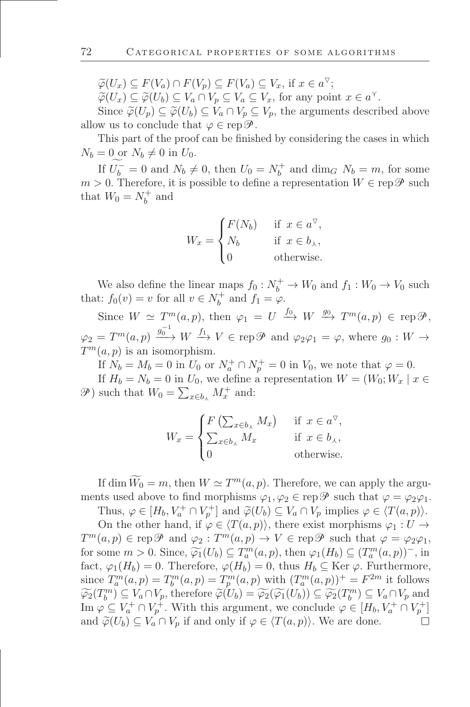$\widetilde{\varphi}(U_x) \subseteq F(V_a) \cap F(V_p) \subseteq F(V_a) \subseteq V_x$ , if  $x \in a^{\nabla}$ ;<br> $\widetilde{\varphi}(U_x) \subseteq \widetilde{\varphi}(U_x) \subseteq V_x \subseteq V_x \subseteq V$ 

 $\widetilde{\varphi}(U_x) \subseteq \widetilde{\varphi}(U_b) \subseteq V_a \cap V_p \subseteq V_a \subseteq V_x$ , for any point  $x \in a^{\gamma}$ .

Since  $\widetilde{\varphi}(U_p) \subseteq \widetilde{\varphi}(U_b) \subseteq V_a \cap V_p \subseteq V_p$ , the arguments described above allow us to conclude that  $\varphi \in \operatorname{rep} \mathscr{P}$ .

This part of the proof can be finished by considering the cases in which  $N_b = 0$  or  $N_b \neq 0$  in  $U_0$ .

If  $U_b^- = 0$  and  $N_b \neq 0$ , then  $U_0 = N_b^+$  and  $\dim_G N_b = m$ , for some  $m > 0$ . Therefore, it is possible to define a representation  $W \in \text{rep}\,\mathscr{P}$  such that  $W_0 = N_b^+$  and

$$
W_x = \begin{cases} F(N_b) & \text{if } x \in a^{\nabla}, \\ N_b & \text{if } x \in b_{\lambda}, \\ 0 & \text{otherwise.} \end{cases}
$$

We also define the linear maps  $f_0: N_b^+ \to W_0$  and  $f_1: W_0 \to V_0$  such that:  $f_0(v) = v$  for all  $v \in N_b^+$  and  $f_1 = \varphi$ .

Since  $W \simeq T^m(a, p)$ , then  $\varphi_1 = U \stackrel{f_0}{\longrightarrow} W \stackrel{g_0}{\longrightarrow} T^m(a, p) \in \text{rep}\mathcal{P}$ ,  $\varphi_2 = T^m(a, p) \stackrel{g_0^{-1}}{\longrightarrow} W \stackrel{f_1}{\longrightarrow} V \in \text{rep}\mathscr{P}$  and  $\varphi_2\varphi_1 = \varphi$ , where  $g_0 : W \to$  $T^m(a, p)$  is an isomorphism.

If  $N_b = M_b = 0$  in  $U_0$  or  $N_a^+ \cap N_p^+ = 0$  in  $V_0$ , we note that  $\varphi = 0$ .

If  $H_b = N_b = 0$  in  $U_0$ , we define a representation  $W = (W_0; W_x | x \in$  $\mathscr{P}$ ) such that  $W_0 = \sum_{x \in b_{\lambda}} M_x^+$  and:

$$
W_x = \begin{cases} F\left(\sum_{x \in b_{\lambda}} M_x\right) & \text{if } x \in a^{\nabla}, \\ \sum_{x \in b_{\lambda}} M_x & \text{if } x \in b_{\lambda}, \\ 0 & \text{otherwise.} \end{cases}
$$

If dim  $\widetilde{W}_0 = m$ , then  $W \simeq T^m(a, p)$ . Therefore, we can apply the arguments used above to find morphisms  $\varphi_1, \varphi_2 \in \text{rep } \mathscr{P}$  such that  $\varphi = \varphi_2 \varphi_1$ .

Thus,  $\varphi \in [H_b, V_a^+ \cap V_p^+]$  and  $\widetilde{\varphi}(U_b) \subseteq V_a \cap V_p$  implies  $\varphi \in \langle T(a, p) \rangle$ . On the other hand, if  $\varphi \in \langle T(a,p) \rangle$ , there exist morphisms  $\varphi_1 : U \to$  $T^m(a,p) \in \text{rep}\mathscr{P}$  and  $\varphi_2: T^m(a,p) \to V \in \text{rep}\mathscr{P}$  such that  $\varphi = \varphi_2\varphi_1$ , for some  $m > 0$ . Since,  $\widetilde{\varphi_1}(U_b) \subseteq T_a^m(a, p)$ , then  $\varphi_1(H_b) \subseteq (T_a^m(a, p))$ , in fact,  $\varphi_1(H_b) = 0$ . Therefore,  $\varphi(H_b) = 0$ , thus  $H_b \subseteq \text{Ker } \varphi$ . Furthermore, since  $T_a^m(a,p) = T_b^m(a,p) = T_p^m(a,p)$  with  $(T_a^m(a,p))^+ = F^{2m}$  it follows  $\widetilde{\varphi_2}(T_b^m) \subseteq V_a \cap V_p$ , therefore  $\widetilde{\varphi}(U_b) = \widetilde{\varphi_2}(\widetilde{\varphi_1}(U_b)) \subseteq \widetilde{\varphi_2}(T_b^m) \subseteq V_a \cap V_p$  and Im  $\varphi \subseteq V_a^+ \cap V_p^+$ . With this argument, we conclude  $\varphi \in [H_b, V_a^+ \cap V_p^+]$ and  $\widetilde{\varphi}(U_b) \subseteq V_a \cap V_p$  if and only if  $\varphi \in \langle T(a, p) \rangle$ . We are done.  $\Box$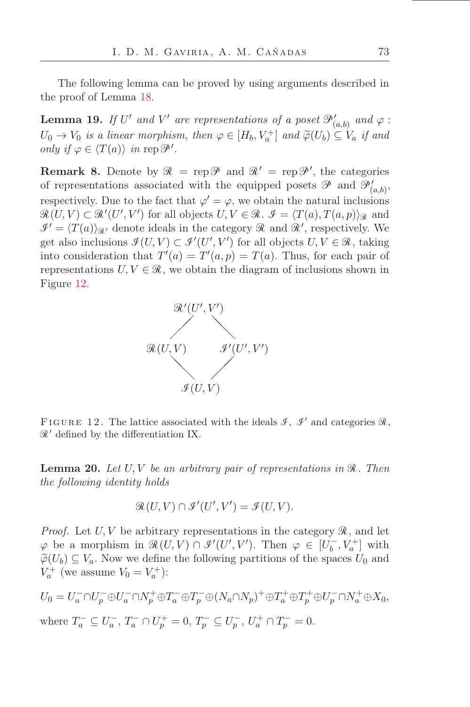The following lemma can be proved by using arguments described in the proof of Lemma [18.](#page-33-0)

<span id="page-35-0"></span>**Lemma 19.** If U' and V' are representations of a poset  $\mathcal{P}'_{(a,b)}$  and  $\varphi$ :  $U_0 \to V_0$  is a linear morphism, then  $\varphi \in [H_b, V_a^+]$  and  $\widetilde{\varphi}(U_b) \subseteq V_a$  if and only if  $\varphi \in \langle T(a) \rangle$  in rep  $\mathscr{P}'$ .

<span id="page-35-3"></span>**Remark 8.** Denote by  $\mathcal{R} = \text{rep}\mathcal{P}$  and  $\mathcal{R}' = \text{rep}\mathcal{P}'$ , the categories of representations associated with the equipped posets  $\mathscr P$  and  $\mathscr P'_{(a,b)}$ , respectively. Due to the fact that  $\varphi' = \varphi$ , we obtain the natural inclusions  $\mathcal{R}(U,V) \subset \mathcal{R}'(U',V')$  for all objects  $U, V \in \mathcal{R}$ .  $\mathcal{I} = \langle T(a), T(a,p) \rangle_{\mathcal{R}}$  and  $\mathcal{I}' = \langle T(a) \rangle_{\mathcal{R}'}$  denote ideals in the category  $\mathcal{R}$  and  $\mathcal{R}'$ , respectively. We get also inclusions  $\mathcal{I}(U, V) \subset \mathcal{I}'(U', V')$  for all objects  $U, V \in \mathcal{R}$ , taking into consideration that  $T'(a) = T'(a, p) = T(a)$ . Thus, for each pair of representations  $U, V \in \mathcal{R}$ , we obtain the diagram of inclusions shown in Figure [12.](#page-35-2)



<span id="page-35-2"></span>FIGURE 12. The lattice associated with the ideals  $\mathcal{I}, \mathcal{I}'$  and categories  $\mathcal{R},$  $\mathcal{R}'$  defined by the differentiation IX.

<span id="page-35-1"></span>**Lemma 20.** Let  $U, V$  be an arbitrary pair of representations in  $\mathcal{R}$ . Then the following identity holds

$$
\mathcal{R}(U,V) \cap \mathcal{I}'(U',V') = \mathcal{I}(U,V).
$$

*Proof.* Let  $U, V$  be arbitrary representations in the category  $\mathcal{R}$ , and let  $\varphi$  be a morphism in  $\mathcal{R}(U, V) \cap \mathcal{I}'(U', V')$ . Then  $\varphi \in [U_b^-, V_a^+]$  with  $\widetilde{\varphi}(U_b) \subseteq V_a$ . Now we define the following partitions of the spaces  $U_0$  and  $V_a^+$  (we assume  $V_0 = V_a^+$ ):

$$
U_0=U_a^-\cap U_p^-\oplus U_a^-\cap N_p^+\oplus T_a^-\oplus T_p^-\oplus (N_a\cap N_p)^+\oplus T_a^+\oplus T_p^+\oplus U_p^-\cap N_a^+\oplus X_0,
$$
  
where  $T_a^-\subseteq U_a^-, T_a^-\cap U_p^+=0, T_p^-\subseteq U_p^-, U_a^+\cap T_p^-=0.$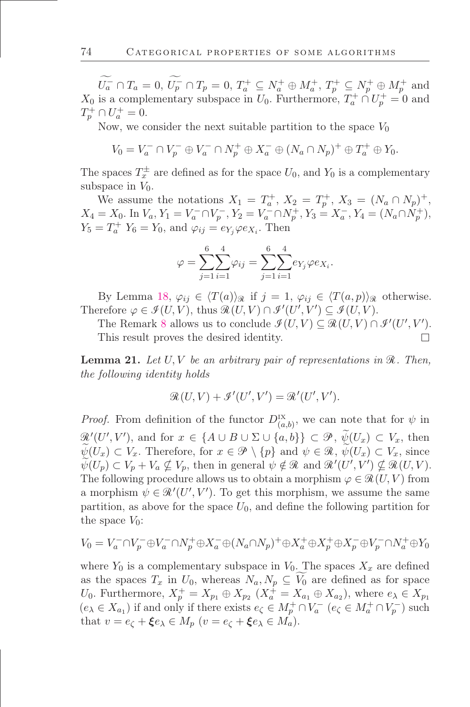$U_a^- \cap T_a = 0, U_p^- \cap T_p = 0, T_a^+ \subseteq N_a^+ \oplus M_a^+, T_p^+ \subseteq N_p^+ \oplus M_p^+$  and  $X_0$  is a complementary subspace in  $U_0$ . Furthermore,  $T_a^+ \cap U_p^+ = 0$  and  $T_p^+ \cap U_a^+ = 0.$ 

Now, we consider the next suitable partition to the space  $V_0$ 

$$
V_0 = V_a^- \cap V_p^- \oplus V_a^- \cap N_p^+ \oplus X_a^- \oplus (N_a \cap N_p)^+ \oplus T_a^+ \oplus Y_0.
$$

The spaces  $T_x^{\pm}$  are defined as for the space  $U_0$ , and  $Y_0$  is a complementary subspace in  $V_0$ .

We assume the notations  $X_1 = T_a^+, X_2 = T_p^+, X_3 = (N_a \cap N_p)^+,$  $X_4 = X_0$ . In  $V_a$ ,  $Y_1 = V_a^- \cap V_p^-, Y_2 = V_a^- \cap N_p^+, Y_3 = X_a^-, Y_4 = (N_a \cap N_p^+),$  $Y_5 = T_a^+ Y_6 = Y_0$ , and  $\varphi_{ij} = e_{Y_j} \varphi e_{X_i}$ . Then

$$
\varphi = \sum_{j=1}^{6} \sum_{i=1}^{4} \varphi_{ij} = \sum_{j=1}^{6} \sum_{i=1}^{4} e_{Y_j} \varphi e_{X_i}.
$$

By Lemma [18,](#page-33-0)  $\varphi_{ij} \in \langle T(a) \rangle_{\mathcal{R}}$  if  $j = 1, \varphi_{ij} \in \langle T(a, p) \rangle_{\mathcal{R}}$  otherwise. Therefore  $\varphi \in \mathcal{I}(U, V)$ , thus  $\mathcal{R}(U, V) \cap \mathcal{I}'(U', V') \subseteq \mathcal{I}(U, V)$ .

The Remark [8](#page-35-3) allows us to conclude  $\mathcal{I}(U, V) \subseteq \mathcal{R}(U, V) \cap \mathcal{I}'(U', V')$ . This result proves the desired identity.

<span id="page-36-0"></span>**Lemma 21.** Let  $U, V$  be an arbitrary pair of representations in  $\mathcal{R}$ . Then, the following identity holds

$$
\mathcal{R}(U,V) + \mathcal{I}'(U',V') = \mathcal{R}'(U',V').
$$

*Proof.* From definition of the functor  $D_{(a,b)}^{IX}$ , we can note that for  $\psi$  in  $\mathscr{R}'(U', V')$ , and for  $x \in \{A \cup B \cup \Sigma \cup \{a, b\}\} \subset \mathscr{P}$ ,  $\psi(U_x) \subset V_x$ , then  $\psi(U_x) \subset V_x$ . Therefore, for  $x \in \mathcal{P} \setminus \{p\}$  and  $\psi \in \mathcal{R}$ ,  $\psi(U_x) \subset V_x$ , since  $\psi(U_p) \subset V_p + V_a \nsubseteq V_p$ , then in general  $\psi \notin \mathcal{R}$  and  $\mathcal{R}'(U', V') \nsubseteq \mathcal{R}(U, V)$ . The following procedure allows us to obtain a morphism  $\varphi \in \mathcal{R}(U, V)$  from a morphism  $\psi \in \mathcal{R}'(U', V')$ . To get this morphism, we assume the same partition, as above for the space  $U_0$ , and define the following partition for the space  $V_0$ :

$$
V_0 = V_a^- \cap V_p^- \oplus V_a^- \cap N_p^+ \oplus X_a^- \oplus (N_a \cap N_p)^+ \oplus X_a^+ \oplus X_p^+ \oplus X_p^- \oplus V_p^- \cap N_a^+ \oplus Y_0
$$

where  $Y_0$  is a complementary subspace in  $V_0$ . The spaces  $X_x$  are defined as the spaces  $T_x$  in  $U_0$ , whereas  $N_a, N_p \subseteq V_0$  are defined as for space U<sub>0</sub>. Furthermore,  $X_p^+ = X_{p_1} \oplus X_{p_2}$   $(X_a^+ = X_{a_1} \oplus X_{a_2})$ , where  $e_{\lambda} \in X_{p_1}$  $(e_{\lambda} \in X_{a_1})$  if and only if there exists  $e_{\zeta} \in M_p^+ \cap V_a^ (e_{\zeta} \in M_a^+ \cap V_p^-)$  such that  $v = e_{\zeta} + \xi e_{\lambda} \in M_p$   $(v = e_{\zeta} + \xi e_{\lambda} \in M_a)$ .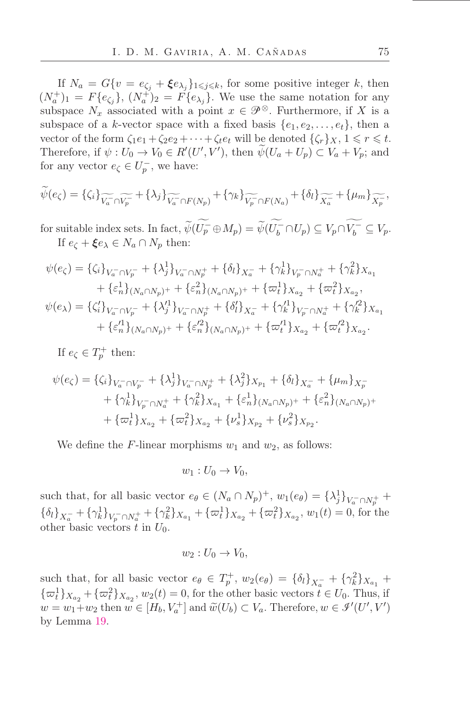If  $N_a = G\{v = e_{\zeta_j} + \xi e_{\lambda_j}\}_{1 \leqslant j \leqslant k}$ , for some positive integer k, then  $(N_a^+)_1 = F\{e_{\zeta_j}\},\ (N_a^+)_2 = F\{e_{\lambda_j}\}.$  We use the same notation for any subspace  $N_x$  associated with a point  $x \in \mathcal{P}^{\otimes}$ . Furthermore, if X is a subspace of a k-vector space with a fixed basis  $\{e_1, e_2, \ldots, e_t\}$ , then a vector of the form  $\zeta_1e_1 + \zeta_2e_2 + \cdots + \zeta_te_t$  will be denoted  $\{\zeta_r\}_X$ ,  $1 \leq r \leq t$ . Therefore, if  $\psi : U_0 \to V_0 \in R'(U', V')$ , then  $\psi(U_a + U_p) \subset V_a + V_p$ ; and for any vector  $e_{\zeta} \in U_p^-$ , we have:

$$
\widetilde{\psi}(e_{\zeta}) = \{\zeta_i\}_{\widetilde{V_a} \cap \widetilde{V_p}} + \{\lambda_j\}_{\widetilde{V_a} \cap F(N_p)} + \{\gamma_k\}_{\widetilde{V_p} \cap F(N_a)} + \{\delta_l\}_{\widetilde{X_a}} + \{\mu_m\}_{\widetilde{X_p}},
$$

for suitable index sets. In fact,  $\widetilde{\psi}(U_p^- \oplus M_p) = \widetilde{\psi}(U_b^- \cap U_p) \subseteq V_p \cap V_b^- \subseteq V_p$ . If  $e_{\zeta} + \xi e_{\lambda} \in N_a \cap N_p$  then:

$$
\psi(e_{\zeta}) = \{\zeta_i\}_{V_a^- \cap V_p^-} + \{\lambda_j^1\}_{V_a^- \cap N_p^+} + \{\delta_l\}_{X_a^-} + \{\gamma_k^1\}_{V_p^- \cap N_a^+} + \{\gamma_k^2\}_{X_{a_1}}
$$
  
+  $\{\varepsilon_n^1\}_{(N_a \cap N_p)^+} + \{\varepsilon_n^2\}_{(N_a \cap N_p)^+} + \{\varpi_l^1\}_{X_{a_2}} + \{\varpi_l^2\}_{X_{a_2}},$   

$$
\psi(e_{\lambda}) = \{\zeta_i'\}_{V_a^- \cap V_p^-} + \{\lambda_j'^1\}_{V_a^- \cap N_p^+} + \{\delta_l'\}_{X_a^-} + \{\gamma_k'^1\}_{V_p^- \cap N_a^+} + \{\gamma_k'^2\}_{X_{a_1}}
$$
  
+  $\{\varepsilon_n'^1\}_{(N_a \cap N_p)^+} + \{\varepsilon_n'^2\}_{(N_a \cap N_p)^+} + \{\varpi_l'^1\}_{X_{a_2}} + \{\varpi_l'^2\}_{X_{a_2}}.$ 

If  $e_{\zeta} \in T_p^+$  then:

$$
\psi(e_{\zeta}) = \{\zeta_i\}_{V_a^- \cap V_p^-} + \{\lambda_j^1\}_{V_a^- \cap N_p^+} + \{\lambda_j^2\}_{X_{p_1}} + \{\delta_l\}_{X_a^-} + \{\mu_m\}_{X_p^-} + \{\gamma_k^1\}_{V_p^- \cap N_a^+} + \{\gamma_k^2\}_{X_{a_1}} + \{\varepsilon_n^1\}_{(N_a \cap N_p)^+} + \{\varepsilon_n^2\}_{(N_a \cap N_p)^+} + \{\varpi_l^1\}_{X_{a_2}} + \{\varpi_l^2\}_{X_{a_2}} + \{\nu_s^1\}_{X_{p_2}} + \{\nu_s^2\}_{X_{p_2}}.
$$

We define the F-linear morphisms  $w_1$  and  $w_2$ , as follows:

$$
w_1: U_0 \to V_0,
$$

such that, for all basic vector  $e_{\theta} \in (N_a \cap N_p)^+$ ,  $w_1(e_{\theta}) = {\lambda_j^1}_{V_a^- \cap N_p^+}$  ${\{\delta_l\}_{\chi_a^-} + {\{\gamma_k^1\}_{V_p^- \cap N_a^+}} + {\{\gamma_k^2\}_{X_{a_1}}} + {\{\varpi_l^1\}_{X_{a_2}}} + {\{\varpi_l^2\}_{X_{a_2}}}, w_1(t) = 0$ , for the other basic vectors t in  $U_0$ .

$$
w_2: U_0 \to V_0,
$$

such that, for all basic vector  $e_{\theta} \in T_p^+$ ,  $w_2(e_{\theta}) = {\delta_l}_{X_a^-} + {\gamma_k^2}_{X_{a_1}} +$  ${\lbrace \varpi_t^1 \rbrace_{X_{a_2}} + {\lbrace \varpi_t^2 \rbrace_{X_{a_2}}}, w_2(t) = 0, \text{ for the other basic vectors } t \in U_0. \text{ Thus, if}$  $w = w_1 + w_2$  then  $w \in [H_b, V_a^+]$  and  $\widetilde{w}(U_b) \subset V_a$ . Therefore,  $w \in \mathcal{I}'(U', V')$ by Lemma [19.](#page-35-0)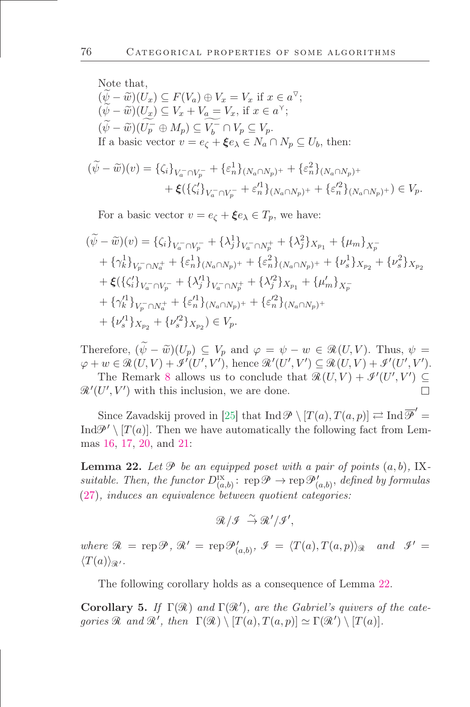Note that,  
\n
$$
(\tilde{\psi} - \tilde{w})(U_x) \subseteq F(V_a) \oplus V_x = V_x
$$
 if  $x \in a^{\nabla}$ ;  
\n $(\psi - \tilde{w})(U_x) \subseteq V_x + V_a = V_x$ , if  $x \in a^{\nabla}$ ;  
\n $(\tilde{\psi} - \tilde{w})(U_p^{\nabla} \oplus M_p) \subseteq V_b^{\nabla} \cap V_p \subseteq V_p$ .  
\nIf a basic vector  $v = e_{\zeta} + \xi e_{\lambda} \in N_a \cap N_p \subseteq U_b$ , then:

$$
(\widetilde{\psi} - \widetilde{w})(v) = \{\zeta_i\}_{V_a^- \cap V_p^-} + \{\varepsilon_n^1\}_{(N_a \cap N_p)^+} + \{\varepsilon_n^2\}_{(N_a \cap N_p)^+} + \xi(\{\zeta_i'\}_{V_a^- \cap V_p^-} + \varepsilon_n'^1\}_{(N_a \cap N_p)^+} + \{\varepsilon_n'^2\}_{(N_a \cap N_p)^+}) \in V_p.
$$

For a basic vector  $v = e_{\zeta} + \xi e_{\lambda} \in T_p$ , we have:

$$
\begin{split}\n(\widetilde{\psi} - \widetilde{w})(v) &= \{\zeta_i\}_{V_a^- \cap V_p^-} + \{\lambda_j^1\}_{V_a^- \cap N_p^+} + \{\lambda_j^2\}_{X_{p_1}} + \{\mu_m\}_{X_p^-} \\
&\quad + \{\gamma_k^1\}_{V_p^- \cap N_a^+} + \{\varepsilon_n^1\}_{(N_a \cap N_p)^+} + \{\varepsilon_n^2\}_{(N_a \cap N_p)^+} + \{\nu_s^1\}_{X_{p_2}} + \{\nu_s^2\}_{X_{p_2}} \\
&\quad + \xi\left(\{\zeta_i'\}_{V_a^- \cap V_p^-} + \{\lambda_j'^1\}_{V_a^- \cap N_p^+} + \{\lambda_j'^2\}_{X_{p_1}} + \{\mu_m'\}_{X_p^-} \\
&\quad + \{\gamma_k'^1\}_{V_p^- \cap N_a^+} + \{\varepsilon_n'^1\}_{(N_a \cap N_p)^+} + \{\varepsilon_n'^2\}_{(N_a \cap N_p)^+} \\
&\quad + \{\nu_s'^1\}_{X_{p_2}} + \{\nu_s'^2\}_{X_{p_2}}\right) \in V_p.\n\end{split}
$$

Therefore,  $(\widetilde{\psi} - \widetilde{w})(U_p) \subseteq V_p$  and  $\varphi = \psi - w \in \mathcal{R}(U, V)$ . Thus,  $\psi =$  $\varphi + w \in \mathcal{R}(U, V) + \mathcal{I}'(U', V'),$  hence  $\mathcal{R}'(U', V') \subseteq \mathcal{R}(U, V) + \mathcal{I}'(U', V').$ 

The Remark [8](#page-35-3) allows us to conclude that  $\mathcal{R}(U, V) + \mathcal{I}'(U', V') \subseteq$  $\mathcal{R}'(U', V')$  with this inclusion, we are done.

Since Zavadskij proved in [\[25\]](#page-48-8) that  $\text{Ind}\,\mathscr{P}\setminus [T(a), T(a, p)] \rightleftarrows \text{Ind}\,\overline{\mathscr{P}}'$ Ind $\mathcal{P}' \setminus [T(a)]$ . Then we have automatically the following fact from Lemmas [16,](#page-33-1) [17,](#page-33-2) [20,](#page-35-1) and [21:](#page-36-0)

<span id="page-38-0"></span>**Lemma 22.** Let  $\mathcal{P}$  be an equipped poset with a pair of points  $(a, b)$ , IXsuitable. Then, the functor  $D_{(a,b)}^{IX}$ :  $\text{rep}\mathscr{P}\to \text{rep}\mathscr{P}'_{(a,b)}$ , defined by formulas [\(27\)](#page-32-0), induces an equivalence between quotient categories:

 $\mathcal{R}/\mathcal{I} \stackrel{\sim}{\rightarrow} \mathcal{R}'/\mathcal{I}'$ 

where  $\mathcal{R} = \text{rep}\,\mathcal{P},\,\mathcal{R}' = \text{rep}\,\mathcal{P}'_{(a,b)},\,\mathcal{I} = \langle T(a), T(a,p) \rangle_{\mathcal{R}}$  and  $\mathcal{I}' =$  $\langle T(a)\rangle_{\mathscr{R}}$ .

The following corollary holds as a consequence of Lemma [22.](#page-38-0)

Corollary 5. If  $\Gamma(\mathcal{R})$  and  $\Gamma(\mathcal{R}')$ , are the Gabriel's quivers of the categories  $\mathcal R$  and  $\mathcal R'$ , then  $\Gamma(\mathcal R) \setminus [T(a), T(a,p)] \simeq \Gamma(\mathcal R') \setminus [T(a)].$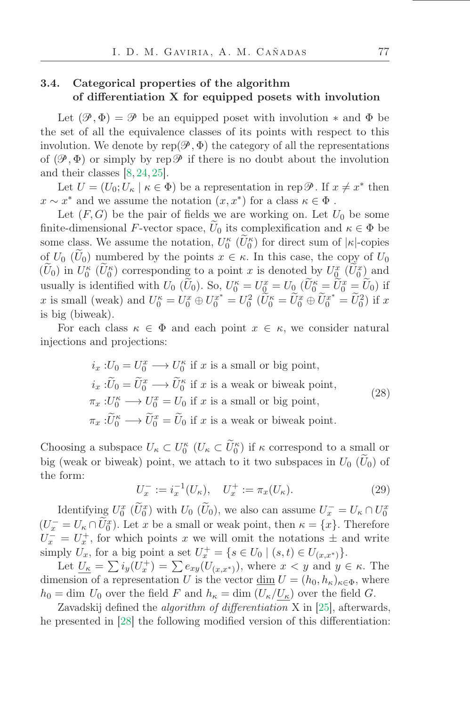## 3.4. Categorical properties of the algorithm of differentiation X for equipped posets with involution

Let  $(\mathscr{P}, \Phi) = \mathscr{P}$  be an equipped poset with involution  $*$  and  $\Phi$  be the set of all the equivalence classes of its points with respect to this involution. We denote by  $rep(\mathscr{P}, \Phi)$  the category of all the representations of  $(\mathscr{P}, \Phi)$  or simply by rep  $\mathscr{P}$  if there is no doubt about the involution and their classes [\[8,](#page-47-15) [24,](#page-48-6) [25\]](#page-48-8).

Let  $U = (U_0; U_\kappa \mid \kappa \in \Phi)$  be a representation in rep  $\mathcal{P}$ . If  $x \neq x^*$  then  $x \sim x^*$  and we assume the notation  $(x, x^*)$  for a class  $\kappa \in \Phi$ .

Let  $(F, G)$  be the pair of fields we are working on. Let  $U_0$  be some finite-dimensional F-vector space,  $U_0$  its complexification and  $\kappa \in \Phi$  be some class. We assume the notation,  $U_0^{\kappa}$   $(\tilde{U}_0^{\kappa})$  for direct sum of  $|\kappa|$ -copies of  $U_0$  ( $\tilde{U}_0$ ) numbered by the points  $x \in \kappa$ . In this case, the copy of  $U_0$  $(\tilde{U}_0)$  in  $U_0^{\kappa}$   $(\tilde{U}_0^{\kappa})$  corresponding to a point x is denoted by  $U_{\mathcal{Q}}^x$   $(\tilde{U}_0^x)$  and usually is identified with  $U_0$  ( $\tilde{U}_0$ ). So,  $U_0^{\kappa} = U_{\underline{0}}^x = U_0$  ( $\tilde{U}_0^{\kappa} = \tilde{U}_0^x = \tilde{U}_0$ ) if x is small (weak) and  $U_0^{\kappa} = U_0^x \oplus U_0^{x^*} = U_0^2$  ( $\tilde{U}_0^{\kappa} = \tilde{U}_0^x \oplus \tilde{U}_0^{x^*} = \tilde{U}_0^2$ ) if x is big (biweak).

For each class  $\kappa \in \Phi$  and each point  $x \in \kappa$ , we consider natural injections and projections:

$$
i_x: U_0 = U_0^x \longrightarrow U_0^{\kappa}
$$
 if  $x$  is a small or big point,  
\n
$$
i_x: \widetilde{U}_0 = \widetilde{U}_0^x \longrightarrow \widetilde{U}_0^{\kappa}
$$
 if  $x$  is a weak or biwek point,  
\n
$$
\pi_x: U_0^{\kappa} \longrightarrow U_0^x = U_0
$$
 if  $x$  is a small or big point,  
\n
$$
\pi_x: \widetilde{U}_0^{\kappa} \longrightarrow \widetilde{U}_0^x = \widetilde{U}_0
$$
 if  $x$  is a weak or biweak point. (28)

Choosing a subspace  $U_{\kappa} \subset U_0^{\kappa}$   $(U_{\kappa} \subset \tilde{U}_0^{\kappa})$  if  $\kappa$  correspond to a small or big (weak or biweak) point, we attach to it two subspaces in  $U_0$  ( $\tilde{U}_0$ ) of the form:

$$
U_x^- := i_x^{-1}(U_\kappa), \quad U_x^+ := \pi_x(U_\kappa). \tag{29}
$$

Identifying  $U_0^x$   $(\widetilde{U}_0^x)$  with  $U_0$   $(\widetilde{U}_0)$ , we also can assume  $U_x^- = U_{\kappa} \cap U_0^x$  $(U_x^- = U_{\kappa} \cap \tilde{U}_0^x)$ . Let x be a small or weak point, then  $\kappa = \{x\}$ . Therefore  $U_x^- = U_x^+$ , for which points x we will omit the notations  $\pm$  and write simply  $U_x$ , for a big point a set  $U_x^+ = \{ s \in U_0 \mid (s, t) \in U_{(x, x^*)} \}.$ 

Let  $\underline{U_{\kappa}} = \sum i_y(U_x^+) = \sum e_{xy}(U_{(x,x^*)})$ , where  $x < y$  and  $y \in \kappa$ . The dimension of a representation U is the vector  $\underline{\dim} U = (h_0, h_\kappa)_{\kappa \in \Phi}$ , where  $h_0 = \dim U_0$  over the field F and  $h_{\kappa} = \dim (U_{\kappa}/U_{\kappa})$  over the field G.

Zavadskij defined the *algorithm of differentiation*  $X$  in [\[25\]](#page-48-8), afterwards, he presented in [\[28\]](#page-48-9) the following modified version of this differentiation: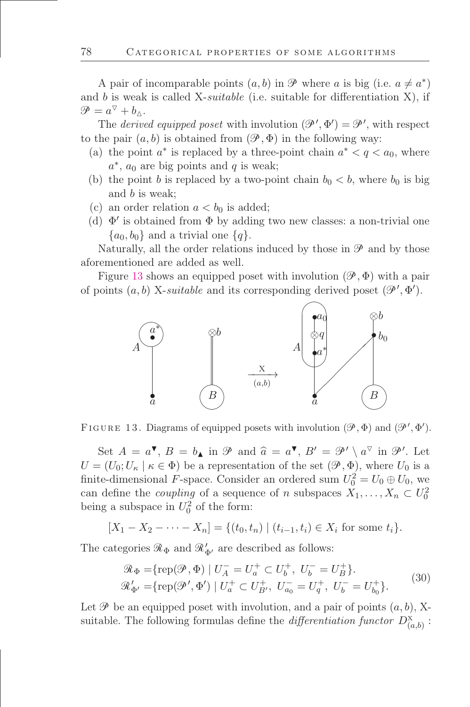A pair of incomparable points  $(a, b)$  in  $\mathcal{P}$  where a is big (i.e.  $a \neq a^*$ ) and b is weak is called X-*suitable* (i.e. suitable for differentiation  $X$ ), if  $\mathscr{P} = a^{\triangledown} + b_{\triangle}$ .

The *derived equipped poset* with involution  $(\mathcal{P}', \Phi') = \mathcal{P}'$ , with respect to the pair  $(a, b)$  is obtained from  $(\mathcal{P}, \Phi)$  in the following way:

- (a) the point  $a^*$  is replaced by a three-point chain  $a^* < q < a_0$ , where  $a^*$ ,  $a_0$  are big points and  $q$  is weak;
- (b) the point b is replaced by a two-point chain  $b_0 < b$ , where  $b_0$  is big and b is weak;
- (c) an order relation  $a < b_0$  is added;
- (d)  $\Phi'$  is obtained from  $\Phi$  by adding two new classes: a non-trivial one  $\{a_0, b_0\}$  and a trivial one  $\{q\}.$

Naturally, all the order relations induced by those in  $\mathscr P$  and by those aforementioned are added as well.

Figure [13](#page-40-0) shows an equipped poset with involution  $(\mathscr{P}, \Phi)$  with a pair of points  $(a, b)$  X-suitable and its corresponding derived poset  $(\mathscr{P}', \Phi')$ .



<span id="page-40-0"></span>FIGURE 13. Diagrams of equipped posets with involution  $(\mathscr{P}, \Phi)$  and  $(\mathscr{P}', \Phi')$ .

Set  $A = a^{\nabla}, B = b_{\blacktriangle}$  in  $\mathcal{P}$  and  $\hat{a} = a^{\nabla}, B' = \mathcal{P}' \setminus a^{\nabla}$  in  $\mathcal{P}'$ . Let  $U = (U_0; U_\kappa | \kappa \in \Phi)$  be a representation of the set  $(\mathscr{P}, \Phi)$ , where  $U_0$  is a finite-dimensional F-space. Consider an ordered sum  $U_0^2 = U_0 \oplus U_0$ , we can define the *coupling* of a sequence of n subspaces  $X_1, \ldots, X_n \subset U_0^2$ being a subspace in  $U_0^2$  of the form:

$$
[X_1 - X_2 - \cdots - X_n] = \{(t_0, t_n) \mid (t_{i-1}, t_i) \in X_i \text{ for some } t_i\}.
$$

<span id="page-40-1"></span>The categories  $\mathcal{R}_{\Phi}$  and  $\mathcal{R}'_{\Phi'}$  are described as follows:

$$
\mathcal{R}_{\Phi} = \{ \text{rep}(\mathcal{P}, \Phi) \mid U_A^- = U_a^+ \subset U_b^+, \ U_b^- = U_B^+ \}, \n\mathcal{R}_{\Phi'}' = \{ \text{rep}(\mathcal{P}', \Phi') \mid U_a^+ \subset U_{B'}^+, \ U_{a_0}^- = U_q^+, \ U_b^- = U_{b_0}^+ \}.
$$
\n(30)

Let  $\mathscr P$  be an equipped poset with involution, and a pair of points  $(a, b)$ , Xsuitable. The following formulas define the *differentiation functor*  $D^{\rm X}_{(a,b)}$ :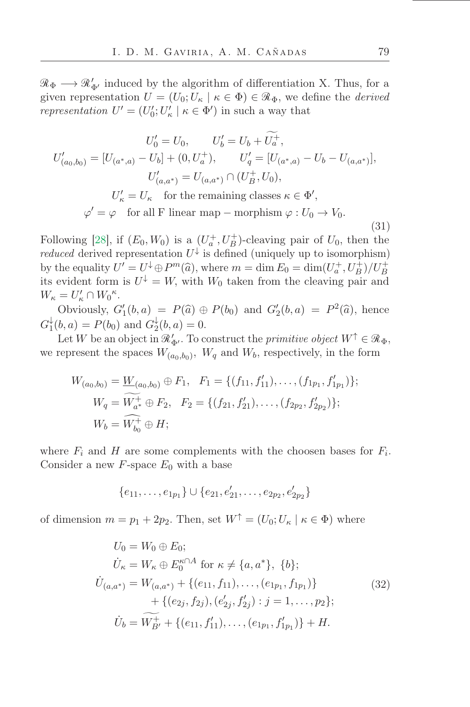$\mathcal{R}_{\Phi} \longrightarrow \mathcal{R}'_{\Phi'}$  induced by the algorithm of differentiation X. Thus, for a given representation  $U = (U_0; U_\kappa \mid \kappa \in \Phi) \in \mathcal{R}_{\Phi}$ , we define the *derived* representation  $U' = (U'_0; U'_\kappa \mid \kappa \in \Phi')$  in such a way that

<span id="page-41-0"></span>
$$
U'_0 = U_0, \qquad U'_b = U_b + U_a^+,
$$
  
\n
$$
U'_{(a_0,b_0)} = [U_{(a^*,a)} - U_b] + (0, U_a^+), \qquad U'_q = [U_{(a^*,a)} - U_b - U_{(a,a^*)}],
$$
  
\n
$$
U'_{(a,a^*)} = U_{(a,a^*)} \cap (U_B^+, U_0),
$$
  
\n
$$
U'_\kappa = U_\kappa \quad \text{for the remaining classes } \kappa \in \Phi',
$$
  
\n
$$
\varphi' = \varphi \quad \text{for all F linear map} - \text{morphism } \varphi : U_0 \to V_0.
$$
  
\n(31)

Following [\[28\]](#page-48-9), if  $(E_0, W_0)$  is a  $(U_a^+, U_B^+)$ -cleaving pair of  $U_0$ , then the *reduced* derived representation  $U^{\downarrow}$  is defined (uniquely up to isomorphism) by the equality  $U' = U^{\downarrow} \oplus P^m(\widehat{a})$ , where  $m = \dim E_0 = \dim(U_a^+, U_B^+)/U_B^+$ its evident form is  $U^{\downarrow} = W$ , with  $W_0$  taken from the cleaving pair and  $W_{\kappa} = U_{\kappa}' \cap W_0^{\kappa}.$ 

Obviously,  $G'_1(b, a) = P(\hat{a}) \oplus P(b_0)$  and  $G'_2(b, a) = P^2(\hat{a})$ , hence  $G_1^\downarrow$  $_1^{\downarrow}(b, a) = P(b_0)$  and  $G_2^{\downarrow}$  $a_2^*(b, a) = 0.$ 

Let W be an object in  $\mathcal{R}'_{\Phi'}$ . To construct the *primitive object*  $W^{\uparrow} \in \mathcal{R}_{\Phi}$ , we represent the spaces  $W_{(a_0,b_0)}$ ,  $W_q$  and  $W_b$ , respectively, in the form

$$
W_{(a_0,b_0)} = \underline{W}_{(a_0,b_0)} \oplus F_1, \quad F_1 = \{ (f_{11}, f'_{11}), \dots, (f_{1p_1}, f'_{1p_1}) \};
$$
  
\n
$$
W_q = \widetilde{W_{a^*}} \oplus F_2, \quad F_2 = \{ (f_{21}, f'_{21}), \dots, (f_{2p_2}, f'_{2p_2}) \};
$$
  
\n
$$
W_b = \widehat{W_{b_0}^+} \oplus H;
$$

where  $F_i$  and H are some complements with the choosen bases for  $F_i$ . Consider a new  $F$ -space  $E_0$  with a base

$$
\{e_{11},\ldots,e_{1p_1}\}\cup\{e_{21},e'_{21},\ldots,e_{2p_2},e'_{2p_2}\}\
$$

of dimension  $m = p_1 + 2p_2$ . Then, set  $W^{\uparrow} = (U_0; U_{\kappa} | \kappa \in \Phi)$  where

$$
U_0 = W_0 \oplus E_0;
$$
  
\n
$$
\dot{U}_\kappa = W_\kappa \oplus E_0^{\kappa \cap A} \text{ for } \kappa \neq \{a, a^*\}, \{b\};
$$
  
\n
$$
\dot{U}_{(a,a^*)} = W_{(a,a^*)} + \{(e_{11}, f_{11}), \dots, (e_{1p_1}, f_{1p_1})\} + \{(e_{2j}, f_{2j}), (e'_{2j}, f'_{2j}) : j = 1, \dots, p_2\};
$$
  
\n
$$
\dot{U}_b = \widetilde{W}_{B'}^+ + \{(e_{11}, f'_{11}), \dots, (e_{1p_1}, f'_{1p_1})\} + H.
$$
\n(32)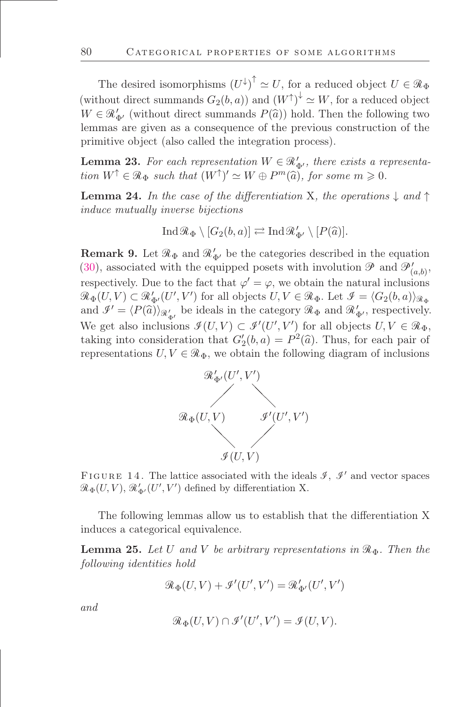The desired isomorphisms  $(U^{\downarrow})^{\uparrow} \simeq U$ , for a reduced object  $U \in \mathcal{R}_{\Phi}$ (without direct summands  $G_2(b, a)$ ) and  $(W^{\uparrow})^{\downarrow} \simeq W$ , for a reduced object  $W \in \mathcal{R}_{\Phi'}$  (without direct summands  $P(\hat{a})$ ) hold. Then the following two lemmas are given as a consequence of the previous construction of the primitive object (also called the integration process).

<span id="page-42-1"></span>**Lemma 23.** For each representation  $W \in \mathcal{R}'_{\Phi'}$ , there exists a representation  $W^{\uparrow} \in \mathcal{R}_{\Phi}$  such that  $(W^{\uparrow})' \simeq W \oplus P^m(\widehat{a})$ , for some  $m \geq 0$ .

<span id="page-42-2"></span>**Lemma 24.** In the case of the differentiation X, the operations  $\downarrow$  and  $\uparrow$ induce mutually inverse bijections

$$
\operatorname{Ind} \mathcal{R}_{\Phi} \setminus [G_2(b, a)] \rightleftarrows \operatorname{Ind} \mathcal{R}'_{\Phi'} \setminus [P(\widehat{a})].
$$

<span id="page-42-0"></span>**Remark 9.** Let  $\mathcal{R}_{\Phi}$  and  $\mathcal{R}'_{\Phi'}$  be the categories described in the equation [\(30\)](#page-40-1), associated with the equipped posets with involution  $\mathcal{P}$  and  $\mathcal{P}'_{(a,b)}$ , respectively. Due to the fact that  $\varphi' = \varphi$ , we obtain the natural inclusions  $\mathcal{R}_{\Phi}(U,V) \subset \mathcal{R}_{\Phi'}'(U',V')$  for all objects  $U, V \in \mathcal{R}_{\Phi}$ . Let  $\mathcal{I} = \langle G_2(b,a) \rangle_{\mathcal{R}_{\Phi}}$ and  $\mathcal{I}' = \langle P(\hat{a}) \rangle_{\mathcal{R}'_{\Phi'}}$  be ideals in the category  $\mathcal{R}_{\Phi}$  and  $\mathcal{R}'_{\Phi'}$ , respectively. We get also inclusions  $\mathcal{I}(U, V) \subset \mathcal{I}'(U', V')$  for all objects  $U, V \in \mathcal{R}_{\Phi}$ , taking into consideration that  $G'_{2}(b, a) = P^{2}(\hat{a})$ . Thus, for each pair of representations  $U, V \in \mathcal{R}_{\Phi}$ , we obtain the following diagram of inclusions



FIGURE 14. The lattice associated with the ideals  $\mathcal{I}, \mathcal{I}'$  and vector spaces  $\mathcal{R}_{\Phi}(U,V), \mathcal{R}'_{\Phi'}(U',V')$  defined by differentiation X.

The following lemmas allow us to establish that the differentiation X induces a categorical equivalence.

<span id="page-42-3"></span>**Lemma 25.** Let U and V be arbitrary representations in  $\mathcal{R}_{\Phi}$ . Then the following identities hold

$$
\mathscr{R}_\Phi(U,V)+\mathscr{I}'(U',V')=\mathscr{R}'_{\Phi'}(U',V')
$$

and

$$
\mathcal{R}_{\Phi}(U,V) \cap \mathcal{I}'(U',V') = \mathcal{I}(U,V).
$$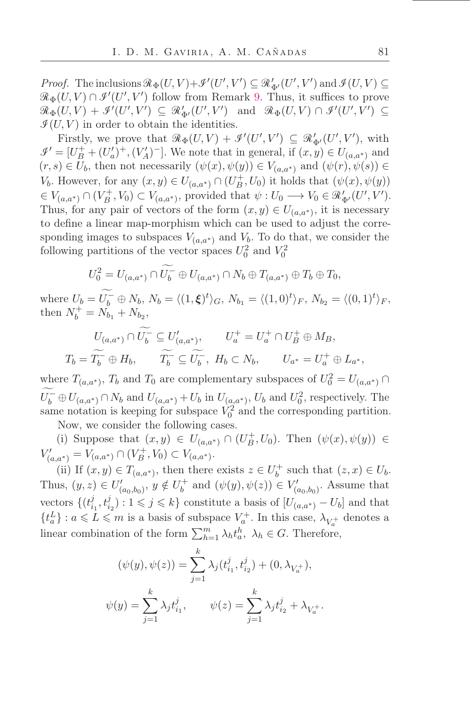*Proof.* The inclusions  $\mathcal{R}_{\Phi}(U, V) + \mathcal{I}'(U', V') \subseteq \mathcal{R}'_{\Phi'}(U', V')$  and  $\mathcal{I}(U, V) \subseteq$  $\mathcal{R}_{\Phi}(U,V) \cap \mathcal{I}'(U',V')$  follow from Remark [9.](#page-42-0) Thus, it suffices to prove  $\mathcal{R}_{\Phi}(U,V) + \mathcal{I}'(U',V') \subseteq \mathcal{R}'_{\Phi'}(U',V') \text{ and } \mathcal{R}_{\Phi}(U,V) \cap \mathcal{I}'(U',V') \subseteq$  $\mathcal{I}(U, V)$  in order to obtain the identities.

Firstly, we prove that  $\mathcal{R}_{\Phi}(U, V) + \mathcal{I}'(U', V') \subseteq \mathcal{R}'_{\Phi'}(U', V')$ , with  $\mathcal{I}' = [U^+_B + (U'_a)^+, (V'_A)^-]$ . We note that in general, if  $(x, y) \in U_{(a,a^*)}$  and  $(r, s) \in U_b$ , then not necessarily  $(\psi(x), \psi(y)) \in V_{(a,a^*)}$  and  $(\psi(r), \psi(s)) \in$ V<sub>b</sub>. However, for any  $(x, y) \in U_{(a,a^*)} \cap (U_B^+, U_0)$  it holds that  $(\psi(x), \psi(y))$  $\in V_{(a,a^*)} \cap (V_B^+, V_0) \subset V_{(a,a^*)}$ , provided that  $\psi: U_0 \longrightarrow V_0 \in \mathcal{R}'_{\Phi'}(U', V')$ . Thus, for any pair of vectors of the form  $(x, y) \in U_{(a,a^*)}$ , it is necessary to define a linear map-morphism which can be used to adjust the corresponding images to subspaces  $V_{(a,a^*)}$  and  $V_b$ . To do that, we consider the following partitions of the vector spaces  $U_0^2$  and  $V_0^2$ 

$$
U_0^2 = U_{(a,a^*)} \cap U_b^- \oplus U_{(a,a^*)} \cap N_b \oplus T_{(a,a^*)} \oplus T_b \oplus T_0,
$$
  
\n
$$
\widetilde{U_{\pm}} \oplus N_{\pm} N_{\pm} \qquad \qquad (1, \infty)
$$

where  $U_b = U_b^- \oplus N_b$ ,  $N_b = \langle (1, \xi)^t \rangle_G$ ,  $N_{b_1} = \langle (1, 0)^t \rangle_F$ ,  $N_{b_2} = \langle (0, 1)^t \rangle_F$ , then  $N_b^+ = N_{b_1} + N_{b_2}$ ,

$$
U_{(a,a^*)} \cap U_b^- \subseteq U'_{(a,a^*)}, \qquad U_a^+ = U_a^+ \cap U_B^+ \oplus M_B,
$$
  

$$
T_b = \widetilde{T_b^-} \oplus H_b, \qquad \widetilde{T_b^-} \subseteq \widetilde{U_b^-}, \ H_b \subset N_b, \qquad U_{a^*} = U_a^+ \oplus L_{a^*},
$$

where  $T_{(a,a^*)}$ ,  $T_b$  and  $T_0$  are complementary subspaces of  $U_0^2 = U_{(a,a^*)} \cap$  $U_b^-\oplus U_{(a,a^*)}\cap N_b$  and  $U_{(a,a^*)}$  +  $U_b$  in  $U_{(a,a^*)}$ ,  $U_b$  and  $U_0^2$ , respectively. The same notation is keeping for subspace  $V_0^2$  and the corresponding partition.

Now, we consider the following cases.

(i) Suppose that  $(x, y) \in U_{(a,a^*)} \cap (U_B^+, U_0)$ . Then  $(\psi(x), \psi(y)) \in$  $V'_{(a,a^*)} = V_{(a,a^*)} \cap (V_B^+, V_0) \subset V_{(a,a^*)}.$ 

(ii) If  $(x, y) \in T_{(a,a^*)}$ , then there exists  $z \in U_b^+$  such that  $(z, x) \in U_b$ . Thus,  $(y, z) \in U'_{(a_0, b_0)}, y \notin U_b^+$  and  $(\psi(y), \psi(z)) \in V'_{(a_0, b_0)}$ . Assume that vectors  $\{ (t_i^j)$  $i_1, t_{i_2}^j$  :  $1 \leqslant j \leqslant k$  constitute a basis of  $[U_{(a,a^*)} - U_b]$  and that  $\{t_a^L\}$  :  $a\leqslant L\leqslant m$  is a basis of subspace  $V_a^+ .$  In this case,  $\lambda_{V_a^+}$  denotes a linear combination of the form  $\sum_{h=1}^{m} \lambda_h t_a^h$ ,  $\lambda_h \in G$ . Therefore,

$$
(\psi(y), \psi(z)) = \sum_{j=1}^{k} \lambda_j (t_{i_1}^j, t_{i_2}^j) + (0, \lambda_{V_a^+}),
$$
  

$$
\psi(y) = \sum_{j=1}^{k} \lambda_j t_{i_1}^j, \qquad \psi(z) = \sum_{j=1}^{k} \lambda_j t_{i_2}^j + \lambda_{V_a^+}.
$$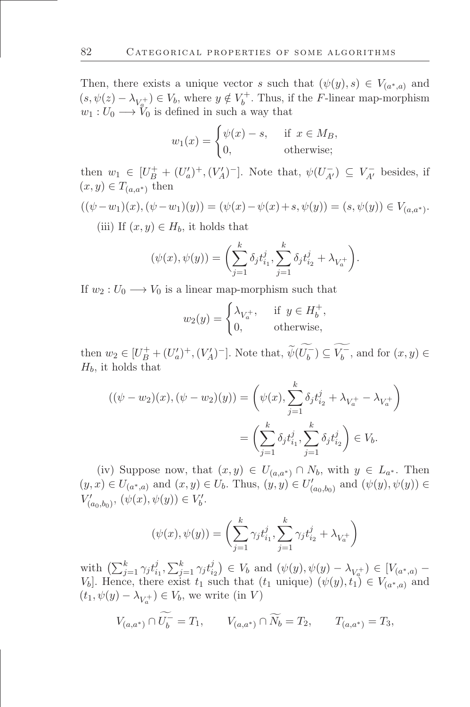Then, there exists a unique vector s such that  $(\psi(y), s) \in V_{(a^*, a)}$  and  $(s, \psi(z) - \lambda_{V_a^+}) \in V_b$ , where  $y \notin V_b^+$ . Thus, if the F-linear map-morphism  $w_1: U_0 \longrightarrow V_0$  is defined in such a way that

$$
w_1(x) = \begin{cases} \psi(x) - s, & \text{if } x \in M_B, \\ 0, & \text{otherwise}; \end{cases}
$$

then  $w_1 \in [U^+_B + (U'_a)^+, (V'_A)^-]$ . Note that,  $\psi(U^-_{A'}) \subseteq V^-_{A'}$  besides, if  $(x, y) \in T_{(a,a^*)}$  then

$$
((\psi - w_1)(x), (\psi - w_1)(y)) = (\psi(x) - \psi(x) + s, \psi(y)) = (s, \psi(y)) \in V_{(a, a^*)}.
$$

(iii) If  $(x, y) \in H_b$ , it holds that

$$
(\psi(x), \psi(y)) = \left(\sum_{j=1}^k \delta_j t_{i_1}^j, \sum_{j=1}^k \delta_j t_{i_2}^j + \lambda_{V_a^+}\right).
$$

If  $w_2: U_0 \longrightarrow V_0$  is a linear map-morphism such that

$$
w_2(y) = \begin{cases} \lambda_{V_a^+}, & \text{if } y \in H_b^+, \\ 0, & \text{otherwise}, \end{cases}
$$

then  $w_2 \in [U_B^+ + (U_a')^+, (V_A')^-]$ . Note that,  $\widetilde{\psi}(U_b^-) \subseteq V_b^-$ , and for  $(x, y) \in$  $H_b$ , it holds that

$$
((\psi - w_2)(x), (\psi - w_2)(y)) = \left(\psi(x), \sum_{j=1}^k \delta_j t_{i_2}^j + \lambda_{V_a^+} - \lambda_{V_a^+}\right)
$$

$$
= \left(\sum_{j=1}^k \delta_j t_{i_1}^j, \sum_{j=1}^k \delta_j t_{i_2}^j\right) \in V_b.
$$

(iv) Suppose now, that  $(x, y) \in U_{(a,a^*)} \cap N_b$ , with  $y \in L_{a^*}$ . Then  $(y, x) \in U_{(a^*, a)}$  and  $(x, y) \in U_b$ . Thus,  $(y, y) \in U'_{(a_0, b_0)}$  and  $(\psi(y), \psi(y)) \in$  $V'_{(a_0,b_0)}, (\psi(x), \psi(y)) \in V'_{b}.$ 

$$
(\psi(x), \psi(y)) = \left(\sum_{j=1}^{k} \gamma_j t_{i_1}^j, \sum_{j=1}^{k} \gamma_j t_{i_2}^j + \lambda_{V_a^+}\right)
$$

with  $\left(\sum_{j=1}^k \gamma_j t_i^j\right)$  $i_1^j, \sum_{j=1}^k \gamma_j t_i^j$  $(\psi(y), \psi(y) - \lambda_{V_q^+}) \in [V_{(a^*, a)} V_b$ . Hence, there exist  $t_1$  such that  $(t_1 \text{ unique})$   $(\psi(y), t_1) \in V_{(a^*, a)}$  and  $(t_1, \psi(y) - \lambda_{V_a^+}) \in V_b$ , we write (in V)

$$
V_{(a,a^*)} \cap \widetilde{U_b^-} = T_1, \qquad V_{(a,a^*)} \cap \widetilde{N_b} = T_2, \qquad T_{(a,a^*)} = T_3,
$$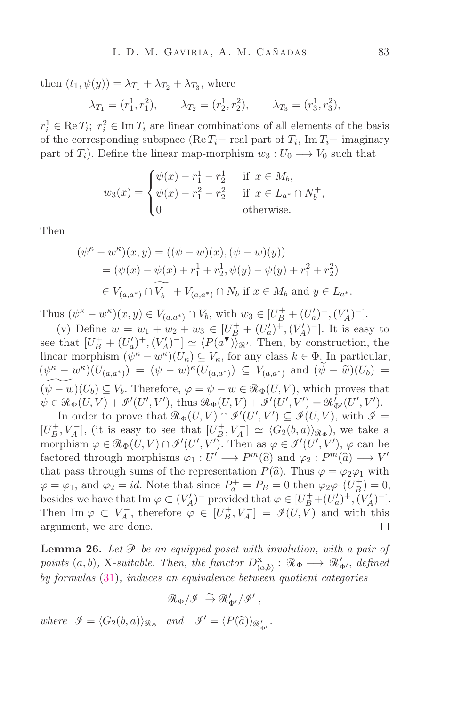then  $(t_1, \psi(y)) = \lambda_{T_1} + \lambda_{T_2} + \lambda_{T_3}$ , where

$$
\lambda_{T_1} = (r_1^1, r_1^2), \qquad \lambda_{T_2} = (r_2^1, r_2^2), \qquad \lambda_{T_3} = (r_3^1, r_3^2),
$$

 $r_i^1 \in \text{Re } T_i$ ;  $r_i^2 \in \text{Im } T_i$  are linear combinations of all elements of the basis of the corresponding subspace (Re  $T_i$  = real part of  $T_i$ , Im  $T_i$  = imaginary part of  $T_i$ ). Define the linear map-morphism  $w_3: U_0 \longrightarrow V_0$  such that

$$
w_3(x) = \begin{cases} \psi(x) - r_1^1 - r_2^1 & \text{if } x \in M_b, \\ \psi(x) - r_1^2 - r_2^2 & \text{if } x \in L_{a^*} \cap N_b^+, \\ 0 & \text{otherwise.} \end{cases}
$$

Then

$$
(\psi^{\kappa} - w^{\kappa})(x, y) = ((\psi - w)(x), (\psi - w)(y))
$$
  
=  $(\psi(x) - \psi(x) + r_1^1 + r_2^1, \psi(y) - \psi(y) + r_1^2 + r_2^2)$   
 $\in V_{(a,a^*)} \cap V_b^- + V_{(a,a^*)} \cap N_b \text{ if } x \in M_b \text{ and } y \in L_{a^*}.$ 

Thus  $(\psi^{\kappa} - w^{\kappa})(x, y) \in V_{(a,a^*)} \cap V_b$ , with  $w_3 \in [U_B^+ + (U_a')^+, (V_A')^-]$ .

(v) Define  $w = w_1 + w_2 + w_3 \in [U_B^+ + (U_a')^+, (V_A')^-]$ . It is easy to see that  $[U_B^+ + (U_a')^+, (V_A')^-] \simeq \langle P(a^{\blacktriangledown}) \rangle_{\mathcal{R}}$ . Then, by construction, the linear morphism  $(\psi^{\kappa} - w^{\kappa})(U_{\kappa}) \subseteq V_{\kappa}$ , for any class  $k \in \Phi$ . In particular,  $(\psi^{\kappa} - w^{\kappa})(U_{(a,a^*)}) = (\psi - w)^{\kappa}(U_{(a,a^*)}) \subseteq V_{(a,a^*)}$  and  $(\psi - \tilde{w})(U_b) =$  $(\psi - w)(U_b) \subseteq V_b$ . Therefore,  $\varphi = \psi - w \in \mathcal{R}_{\Phi}(U, V)$ , which proves that  $\psi \in \mathcal{R}_{\Phi}(U,V) + \mathcal{I}'(U',V'), \text{ thus } \mathcal{R}_{\Phi}(U,V) + \mathcal{I}'(U',V') = \mathcal{R}'_{\Phi'}(U',V').$ 

In order to prove that  $\mathcal{R}_{\Phi}(U, V) \cap \mathcal{I}'(U', V') \subseteq \mathcal{I}(U, V)$ , with  $\mathcal{I} =$  $[U_B^+, V_A^-]$ , (it is easy to see that  $[U_B^+, V_A^-] \simeq \langle G_2(b, a) \rangle_{\mathcal{R}_{\Phi}}$ ), we take a morphism  $\varphi \in \mathcal{R}_{\Phi}(U, V) \cap \mathcal{I}'(U', V')$ . Then as  $\varphi \in \mathcal{I}'(U', V')$ ,  $\varphi$  can be factored through morphisms  $\varphi_1: U' \longrightarrow P^m(\widehat{a})$  and  $\varphi_2: P^m(\widehat{a}) \longrightarrow V'$ that pass through sums of the representation  $P(\hat{a})$ . Thus  $\varphi = \varphi_2 \varphi_1$  with  $\varphi = \varphi_1$ , and  $\varphi_2 = id$ . Note that since  $P_a^+ = P_B = 0$  then  $\varphi_2 \varphi_1(U_B^+) = 0$ , besides we have that  $\text{Im }\varphi \subset (V_A')^-$  provided that  $\varphi \in [U_B^+ + (U_a')^+, (V_A')^-]$ . Then Im  $\varphi \subset V_A^-$ , therefore  $\varphi \in [U_B^+, V_A^-] = \mathcal{I}(U, \tilde{V})$  and with this argument, we are done.  $\Box$ 

<span id="page-45-0"></span>**Lemma 26.** Let  $\mathcal{P}$  be an equipped poset with involution, with a pair of points  $(a, b)$ , X-suitable. Then, the functor  $D^{\rm x}_{(a,b)}$ :  $\mathcal{R}_{\Phi} \longrightarrow \mathcal{R}'_{\Phi'}$ , defined by formulas [\(31\)](#page-41-0), induces an equivalence between quotient categories

$$
\mathcal{R}_\Phi/\mathcal{I} \ \stackrel{\sim}{\rightarrow} \mathcal{R}'_{\Phi'}/\mathcal{I}'\,,
$$

where  $\mathcal{I} = \langle G_2(b, a) \rangle_{\mathcal{R}_{\Phi}}$  and  $\mathcal{I}' = \langle P(\widehat{a}) \rangle_{\mathcal{R}'_{\Phi'}}$ .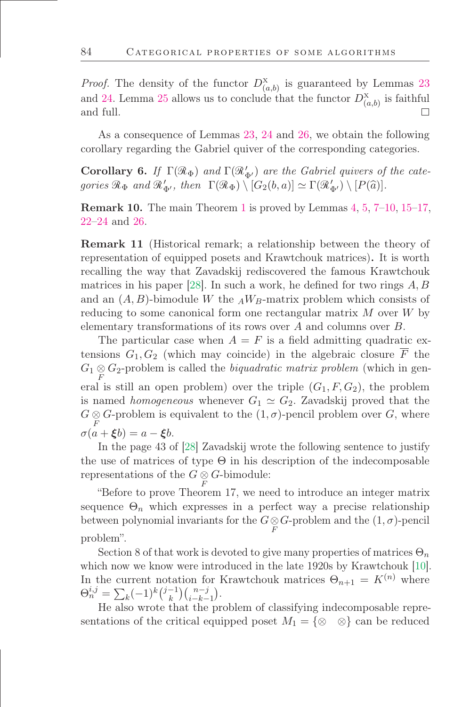*Proof.* The density of the functor  $D^{\mathsf{X}}_{(a,b)}$  is guaranteed by Lemmas [23](#page-42-1) and [24.](#page-42-2) Lemma [25](#page-42-3) allows us to conclude that the functor  $D_{(a,b)}^{\mathbf{x}}$  is faithful and full.  $\Box$ 

As a consequence of Lemmas [23,](#page-42-1) [24](#page-42-2) and [26,](#page-45-0) we obtain the following corollary regarding the Gabriel quiver of the corresponding categories.

**Corollary 6.** If  $\Gamma(\mathcal{R}_{\Phi})$  and  $\Gamma(\mathcal{R}_{\Phi'})$  are the Gabriel quivers of the categories  $\mathcal{R}_{\Phi}$  and  $\mathcal{R}'_{\Phi'}$ , then  $\Gamma(\mathcal{R}_{\Phi}) \setminus [G_2(b, a)] \simeq \Gamma(\mathcal{R}'_{\Phi'}) \setminus [P(\widehat{a})]$ .

**Remark [1](#page-2-0)0.** The main Theorem 1 is proved by Lemmas  $4, 5, 7$  $4, 5, 7$  $4, 5, 7$  $4, 5, 7$ –[10,](#page-26-1) [15](#page-31-0)–17,  $22 - 24$  $22 - 24$  and [26.](#page-45-0)

Remark 11 (Historical remark; a relationship between the theory of representation of equipped posets and Krawtchouk matrices). It is worth recalling the way that Zavadskij rediscovered the famous Krawtchouk matrices in his paper [\[28\]](#page-48-9). In such a work, he defined for two rings  $A, B$ and an  $(A, B)$ -bimodule W the  $_A W_B$ -matrix problem which consists of reducing to some canonical form one rectangular matrix M over W by elementary transformations of its rows over A and columns over B.

The particular case when  $A = F$  is a field admitting quadratic extensions  $G_1, G_2$  (which may coincide) in the algebraic closure  $\overline{F}$  the  $G_1 \underset{F}{\otimes} G_2$ -problem is called the *biquadratic matrix problem* (which in general is still an open problem) over the triple  $(G_1, F, G_2)$ , the problem is named homogeneous whenever  $G_1 \simeq G_2$ . Zavadskij proved that the  $G \underset{F}{\otimes} G$ -problem is equivalent to the  $(1, \sigma)$ -pencil problem over  $G$ , where  $\sigma(a+\xi b)=a-\xi b.$ 

In the page 43 of [\[28\]](#page-48-9) Zavadskij wrote the following sentence to justify the use of matrices of type  $\Theta$  in his description of the indecomposable representations of the  $G \underset{F}{\otimes} G$ -bimodule:

łBefore to prove Theorem 17, we need to introduce an integer matrix sequence  $\Theta_n$  which expresses in a perfect way a precise relationship between polynomial invariants for the  $G \otimes G$ -problem and the  $(1, \sigma)$ -pencil problem".

Section 8 of that work is devoted to give many properties of matrices  $\Theta_n$ which now we know were introduced in the late 1920s by Krawtchouk [\[10\]](#page-47-16). In the current notation for Krawtchouk matrices  $\Theta_{n+1} = K^{(n)}$  where  $\Theta_n^{i,j} = \sum_k (-1)^k {j-1 \choose k}$  $\binom{-1}{k}\binom{n-j}{i-k-1}.$ 

He also wrote that the problem of classifying indecomposable representations of the critical equipped poset  $M_1 = \{ \otimes \otimes \}$  can be reduced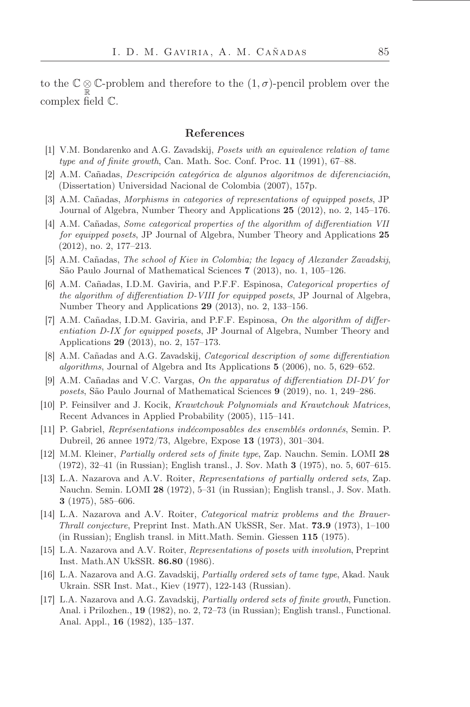to the  $\mathbb{C} \otimes \mathbb{C}$ -problem and therefore to the  $(1, \sigma)$ -pencil problem over the complex field  $\mathbb{C}$ .

### References

- <span id="page-47-7"></span>[1] V.M. Bondarenko and A.G. Zavadskij, Posets with an equivalence relation of tame type and of finite growth, Can. Math. Soc. Conf. Proc.  $11$  (1991), 67–88.
- <span id="page-47-9"></span>[2] A.M. Cañadas, Descripción categórica de algunos algoritmos de diferenciación, (Dissertation) Universidad Nacional de Colombia (2007), 157p.
- <span id="page-47-14"></span>[3] A.M. Cañadas, Morphisms in categories of representations of equipped posets, JP Journal of Algebra, Number Theory and Applications  $25$  (2012), no. 2, 145–176.
- <span id="page-47-10"></span>[4] A.M. Cañadas, Some categorical properties of the algorithm of differentiation VII for equipped posets, JP Journal of Algebra, Number Theory and Applications 25  $(2012)$ , no. 2, 177–213.
- <span id="page-47-13"></span>[5] A.M. Cañadas, The school of Kiev in Colombia; the legacy of Alexander Zavadskij, São Paulo Journal of Mathematical Sciences 7 (2013), no. 1, 105–126.
- <span id="page-47-11"></span>[6] A.M. Cañadas, I.D.M. Gaviria, and P.F.F. Espinosa, Categorical properties of the algorithm of differentiation D-VIII for equipped posets, JP Journal of Algebra, Number Theory and Applications  $29$  (2013), no. 2, 133–156.
- <span id="page-47-12"></span>[7] A.M. Cañadas, I.D.M. Gaviria, and P.F.F. Espinosa, On the algorithm of differentiation D-IX for equipped posets, JP Journal of Algebra, Number Theory and Applications 29 (2013), no. 2, 157–173.
- <span id="page-47-15"></span>[8] A.M. Cañadas and A.G. Zavadskij, Categorical description of some differentiation algorithms, Journal of Algebra and Its Applications  $5$  (2006), no. 5, 629–652.
- <span id="page-47-8"></span>[9] A.M. Cañadas and V.C. Vargas, On the apparatus of differentiation DI-DV for posets, São Paulo Journal of Mathematical Sciences  $9$  (2019), no. 1, 249–286.
- <span id="page-47-16"></span>[10] P. Feinsilver and J. Kocik, Krawtchouk Polynomials and Krawtchouk Matrices, Recent Advances in Applied Probability (2005), 115–141.
- <span id="page-47-3"></span>[11] P. Gabriel, Représentations indécomposables des ensemblés ordonnés, Semin. P. Dubreil, 26 annee 1972/73, Algebre, Expose 13 (1973), 301–304.
- <span id="page-47-2"></span>[12] M.M. Kleiner, *Partially ordered sets of finite type*, Zap. Nauchn. Semin. LOMI 28  $(1972), 32–41$  (in Russian); English transl., J. Sov. Math 3 (1975), no. 5, 607–615.
- <span id="page-47-1"></span>[13] L.A. Nazarova and A.V. Roiter, Representations of partially ordered sets, Zap. Nauchn. Semin. LOMI 28 (1972), 5-31 (in Russian); English transl., J. Sov. Math. 3  $(1975), 585-606.$
- <span id="page-47-0"></span>[14] L.A. Nazarova and A.V. Roiter, Categorical matrix problems and the Brauer-Thrall conjecture, Preprint Inst. Math.AN UkSSR, Ser. Mat.  $73.9$  (1973), 1–100 (in Russian); English transl. in Mitt.Math. Semin. Giessen 115 (1975).
- <span id="page-47-6"></span>[15] L.A. Nazarova and A.V. Roiter, Representations of posets with involution, Preprint Inst. Math.AN UkSSR. 86.80 (1986).
- <span id="page-47-4"></span>[16] L.A. Nazarova and A.G. Zavadskij, Partially ordered sets of tame type, Akad. Nauk Ukrain. SSR Inst. Mat., Kiev (1977), 122-143 (Russian).
- <span id="page-47-5"></span>[17] L.A. Nazarova and A.G. Zavadskij, *Partially ordered sets of finite growth*, Function. Anal. i Prilozhen.,  $19$  (1982), no. 2, 72–73 (in Russian); English transl., Functional. Anal. Appl., **16** (1982), 135–137.